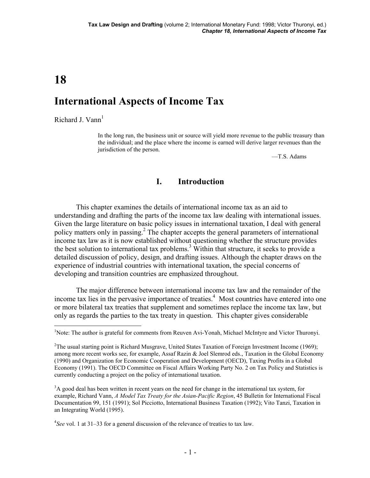# **18**

 $\overline{a}$ 

# **International Aspects of Income Tax**

Richard J. Vann $<sup>1</sup>$ </sup>

In the long run, the business unit or source will yield more revenue to the public treasury than the individual; and the place where the income is earned will derive larger revenues than the jurisdiction of the person.

—T.S. Adams

## **I. Introduction**

 This chapter examines the details of international income tax as an aid to understanding and drafting the parts of the income tax law dealing with international issues. Given the large literature on basic policy issues in international taxation, I deal with general policy matters only in passing.<sup>2</sup> The chapter accepts the general parameters of international income tax law as it is now established without questioning whether the structure provides the best solution to international tax problems.<sup>3</sup> Within that structure, it seeks to provide a detailed discussion of policy, design, and drafting issues. Although the chapter draws on the experience of industrial countries with international taxation, the special concerns of developing and transition countries are emphasized throughout.

 The major difference between international income tax law and the remainder of the income tax lies in the pervasive importance of treaties.<sup>4</sup> Most countries have entered into one or more bilateral tax treaties that supplement and sometimes replace the income tax law, but only as regards the parties to the tax treaty in question. This chapter gives considerable

4 *See* vol. 1 at 31–33 for a general discussion of the relevance of treaties to tax law.

<sup>&</sup>lt;sup>1</sup>Note: The author is grateful for comments from Reuven Avi-Yonah, Michael McIntyre and Victor Thuronyi.

<sup>&</sup>lt;sup>2</sup>The usual starting point is Richard Musgrave, United States Taxation of Foreign Investment Income (1969); among more recent works see, for example, Assaf Razin & Joel Slemrod eds., Taxation in the Global Economy (1990) and Organization for Economic Cooperation and Development (OECD), Taxing Profits in a Global Economy (1991). The OECD Committee on Fiscal Affairs Working Party No. 2 on Tax Policy and Statistics is currently conducting a project on the policy of international taxation.

 $3A$  good deal has been written in recent years on the need for change in the international tax system, for example, Richard Vann, *A Model Tax Treaty for the Asian-Pacific Region*, 45 Bulletin for International Fiscal Documentation 99, 151 (1991); Sol Picciotto, International Business Taxation (1992); Vito Tanzi, Taxation in an Integrating World (1995).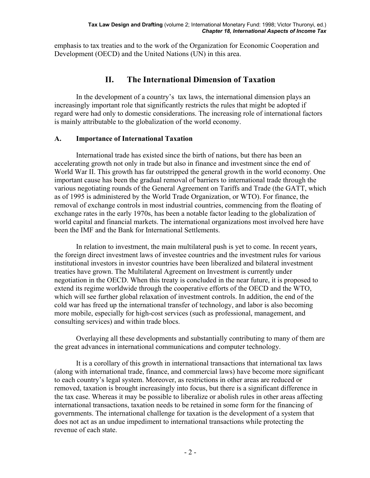emphasis to tax treaties and to the work of the Organization for Economic Cooperation and Development (OECD) and the United Nations (UN) in this area.

# **II. The International Dimension of Taxation**

 In the development of a country's tax laws, the international dimension plays an increasingly important role that significantly restricts the rules that might be adopted if regard were had only to domestic considerations. The increasing role of international factors is mainly attributable to the globalization of the world economy.

### **A. Importance of International Taxation**

 International trade has existed since the birth of nations, but there has been an accelerating growth not only in trade but also in finance and investment since the end of World War II. This growth has far outstripped the general growth in the world economy. One important cause has been the gradual removal of barriers to international trade through the various negotiating rounds of the General Agreement on Tariffs and Trade (the GATT, which as of 1995 is administered by the World Trade Organization, or WTO). For finance, the removal of exchange controls in most industrial countries, commencing from the floating of exchange rates in the early 1970s, has been a notable factor leading to the globalization of world capital and financial markets. The international organizations most involved here have been the IMF and the Bank for International Settlements.

 In relation to investment, the main multilateral push is yet to come. In recent years, the foreign direct investment laws of investee countries and the investment rules for various institutional investors in investor countries have been liberalized and bilateral investment treaties have grown. The Multilateral Agreement on Investment is currently under negotiation in the OECD. When this treaty is concluded in the near future, it is proposed to extend its regime worldwide through the cooperative efforts of the OECD and the WTO, which will see further global relaxation of investment controls. In addition, the end of the cold war has freed up the international transfer of technology, and labor is also becoming more mobile, especially for high-cost services (such as professional, management, and consulting services) and within trade blocs.

 Overlaying all these developments and substantially contributing to many of them are the great advances in international communications and computer technology.

 It is a corollary of this growth in international transactions that international tax laws (along with international trade, finance, and commercial laws) have become more significant to each country's legal system. Moreover, as restrictions in other areas are reduced or removed, taxation is brought increasingly into focus, but there is a significant difference in the tax case. Whereas it may be possible to liberalize or abolish rules in other areas affecting international transactions, taxation needs to be retained in some form for the financing of governments. The international challenge for taxation is the development of a system that does not act as an undue impediment to international transactions while protecting the revenue of each state.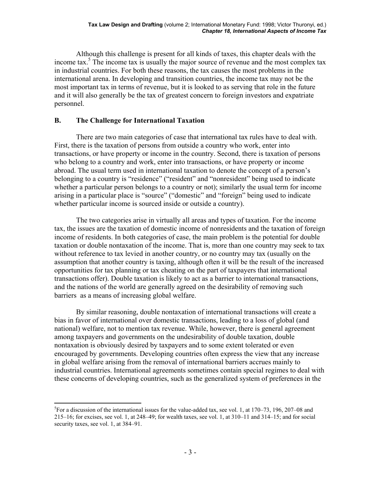Although this challenge is present for all kinds of taxes, this chapter deals with the income tax.<sup>5</sup> The income tax is usually the major source of revenue and the most complex tax in industrial countries. For both these reasons, the tax causes the most problems in the international arena. In developing and transition countries, the income tax may not be the most important tax in terms of revenue, but it is looked to as serving that role in the future and it will also generally be the tax of greatest concern to foreign investors and expatriate personnel.

#### **B. The Challenge for International Taxation**

 There are two main categories of case that international tax rules have to deal with. First, there is the taxation of persons from outside a country who work, enter into transactions, or have property or income in the country. Second, there is taxation of persons who belong to a country and work, enter into transactions, or have property or income abroad. The usual term used in international taxation to denote the concept of a person's belonging to a country is "residence" ("resident" and "nonresident" being used to indicate whether a particular person belongs to a country or not); similarly the usual term for income arising in a particular place is "source" ("domestic" and "foreign" being used to indicate whether particular income is sourced inside or outside a country).

 The two categories arise in virtually all areas and types of taxation. For the income tax, the issues are the taxation of domestic income of nonresidents and the taxation of foreign income of residents. In both categories of case, the main problem is the potential for double taxation or double nontaxation of the income. That is, more than one country may seek to tax without reference to tax levied in another country, or no country may tax (usually on the assumption that another country is taxing, although often it will be the result of the increased opportunities for tax planning or tax cheating on the part of taxpayers that international transactions offer). Double taxation is likely to act as a barrier to international transactions, and the nations of the world are generally agreed on the desirability of removing such barriers as a means of increasing global welfare.

 By similar reasoning, double nontaxation of international transactions will create a bias in favor of international over domestic transactions, leading to a loss of global (and national) welfare, not to mention tax revenue. While, however, there is general agreement among taxpayers and governments on the undesirability of double taxation, double nontaxation is obviously desired by taxpayers and to some extent tolerated or even encouraged by governments. Developing countries often express the view that any increase in global welfare arising from the removal of international barriers accrues mainly to industrial countries. International agreements sometimes contain special regimes to deal with these concerns of developing countries, such as the generalized system of preferences in the

 $\overline{a}$ <sup>5</sup>For a discussion of the international issues for the value-added tax, see vol. 1, at 170–73, 196, 207–08 and 215–16; for excises, see vol. 1, at 248–49; for wealth taxes, see vol. 1, at 310–11 and 314–15; and for social security taxes, see vol. 1, at 384–91.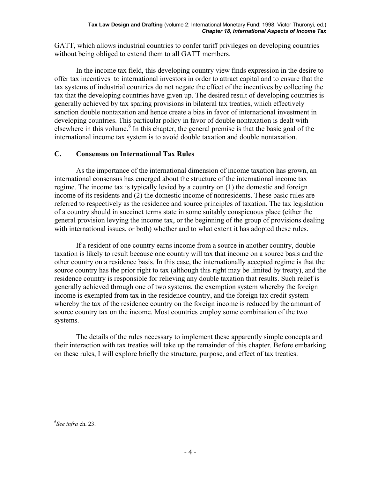GATT, which allows industrial countries to confer tariff privileges on developing countries without being obliged to extend them to all GATT members.

 In the income tax field, this developing country view finds expression in the desire to offer tax incentives to international investors in order to attract capital and to ensure that the tax systems of industrial countries do not negate the effect of the incentives by collecting the tax that the developing countries have given up. The desired result of developing countries is generally achieved by tax sparing provisions in bilateral tax treaties, which effectively sanction double nontaxation and hence create a bias in favor of international investment in developing countries. This particular policy in favor of double nontaxation is dealt with elsewhere in this volume.<sup>6</sup> In this chapter, the general premise is that the basic goal of the international income tax system is to avoid double taxation and double nontaxation.

### **C. Consensus on International Tax Rules**

 As the importance of the international dimension of income taxation has grown, an international consensus has emerged about the structure of the international income tax regime. The income tax is typically levied by a country on (1) the domestic and foreign income of its residents and (2) the domestic income of nonresidents. These basic rules are referred to respectively as the residence and source principles of taxation. The tax legislation of a country should in succinct terms state in some suitably conspicuous place (either the general provision levying the income tax, or the beginning of the group of provisions dealing with international issues, or both) whether and to what extent it has adopted these rules.

 If a resident of one country earns income from a source in another country, double taxation is likely to result because one country will tax that income on a source basis and the other country on a residence basis. In this case, the internationally accepted regime is that the source country has the prior right to tax (although this right may be limited by treaty), and the residence country is responsible for relieving any double taxation that results. Such relief is generally achieved through one of two systems, the exemption system whereby the foreign income is exempted from tax in the residence country, and the foreign tax credit system whereby the tax of the residence country on the foreign income is reduced by the amount of source country tax on the income. Most countries employ some combination of the two systems.

 The details of the rules necessary to implement these apparently simple concepts and their interaction with tax treaties will take up the remainder of this chapter. Before embarking on these rules, I will explore briefly the structure, purpose, and effect of tax treaties.

 $\overline{a}$ 

<sup>6</sup> *See infra* ch. 23.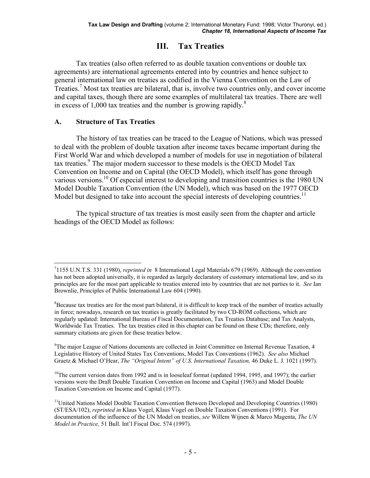# **III. Tax Treaties**

 Tax treaties (also often referred to as double taxation conventions or double tax agreements) are international agreements entered into by countries and hence subject to general international law on treaties as codified in the Vienna Convention on the Law of Treaties.<sup>7</sup> Most tax treaties are bilateral, that is, involve two countries only, and cover income and capital taxes, though there are some examples of multilateral tax treaties. There are well in excess of 1,000 tax treaties and the number is growing rapidly. $8$ 

#### **A. Structure of Tax Treaties**

 The history of tax treaties can be traced to the League of Nations, which was pressed to deal with the problem of double taxation after income taxes became important during the First World War and which developed a number of models for use in negotiation of bilateral tax treaties.<sup>9</sup> The major modern successor to these models is the OECD Model Tax Convention on Income and on Capital (the OECD Model), which itself has gone through various versions.<sup>10</sup> Of especial interest to developing and transition countries is the 1980 UN Model Double Taxation Convention (the UN Model), which was based on the 1977 OECD Model but designed to take into account the special interests of developing countries.<sup>11</sup>

 The typical structure of tax treaties is most easily seen from the chapter and article headings of the OECD Model as follows:

<sup>10</sup>The current version dates from 1992 and is in looseleaf format (updated 1994, 1995, and 1997); the earlier versions were the Draft Double Taxation Convention on Income and Capital (1963) and Model Double Taxation Convention on Income and Capital (1977).

<sup>1</sup> 7 1155 U.N.T.S. 331 (1980), *reprinted in* 8 International Legal Materials 679 (1969). Although the convention has not been adopted universally, it is regarded as largely declaratory of customary international law, and so its principles are for the most part applicable to treaties entered into by countries that are not parties to it. *See* Ian Brownlie, Principles of Public International Law 604 (1990).

 ${}^{8}$ Because tax treaties are for the most part bilateral, it is difficult to keep track of the number of treaties actually in force; nowadays, research on tax treaties is greatly facilitated by two CD-ROM collections, which are regularly updated: International Bureau of Fiscal Documentation, Tax Treaties Database; and Tax Analysts, Worldwide Tax Treaties. The tax treaties cited in this chapter can be found on these CDs; therefore, only summary citations are given for these treaties below.

<sup>&</sup>lt;sup>9</sup>The major League of Nations documents are collected in Joint Committee on Internal Revenue Taxation, 4 Legislative History of United States Tax Conventions, Model Tax Conventions (1962). *See also* Michael Graetz & Michael O'Hear, *The "Original Intent" of U.S. International Taxation,* 46 Duke L. J. 1021 (1997).

 $11$ United Nations Model Double Taxation Convention Between Developed and Developing Countries (1980) (ST/ESA/102), *reprinted in* Klaus Vogel, Klaus Vogel on Double Taxation Conventions (1991). For documentation of the influence of the UN Model on treaties, *see* Willem Wijnen & Marco Magenta, *The UN Model in Practice,* 51 Bull. Int'l Fiscal Doc. 574 (1997).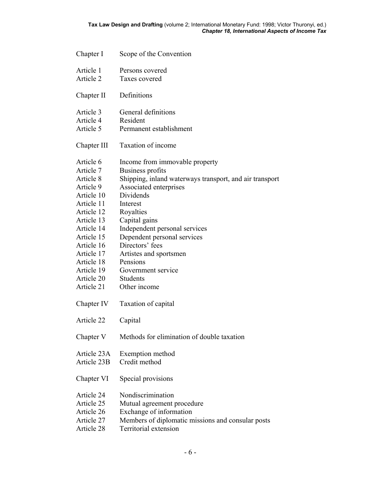| Chapter I   | Scope of the Convention                                 |
|-------------|---------------------------------------------------------|
| Article 1   | Persons covered                                         |
| Article 2   | Taxes covered                                           |
|             |                                                         |
| Chapter II  | Definitions                                             |
| Article 3   | General definitions                                     |
| Article 4   | Resident                                                |
| Article 5   | Permanent establishment                                 |
| Chapter III | Taxation of income                                      |
| Article 6   | Income from immovable property                          |
| Article 7   | <b>Business profits</b>                                 |
| Article 8   | Shipping, inland waterways transport, and air transport |
| Article 9   | Associated enterprises                                  |
| Article 10  | Dividends                                               |
| Article 11  | Interest                                                |
| Article 12  | Royalties                                               |
| Article 13  | Capital gains                                           |
| Article 14  | Independent personal services                           |
| Article 15  | Dependent personal services                             |
| Article 16  | Directors' fees                                         |
| Article 17  | Artistes and sportsmen                                  |
| Article 18  | Pensions                                                |
| Article 19  | Government service                                      |
| Article 20  | <b>Students</b>                                         |
| Article 21  | Other income                                            |
| Chapter IV  | Taxation of capital                                     |
| Article 22  | Capital                                                 |
| Chapter V   | Methods for elimination of double taxation              |
| Article 23A | Exemption method                                        |
| Article 23B | Credit method                                           |
| Chapter VI  | Special provisions                                      |
| Article 24  | Nondiscrimination                                       |
| Article 25  | Mutual agreement procedure                              |
| Article 26  | Exchange of information                                 |
| Article 27  | Members of diplomatic missions and consular posts       |
| Article 28  | Territorial extension                                   |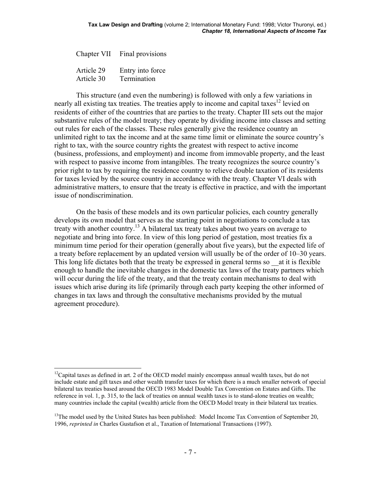Chapter VII Final provisions Article 29 Entry into force Article 30 Termination

 This structure (and even the numbering) is followed with only a few variations in nearly all existing tax treaties. The treaties apply to income and capital taxes<sup>12</sup> levied on residents of either of the countries that are parties to the treaty. Chapter III sets out the major substantive rules of the model treaty; they operate by dividing income into classes and setting out rules for each of the classes. These rules generally give the residence country an unlimited right to tax the income and at the same time limit or eliminate the source country's right to tax, with the source country rights the greatest with respect to active income (business, professions, and employment) and income from immovable property, and the least with respect to passive income from intangibles. The treaty recognizes the source country's prior right to tax by requiring the residence country to relieve double taxation of its residents for taxes levied by the source country in accordance with the treaty. Chapter VI deals with administrative matters, to ensure that the treaty is effective in practice, and with the important issue of nondiscrimination.

 On the basis of these models and its own particular policies, each country generally develops its own model that serves as the starting point in negotiations to conclude a tax treaty with another country.<sup>13</sup> A bilateral tax treaty takes about two years on average to negotiate and bring into force. In view of this long period of gestation, most treaties fix a minimum time period for their operation (generally about five years), but the expected life of a treaty before replacement by an updated version will usually be of the order of 10–30 years. This long life dictates both that the treaty be expressed in general terms so at it is flexible enough to handle the inevitable changes in the domestic tax laws of the treaty partners which will occur during the life of the treaty, and that the treaty contain mechanisms to deal with issues which arise during its life (primarily through each party keeping the other informed of changes in tax laws and through the consultative mechanisms provided by the mutual agreement procedure).

 $\overline{a}$ <sup>12</sup>Capital taxes as defined in art. 2 of the OECD model mainly encompass annual wealth taxes, but do not include estate and gift taxes and other wealth transfer taxes for which there is a much smaller network of special bilateral tax treaties based around the OECD 1983 Model Double Tax Convention on Estates and Gifts. The reference in vol. 1, p. 315, to the lack of treaties on annual wealth taxes is to stand-alone treaties on wealth; many countries include the capital (wealth) article from the OECD Model treaty in their bilateral tax treaties.

 $13$ The model used by the United States has been published: Model Income Tax Convention of September 20, 1996, *reprinted in* Charles Gustafson et al., Taxation of International Transactions (1997).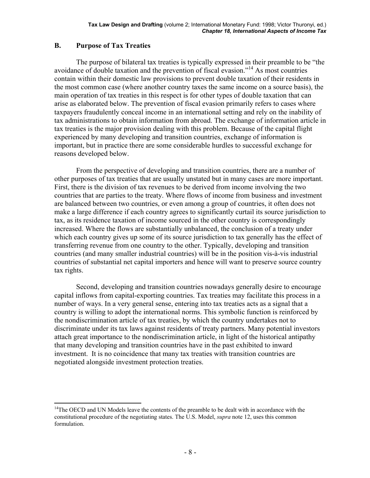#### **B. Purpose of Tax Treaties**

 $\overline{a}$ 

 The purpose of bilateral tax treaties is typically expressed in their preamble to be "the avoidance of double taxation and the prevention of fiscal evasion."14 As most countries contain within their domestic law provisions to prevent double taxation of their residents in the most common case (where another country taxes the same income on a source basis), the main operation of tax treaties in this respect is for other types of double taxation that can arise as elaborated below. The prevention of fiscal evasion primarily refers to cases where taxpayers fraudulently conceal income in an international setting and rely on the inability of tax administrations to obtain information from abroad. The exchange of information article in tax treaties is the major provision dealing with this problem. Because of the capital flight experienced by many developing and transition countries, exchange of information is important, but in practice there are some considerable hurdles to successful exchange for reasons developed below.

 From the perspective of developing and transition countries, there are a number of other purposes of tax treaties that are usually unstated but in many cases are more important. First, there is the division of tax revenues to be derived from income involving the two countries that are parties to the treaty. Where flows of income from business and investment are balanced between two countries, or even among a group of countries, it often does not make a large difference if each country agrees to significantly curtail its source jurisdiction to tax, as its residence taxation of income sourced in the other country is correspondingly increased. Where the flows are substantially unbalanced, the conclusion of a treaty under which each country gives up some of its source jurisdiction to tax generally has the effect of transferring revenue from one country to the other. Typically, developing and transition countries (and many smaller industrial countries) will be in the position vis-à-vis industrial countries of substantial net capital importers and hence will want to preserve source country tax rights.

 Second, developing and transition countries nowadays generally desire to encourage capital inflows from capital-exporting countries. Tax treaties may facilitate this process in a number of ways. In a very general sense, entering into tax treaties acts as a signal that a country is willing to adopt the international norms. This symbolic function is reinforced by the nondiscrimination article of tax treaties, by which the country undertakes not to discriminate under its tax laws against residents of treaty partners. Many potential investors attach great importance to the nondiscrimination article, in light of the historical antipathy that many developing and transition countries have in the past exhibited to inward investment. It is no coincidence that many tax treaties with transition countries are negotiated alongside investment protection treaties.

<sup>&</sup>lt;sup>14</sup>The OECD and UN Models leave the contents of the preamble to be dealt with in accordance with the constitutional procedure of the negotiating states. The U.S. Model, *supra* note 12, uses this common formulation.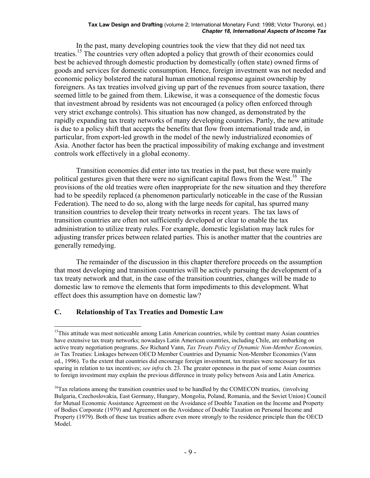#### **Tax Law Design and Drafting** (volume 2; International Monetary Fund: 1998; Victor Thuronyi, ed.) *Chapter 18, International Aspects of Income Tax*

 In the past, many developing countries took the view that they did not need tax treaties.<sup>15</sup> The countries very often adopted a policy that growth of their economies could best be achieved through domestic production by domestically (often state) owned firms of goods and services for domestic consumption. Hence, foreign investment was not needed and economic policy bolstered the natural human emotional response against ownership by foreigners. As tax treaties involved giving up part of the revenues from source taxation, there seemed little to be gained from them. Likewise, it was a consequence of the domestic focus that investment abroad by residents was not encouraged (a policy often enforced through very strict exchange controls). This situation has now changed, as demonstrated by the rapidly expanding tax treaty networks of many developing countries. Partly, the new attitude is due to a policy shift that accepts the benefits that flow from international trade and, in particular, from export-led growth in the model of the newly industrialized economies of Asia. Another factor has been the practical impossibility of making exchange and investment controls work effectively in a global economy.

 Transition economies did enter into tax treaties in the past, but these were mainly political gestures given that there were no significant capital flows from the West.<sup>16</sup> The provisions of the old treaties were often inappropriate for the new situation and they therefore had to be speedily replaced (a phenomenon particularly noticeable in the case of the Russian Federation). The need to do so, along with the large needs for capital, has spurred many transition countries to develop their treaty networks in recent years. The tax laws of transition countries are often not sufficiently developed or clear to enable the tax administration to utilize treaty rules. For example, domestic legislation may lack rules for adjusting transfer prices between related parties. This is another matter that the countries are generally remedying.

 The remainder of the discussion in this chapter therefore proceeds on the assumption that most developing and transition countries will be actively pursuing the development of a tax treaty network and that, in the case of the transition countries, changes will be made to domestic law to remove the elements that form impediments to this development. What effect does this assumption have on domestic law?

#### **C. Relationship of Tax Treaties and Domestic Law**

 $15$ This attitude was most noticeable among Latin American countries, while by contrast many Asian countries have extensive tax treaty networks; nowadays Latin American countries, including Chile, are embarking on active treaty negotiation programs. *See* Richard Vann, *Tax Treaty Policy of Dynamic Non-Member Economies, in* Tax Treaties: Linkages between OECD Member Countries and Dynamic Non-Member Economies (Vann ed., 1996). To the extent that countries did encourage foreign investment, tax treaties were necessary for tax sparing in relation to tax incentives; *see infra* ch. 23. The greater openness in the past of some Asian countries to foreign investment may explain the previous difference in treaty policy between Asia and Latin America.

 $<sup>16</sup>Tax$  relations among the transition countries used to be handled by the COMECON treaties, (involving</sup> Bulgaria, Czechoslovakia, East Germany, Hungary, Mongolia, Poland, Romania, and the Soviet Union) Council for Mutual Economic Assistance Agreement on the Avoidance of Double Taxation on the Income and Property of Bodies Corporate (1979) and Agreement on the Avoidance of Double Taxation on Personal Income and Property (1979). Both of these tax treaties adhere even more strongly to the residence principle than the OECD Model.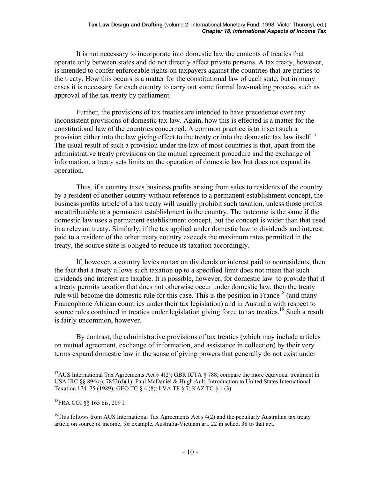It is not necessary to incorporate into domestic law the contents of treaties that operate only between states and do not directly affect private persons. A tax treaty, however, is intended to confer enforceable rights on taxpayers against the countries that are parties to the treaty. How this occurs is a matter for the constitutional law of each state, but in many cases it is necessary for each country to carry out some formal law-making process, such as approval of the tax treaty by parliament.

 Further, the provisions of tax treaties are intended to have precedence over any inconsistent provisions of domestic tax law. Again, how this is effected is a matter for the constitutional law of the countries concerned. A common practice is to insert such a provision either into the law giving effect to the treaty or into the domestic tax law itself.<sup>17</sup> The usual result of such a provision under the law of most countries is that, apart from the administrative treaty provisions on the mutual agreement procedure and the exchange of information, a treaty sets limits on the operation of domestic law but does not expand its operation.

 Thus, if a country taxes business profits arising from sales to residents of the country by a resident of another country without reference to a permanent establishment concept, the business profits article of a tax treaty will usually prohibit such taxation, unless those profits are attributable to a permanent establishment in the country. The outcome is the same if the domestic law uses a permanent establishment concept, but the concept is wider than that used in a relevant treaty. Similarly, if the tax applied under domestic law to dividends and interest paid to a resident of the other treaty country exceeds the maximum rates permitted in the treaty, the source state is obliged to reduce its taxation accordingly.

 If, however, a country levies no tax on dividends or interest paid to nonresidents, then the fact that a treaty allows such taxation up to a specified limit does not mean that such dividends and interest are taxable. It is possible, however, for domestic law to provide that if a treaty permits taxation that does not otherwise occur under domestic law, then the treaty rule will become the domestic rule for this case. This is the position in France<sup>18</sup> (and many Francophone African countries under their tax legislation) and in Australia with respect to source rules contained in treaties under legislation giving force to tax treaties.<sup>19</sup> Such a result is fairly uncommon, however.

 By contrast, the administrative provisions of tax treaties (which may include articles on mutual agreement, exchange of information, and assistance in collection) by their very terms expand domestic law in the sense of giving powers that generally do not exist under

<sup>&</sup>lt;sup>17</sup>AUS International Tax Agreements Act  $\S 4(2)$ ; GBR ICTA  $\S 788$ ; compare the more equivocal treatment in USA IRC §§ 894(a), 7852(d)(1); Paul McDaniel & Hugh Ault, Introduction to United States International Taxation 174–75 (1989); GEO TC § 4 (8); LVA TF § 7; KAZ TC § 1 (3).

<sup>18</sup>FRA CGI §§ 165 bis, 209 I.

<sup>&</sup>lt;sup>19</sup>This follows from AUS International Tax Agreements Act  $s$  4(2) and the peculiarly Australian tax treaty article on source of income, for example, Australia-Vietnam art. 22 in sched. 38 to that act.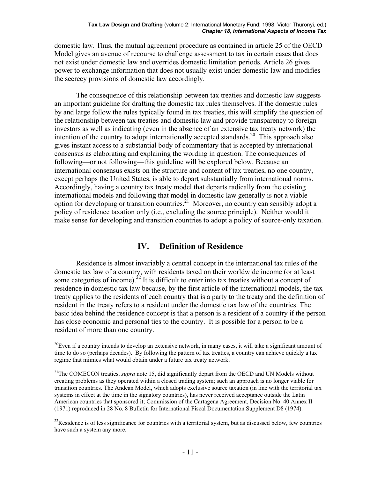domestic law. Thus, the mutual agreement procedure as contained in article 25 of the OECD Model gives an avenue of recourse to challenge assessment to tax in certain cases that does not exist under domestic law and overrides domestic limitation periods. Article 26 gives power to exchange information that does not usually exist under domestic law and modifies the secrecy provisions of domestic law accordingly.

 The consequence of this relationship between tax treaties and domestic law suggests an important guideline for drafting the domestic tax rules themselves. If the domestic rules by and large follow the rules typically found in tax treaties, this will simplify the question of the relationship between tax treaties and domestic law and provide transparency to foreign investors as well as indicating (even in the absence of an extensive tax treaty network) the intention of the country to adopt internationally accepted standards.<sup>20</sup> This approach also gives instant access to a substantial body of commentary that is accepted by international consensus as elaborating and explaining the wording in question. The consequences of following—or not following—this guideline will be explored below. Because an international consensus exists on the structure and content of tax treaties, no one country, except perhaps the United States, is able to depart substantially from international norms. Accordingly, having a country tax treaty model that departs radically from the existing international models and following that model in domestic law generally is not a viable option for developing or transition countries.<sup>21</sup> Moreover, no country can sensibly adopt a policy of residence taxation only (i.e., excluding the source principle). Neither would it make sense for developing and transition countries to adopt a policy of source-only taxation.

# **IV. Definition of Residence**

 Residence is almost invariably a central concept in the international tax rules of the domestic tax law of a country, with residents taxed on their worldwide income (or at least some categories of income).<sup>22</sup> It is difficult to enter into tax treaties without a concept of residence in domestic tax law because, by the first article of the international models, the tax treaty applies to the residents of each country that is a party to the treaty and the definition of resident in the treaty refers to a resident under the domestic tax law of the countries. The basic idea behind the residence concept is that a person is a resident of a country if the person has close economic and personal ties to the country. It is possible for a person to be a resident of more than one country.

 $\overline{a}$ 

 $20$ Even if a country intends to develop an extensive network, in many cases, it will take a significant amount of time to do so (perhaps decades). By following the pattern of tax treaties, a country can achieve quickly a tax regime that mimics what would obtain under a future tax treaty network.

<sup>&</sup>lt;sup>21</sup>The COMECON treaties, *supra* note 15, did significantly depart from the OECD and UN Models without creating problems as they operated within a closed trading system; such an approach is no longer viable for transition countries. The Andean Model, which adopts exclusive source taxation (in line with the territorial tax systems in effect at the time in the signatory countries), has never received acceptance outside the Latin American countries that sponsored it; Commission of the Cartagena Agreement, Decision No. 40 Annex II (1971) reproduced in 28 No. 8 Bulletin for International Fiscal Documentation Supplement D8 (1974).

 $^{22}$ Residence is of less significance for countries with a territorial system, but as discussed below, few countries have such a system any more.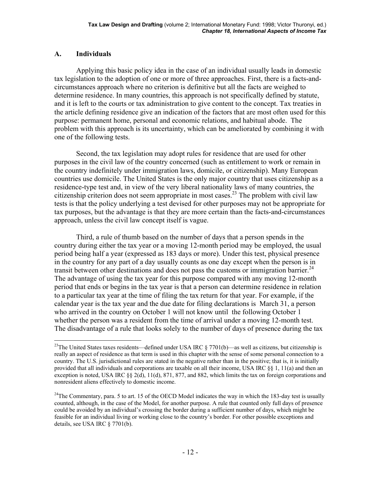#### **A. Individuals**

 $\overline{a}$ 

 Applying this basic policy idea in the case of an individual usually leads in domestic tax legislation to the adoption of one or more of three approaches. First, there is a facts-andcircumstances approach where no criterion is definitive but all the facts are weighed to determine residence. In many countries, this approach is not specifically defined by statute, and it is left to the courts or tax administration to give content to the concept. Tax treaties in the article defining residence give an indication of the factors that are most often used for this purpose: permanent home, personal and economic relations, and habitual abode. The problem with this approach is its uncertainty, which can be ameliorated by combining it with one of the following tests.

 Second, the tax legislation may adopt rules for residence that are used for other purposes in the civil law of the country concerned (such as entitlement to work or remain in the country indefinitely under immigration laws, domicile, or citizenship). Many European countries use domicile. The United States is the only major country that uses citizenship as a residence-type test and, in view of the very liberal nationality laws of many countries, the citizenship criterion does not seem appropriate in most cases.<sup>23</sup> The problem with civil law tests is that the policy underlying a test devised for other purposes may not be appropriate for tax purposes, but the advantage is that they are more certain than the facts-and-circumstances approach, unless the civil law concept itself is vague.

 Third, a rule of thumb based on the number of days that a person spends in the country during either the tax year or a moving 12-month period may be employed, the usual period being half a year (expressed as 183 days or more). Under this test, physical presence in the country for any part of a day usually counts as one day except when the person is in transit between other destinations and does not pass the customs or immigration barrier.<sup>24</sup> The advantage of using the tax year for this purpose compared with any moving 12-month period that ends or begins in the tax year is that a person can determine residence in relation to a particular tax year at the time of filing the tax return for that year. For example, if the calendar year is the tax year and the due date for filing declarations is March 31, a person who arrived in the country on October 1 will not know until the following October 1 whether the person was a resident from the time of arrival under a moving 12-month test. The disadvantage of a rule that looks solely to the number of days of presence during the tax

<sup>&</sup>lt;sup>23</sup>The United States taxes residents—defined under USA IRC  $\S$  7701(b)—as well as citizens, but citizenship is really an aspect of residence as that term is used in this chapter with the sense of some personal connection to a country. The U.S. jurisdictional rules are stated in the negative rather than in the positive; that is, it is initially provided that all individuals and corporations are taxable on all their income, USA IRC §§ 1, 11(a) and then an exception is noted, USA IRC  $\S$ § 2(d), 11(d), 871, 877, and 882, which limits the tax on foreign corporations and nonresident aliens effectively to domestic income.

<sup>&</sup>lt;sup>24</sup>The Commentary, para. 5 to art. 15 of the OECD Model indicates the way in which the 183-day test is usually counted, although, in the case of the Model, for another purpose. A rule that counted only full days of presence could be avoided by an individual's crossing the border during a sufficient number of days, which might be feasible for an individual living or working close to the country's border. For other possible exceptions and details, see USA IRC § 7701(b).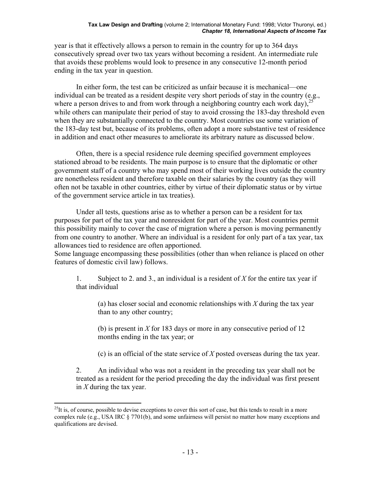year is that it effectively allows a person to remain in the country for up to 364 days consecutively spread over two tax years without becoming a resident. An intermediate rule that avoids these problems would look to presence in any consecutive 12-month period ending in the tax year in question.

 In either form, the test can be criticized as unfair because it is mechanical—one individual can be treated as a resident despite very short periods of stay in the country (e.g., where a person drives to and from work through a neighboring country each work day),  $\frac{3}{5}$ while others can manipulate their period of stay to avoid crossing the 183-day threshold even when they are substantially connected to the country. Most countries use some variation of the 183-day test but, because of its problems, often adopt a more substantive test of residence in addition and enact other measures to ameliorate its arbitrary nature as discussed below.

 Often, there is a special residence rule deeming specified government employees stationed abroad to be residents. The main purpose is to ensure that the diplomatic or other government staff of a country who may spend most of their working lives outside the country are nonetheless resident and therefore taxable on their salaries by the country (as they will often not be taxable in other countries, either by virtue of their diplomatic status or by virtue of the government service article in tax treaties).

 Under all tests, questions arise as to whether a person can be a resident for tax purposes for part of the tax year and nonresident for part of the year. Most countries permit this possibility mainly to cover the case of migration where a person is moving permanently from one country to another. Where an individual is a resident for only part of a tax year, tax allowances tied to residence are often apportioned.

 Some language encompassing these possibilities (other than when reliance is placed on other features of domestic civil law) follows.

1. Subject to 2. and 3., an individual is a resident of *X* for the entire tax year if that individual

(a) has closer social and economic relationships with *X* during the tax year than to any other country;

(b) is present in *X* for 183 days or more in any consecutive period of 12 months ending in the tax year; or

(c) is an official of the state service of *X* posted overseas during the tax year.

2. An individual who was not a resident in the preceding tax year shall not be treated as a resident for the period preceding the day the individual was first present in *X* during the tax year.

<sup>1</sup>  $^{25}$ It is, of course, possible to devise exceptions to cover this sort of case, but this tends to result in a more complex rule (e.g., USA IRC § 7701(b), and some unfairness will persist no matter how many exceptions and qualifications are devised.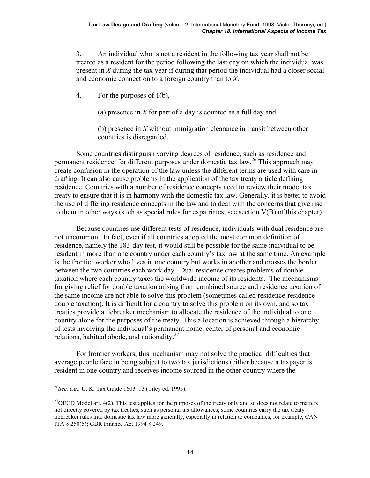3. An individual who is not a resident in the following tax year shall not be treated as a resident for the period following the last day on which the individual was present in *X* during the tax year if during that period the individual had a closer social and economic connection to a foreign country than to *X*.

4. For the purposes of 1(b),

(a) presence in *X* for part of a day is counted as a full day and

(b) presence in *X* without immigration clearance in transit between other countries is disregarded.

 Some countries distinguish varying degrees of residence, such as residence and permanent residence, for different purposes under domestic tax law.<sup>26</sup> This approach may create confusion in the operation of the law unless the different terms are used with care in drafting. It can also cause problems in the application of the tax treaty article defining residence. Countries with a number of residence concepts need to review their model tax treaty to ensure that it is in harmony with the domestic tax law. Generally, it is better to avoid the use of differing residence concepts in the law and to deal with the concerns that give rise to them in other ways (such as special rules for expatriates; see section V(B) of this chapter).

 Because countries use different tests of residence, individuals with dual residence are not uncommon. In fact, even if all countries adopted the most common definition of residence, namely the 183-day test, it would still be possible for the same individual to be resident in more than one country under each country's tax law at the same time. An example is the frontier worker who lives in one country but works in another and crosses the border between the two countries each work day. Dual residence creates problems of double taxation where each country taxes the worldwide income of its residents. The mechanisms for giving relief for double taxation arising from combined source and residence taxation of the same income are not able to solve this problem (sometimes called residence-residence double taxation). It is difficult for a country to solve this problem on its own, and so tax treaties provide a tiebreaker mechanism to allocate the residence of the individual to one country alone for the purposes of the treaty. This allocation is achieved through a hierarchy of tests involving the individual's permanent home, center of personal and economic relations, habitual abode, and nationality.<sup>27</sup>

 For frontier workers, this mechanism may not solve the practical difficulties that average people face in being subject to two tax jurisdictions (either because a taxpayer is resident in one country and receives income sourced in the other country where the

 $\overline{a}$ 

<sup>26</sup>*See, e.g.,* U. K. Tax Guide 1603–13 (Tiley ed. 1995).

<sup>&</sup>lt;sup>27</sup>OECD Model art. 4(2). This test applies for the purposes of the treaty only and so does not relate to matters not directly covered by tax treaties, such as personal tax allowances; some countries carry the tax treaty tiebreaker rules into domestic tax law more generally, especially in relation to companies, for example, CAN ITA § 250(5); GBR Finance Act 1994 § 249.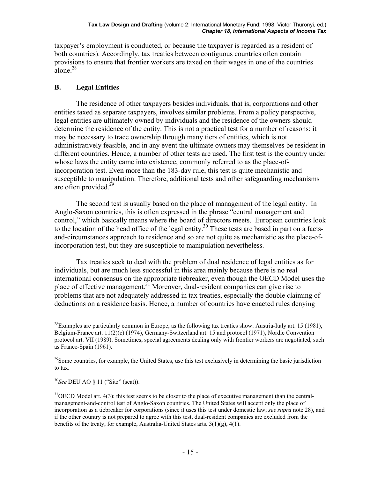taxpayer's employment is conducted, or because the taxpayer is regarded as a resident of both countries). Accordingly, tax treaties between contiguous countries often contain provisions to ensure that frontier workers are taxed on their wages in one of the countries alone. $^{28}$ 

### **B. Legal Entities**

 The residence of other taxpayers besides individuals, that is, corporations and other entities taxed as separate taxpayers, involves similar problems. From a policy perspective, legal entities are ultimately owned by individuals and the residence of the owners should determine the residence of the entity. This is not a practical test for a number of reasons: it may be necessary to trace ownership through many tiers of entities, which is not administratively feasible, and in any event the ultimate owners may themselves be resident in different countries. Hence, a number of other tests are used. The first test is the country under whose laws the entity came into existence, commonly referred to as the place-ofincorporation test. Even more than the 183-day rule, this test is quite mechanistic and susceptible to manipulation. Therefore, additional tests and other safeguarding mechanisms are often provided. $29$ 

 The second test is usually based on the place of management of the legal entity. In Anglo-Saxon countries, this is often expressed in the phrase "central management and control," which basically means where the board of directors meets. European countries look to the location of the head office of the legal entity.<sup>30</sup> These tests are based in part on a factsand-circumstances approach to residence and so are not quite as mechanistic as the place-ofincorporation test, but they are susceptible to manipulation nevertheless.

 Tax treaties seek to deal with the problem of dual residence of legal entities as for individuals, but are much less successful in this area mainly because there is no real international consensus on the appropriate tiebreaker, even though the OECD Model uses the place of effective management.31 Moreover, dual-resident companies can give rise to problems that are not adequately addressed in tax treaties, especially the double claiming of deductions on a residence basis. Hence, a number of countries have enacted rules denying

<sup>30</sup>*See* DEU AO § 11 ("Sitz" (seat)).

 $\overline{a}$ 

 $^{28}$ Examples are particularly common in Europe, as the following tax treaties show: Austria-Italy art. 15 (1981), Belgium-France art. 11(2)(c) (1974), Germany-Switzerland art. 15 and protocol (1971), Nordic Convention protocol art. VII (1989). Sometimes, special agreements dealing only with frontier workers are negotiated, such as France-Spain (1961).

<sup>&</sup>lt;sup>29</sup>Some countries, for example, the United States, use this test exclusively in determining the basic jurisdiction to tax.

 $31$ OECD Model art. 4(3); this test seems to be closer to the place of executive management than the centralmanagement-and-control test of Anglo-Saxon countries. The United States will accept only the place of incorporation as a tiebreaker for corporations (since it uses this test under domestic law; *see supra* note 28), and if the other country is not prepared to agree with this test, dual-resident companies are excluded from the benefits of the treaty, for example, Australia-United States arts.  $3(1)(g)$ ,  $4(1)$ .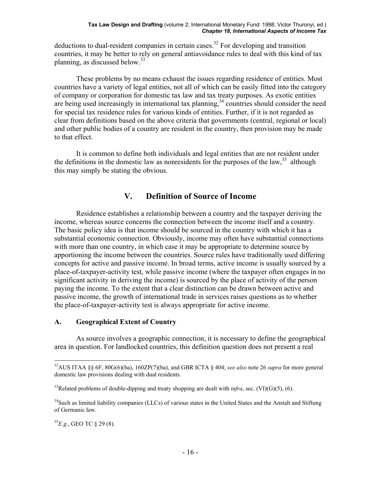deductions to dual-resident companies in certain cases.<sup>32</sup> For developing and transition countries, it may be better to rely on general antiavoidance rules to deal with this kind of tax planning, as discussed below.<sup>33</sup>

 These problems by no means exhaust the issues regarding residence of entities. Most countries have a variety of legal entities, not all of which can be easily fitted into the category of company or corporation for domestic tax law and tax treaty purposes. As exotic entities are being used increasingly in international tax planning,  $34$  countries should consider the need for special tax residence rules for various kinds of entities. Further, if it is not regarded as clear from definitions based on the above criteria that governments (central, regional or local) and other public bodies of a country are resident in the country, then provision may be made to that effect.

 It is common to define both individuals and legal entities that are not resident under the definitions in the domestic law as nonresidents for the purposes of the law,  $35$  although this may simply be stating the obvious.

# **V. Definition of Source of Income**

 Residence establishes a relationship between a country and the taxpayer deriving the income, whereas source concerns the connection between the income itself and a country. The basic policy idea is that income should be sourced in the country with which it has a substantial economic connection. Obviously, income may often have substantial connections with more than one country, in which case it may be appropriate to determine source by apportioning the income between the countries. Source rules have traditionally used differing concepts for active and passive income. In broad terms, active income is usually sourced by a place-of-taxpayer-activity test, while passive income (where the taxpayer often engages in no significant activity in deriving the income) is sourced by the place of activity of the person paying the income. To the extent that a clear distinction can be drawn between active and passive income, the growth of international trade in services raises questions as to whether the place-of-taxpayer-activity test is always appropriate for active income.

#### **A. Geographical Extent of Country**

 As source involves a geographic connection, it is necessary to define the geographical area in question. For landlocked countries, this definition question does not present a real

 ${}^{35}E.g.,$  GEO TC  $\S$  29 (8).

 $\overline{a}$ 32AUS ITAA §§ 6F, 80G(6)(ba), 160ZP(7)(ba), and GBR ICTA § 404; *see also* note 26 *supra* for more general domestic law provisions dealing with dual residents.

<sup>&</sup>lt;sup>33</sup>Related problems of double-dipping and treaty shopping are dealt with *infra*, sec. (VI)(G)(5), (6).

 $34$ Such as limited liability companies (LLCs) of various states in the United States and the Anstalt and Stiftung of Germanic law.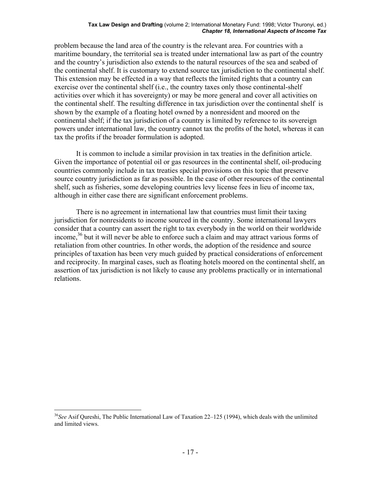#### **Tax Law Design and Drafting** (volume 2; International Monetary Fund: 1998; Victor Thuronyi, ed.) *Chapter 18, International Aspects of Income Tax*

problem because the land area of the country is the relevant area. For countries with a maritime boundary, the territorial sea is treated under international law as part of the country and the country's jurisdiction also extends to the natural resources of the sea and seabed of the continental shelf. It is customary to extend source tax jurisdiction to the continental shelf. This extension may be effected in a way that reflects the limited rights that a country can exercise over the continental shelf (i.e., the country taxes only those continental-shelf activities over which it has sovereignty) or may be more general and cover all activities on the continental shelf. The resulting difference in tax jurisdiction over the continental shelf is shown by the example of a floating hotel owned by a nonresident and moored on the continental shelf; if the tax jurisdiction of a country is limited by reference to its sovereign powers under international law, the country cannot tax the profits of the hotel, whereas it can tax the profits if the broader formulation is adopted.

 It is common to include a similar provision in tax treaties in the definition article. Given the importance of potential oil or gas resources in the continental shelf, oil-producing countries commonly include in tax treaties special provisions on this topic that preserve source country jurisdiction as far as possible. In the case of other resources of the continental shelf, such as fisheries, some developing countries levy license fees in lieu of income tax, although in either case there are significant enforcement problems.

 There is no agreement in international law that countries must limit their taxing jurisdiction for nonresidents to income sourced in the country. Some international lawyers consider that a country can assert the right to tax everybody in the world on their worldwide income,  $36$  but it will never be able to enforce such a claim and may attract various forms of retaliation from other countries. In other words, the adoption of the residence and source principles of taxation has been very much guided by practical considerations of enforcement and reciprocity. In marginal cases, such as floating hotels moored on the continental shelf, an assertion of tax jurisdiction is not likely to cause any problems practically or in international relations.

 $\overline{a}$ 

<sup>36</sup>*See* Asif Qureshi, The Public International Law of Taxation 22–125 (1994), which deals with the unlimited and limited views.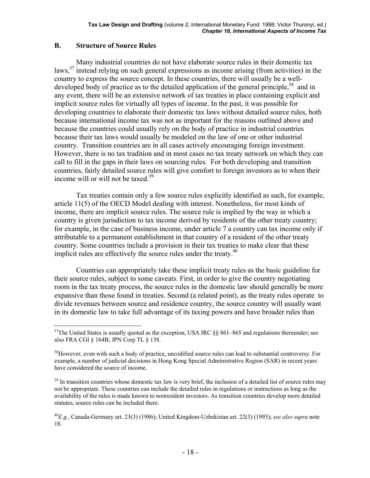#### **B. Structure of Source Rules**

 $\overline{a}$ 

 Many industrial countries do not have elaborate source rules in their domestic tax laws,37 instead relying on such general expressions as income arising (from activities) in the country to express the source concept. In these countries, there will usually be a welldeveloped body of practice as to the detailed application of the general principle,  $38$  and in any event, there will be an extensive network of tax treaties in place containing explicit and implicit source rules for virtually all types of income. In the past, it was possible for developing countries to elaborate their domestic tax laws without detailed source rules, both because international income tax was not as important for the reasons outlined above and because the countries could usually rely on the body of practice in industrial countries because their tax laws would usually be modeled on the law of one or other industrial country. Transition countries are in all cases actively encouraging foreign investment. However, there is no tax tradition and in most cases no tax treaty network on which they can call to fill in the gaps in their laws on sourcing rules. For both developing and transition countries, fairly detailed source rules will give comfort to foreign investors as to when their income will or will not be taxed. $39$ 

 Tax treaties contain only a few source rules explicitly identified as such, for example, article 11(5) of the OECD Model dealing with interest. Nonetheless, for most kinds of income, there are implicit source rules. The source rule is implied by the way in which a country is given jurisdiction to tax income derived by residents of the other treaty country; for example, in the case of business income, under article 7 a country can tax income only if attributable to a permanent establishment in that country of a resident of the other treaty country. Some countries include a provision in their tax treaties to make clear that these implicit rules are effectively the source rules under the treaty.<sup>40</sup>

 Countries can appropriately take these implicit treaty rules as the basic guideline for their source rules, subject to some caveats. First, in order to give the country negotiating room in the tax treaty process, the source rules in the domestic law should generally be more expansive than those found in treaties. Second (a related point), as the treaty rules operate to divide revenues between source and residence country, the source country will usually want in its domestic law to take full advantage of its taxing powers and have broader rules than

 $37$ The United States is usually quoted as the exception, USA IRC §§ 861–865 and regulations thereunder; see also FRA CGI § 164B; JPN Corp TL § 138.

<sup>&</sup>lt;sup>38</sup>However, even with such a body of practice, uncodified source rules can lead to substantial controversy. For example, a number of judicial decisions in Hong Kong Special Administrative Region (SAR) in recent years have considered the source of income.

 $39$  In transition countries whose domestic tax law is very brief, the inclusion of a detailed list of source rules may not be appropriate. These countries can include the detailed rules in regulations or instructions as long as the availability of the rules is made known to nonresident investors. As transition countries develop more detailed statutes, source rules can be included there.

<sup>40</sup>*E.g.*, Canada-Germany art. 23(3) (1986); United Kingdom-Uzbekistan art. 22(3) (1993); *see also supra* note 18.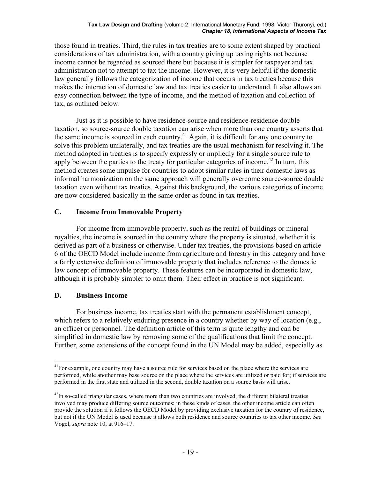those found in treaties. Third, the rules in tax treaties are to some extent shaped by practical considerations of tax administration, with a country giving up taxing rights not because income cannot be regarded as sourced there but because it is simpler for taxpayer and tax administration not to attempt to tax the income. However, it is very helpful if the domestic law generally follows the categorization of income that occurs in tax treaties because this makes the interaction of domestic law and tax treaties easier to understand. It also allows an easy connection between the type of income, and the method of taxation and collection of tax, as outlined below.

 Just as it is possible to have residence-source and residence-residence double taxation, so source-source double taxation can arise when more than one country asserts that the same income is sourced in each country.<sup>41</sup> Again, it is difficult for any one country to solve this problem unilaterally, and tax treaties are the usual mechanism for resolving it. The method adopted in treaties is to specify expressly or impliedly for a single source rule to apply between the parties to the treaty for particular categories of income.<sup>42</sup> In turn, this method creates some impulse for countries to adopt similar rules in their domestic laws as informal harmonization on the same approach will generally overcome source-source double taxation even without tax treaties. Against this background, the various categories of income are now considered basically in the same order as found in tax treaties.

### **C. Income from Immovable Property**

 For income from immovable property, such as the rental of buildings or mineral royalties, the income is sourced in the country where the property is situated, whether it is derived as part of a business or otherwise. Under tax treaties, the provisions based on article 6 of the OECD Model include income from agriculture and forestry in this category and have a fairly extensive definition of immovable property that includes reference to the domestic law concept of immovable property. These features can be incorporated in domestic law, although it is probably simpler to omit them. Their effect in practice is not significant.

#### **D. Business Income**

 $\overline{a}$ 

 For business income, tax treaties start with the permanent establishment concept, which refers to a relatively enduring presence in a country whether by way of location (e.g., an office) or personnel. The definition article of this term is quite lengthy and can be simplified in domestic law by removing some of the qualifications that limit the concept. Further, some extensions of the concept found in the UN Model may be added, especially as

<sup>&</sup>lt;sup>41</sup>For example, one country may have a source rule for services based on the place where the services are performed, while another may base source on the place where the services are utilized or paid for; if services are performed in the first state and utilized in the second, double taxation on a source basis will arise.

 $^{42}$ In so-called triangular cases, where more than two countries are involved, the different bilateral treaties involved may produce differing source outcomes; in these kinds of cases, the other income article can often provide the solution if it follows the OECD Model by providing exclusive taxation for the country of residence, but not if the UN Model is used because it allows both residence and source countries to tax other income. *See* Vogel, *supra* note 10, at 916–17.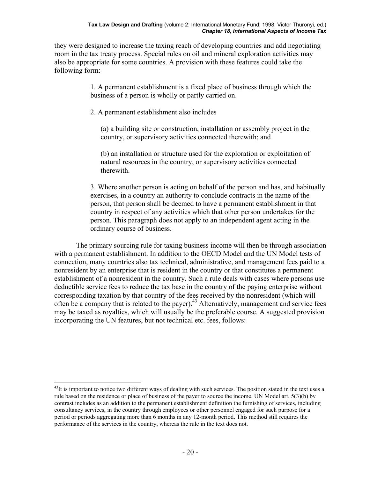they were designed to increase the taxing reach of developing countries and add negotiating room in the tax treaty process. Special rules on oil and mineral exploration activities may also be appropriate for some countries. A provision with these features could take the following form:

> 1. A permanent establishment is a fixed place of business through which the business of a person is wholly or partly carried on.

2. A permanent establishment also includes

(a) a building site or construction, installation or assembly project in the country, or supervisory activities connected therewith; and

(b) an installation or structure used for the exploration or exploitation of natural resources in the country, or supervisory activities connected therewith.

3. Where another person is acting on behalf of the person and has, and habitually exercises, in a country an authority to conclude contracts in the name of the person, that person shall be deemed to have a permanent establishment in that country in respect of any activities which that other person undertakes for the person. This paragraph does not apply to an independent agent acting in the ordinary course of business.

 The primary sourcing rule for taxing business income will then be through association with a permanent establishment. In addition to the OECD Model and the UN Model tests of connection, many countries also tax technical, administrative, and management fees paid to a nonresident by an enterprise that is resident in the country or that constitutes a permanent establishment of a nonresident in the country. Such a rule deals with cases where persons use deductible service fees to reduce the tax base in the country of the paying enterprise without corresponding taxation by that country of the fees received by the nonresident (which will often be a company that is related to the payer).43 Alternatively, management and service fees may be taxed as royalties, which will usually be the preferable course. A suggested provision incorporating the UN features, but not technical etc. fees, follows:

<sup>&</sup>lt;sup>43</sup>It is important to notice two different ways of dealing with such services. The position stated in the text uses a rule based on the residence or place of business of the payer to source the income. UN Model art. 5(3)(b) by contrast includes as an addition to the permanent establishment definition the furnishing of services, including consultancy services, in the country through employees or other personnel engaged for such purpose for a period or periods aggregating more than 6 months in any 12-month period. This method still requires the performance of the services in the country, whereas the rule in the text does not.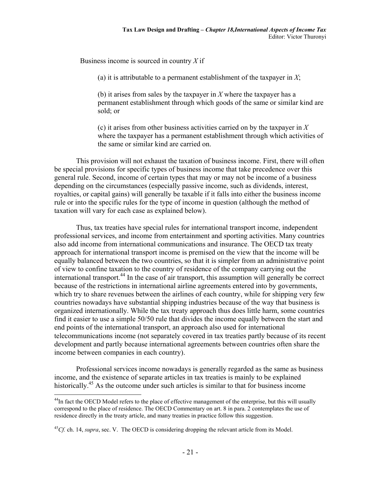Business income is sourced in country *X* if

(a) it is attributable to a permanent establishment of the taxpayer in *X*;

(b) it arises from sales by the taxpayer in *X* where the taxpayer has a permanent establishment through which goods of the same or similar kind are sold; or

(c) it arises from other business activities carried on by the taxpayer in *X* where the taxpayer has a permanent establishment through which activities of the same or similar kind are carried on.

 This provision will not exhaust the taxation of business income. First, there will often be special provisions for specific types of business income that take precedence over this general rule. Second, income of certain types that may or may not be income of a business depending on the circumstances (especially passive income, such as dividends, interest, royalties, or capital gains) will generally be taxable if it falls into either the business income rule or into the specific rules for the type of income in question (although the method of taxation will vary for each case as explained below).

 Thus, tax treaties have special rules for international transport income, independent professional services, and income from entertainment and sporting activities. Many countries also add income from international communications and insurance. The OECD tax treaty approach for international transport income is premised on the view that the income will be equally balanced between the two countries, so that it is simpler from an administrative point of view to confine taxation to the country of residence of the company carrying out the international transport.<sup>44</sup> In the case of air transport, this assumption will generally be correct because of the restrictions in international airline agreements entered into by governments, which try to share revenues between the airlines of each country, while for shipping very few countries nowadays have substantial shipping industries because of the way that business is organized internationally. While the tax treaty approach thus does little harm, some countries find it easier to use a simple 50/50 rule that divides the income equally between the start and end points of the international transport, an approach also used for international telecommunications income (not separately covered in tax treaties partly because of its recent development and partly because international agreements between countries often share the income between companies in each country).

 Professional services income nowadays is generally regarded as the same as business income, and the existence of separate articles in tax treaties is mainly to be explained historically.<sup>45</sup> As the outcome under such articles is similar to that for business income

<sup>&</sup>lt;sup>44</sup>In fact the OECD Model refers to the place of effective management of the enterprise, but this will usually correspond to the place of residence. The OECD Commentary on art. 8 in para. 2 contemplates the use of residence directly in the treaty article, and many treaties in practice follow this suggestion.

<sup>45</sup>*Cf.* ch. 14, *supra*, sec. V. The OECD is considering dropping the relevant article from its Model.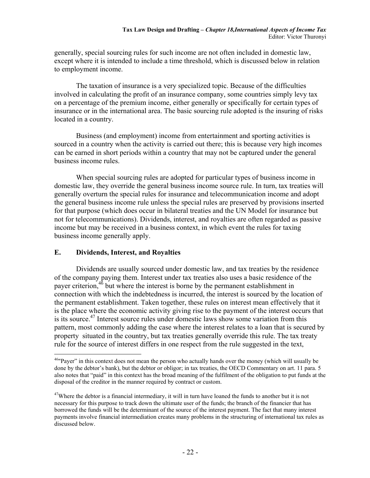generally, special sourcing rules for such income are not often included in domestic law, except where it is intended to include a time threshold, which is discussed below in relation to employment income.

 The taxation of insurance is a very specialized topic. Because of the difficulties involved in calculating the profit of an insurance company, some countries simply levy tax on a percentage of the premium income, either generally or specifically for certain types of insurance or in the international area. The basic sourcing rule adopted is the insuring of risks located in a country.

 Business (and employment) income from entertainment and sporting activities is sourced in a country when the activity is carried out there; this is because very high incomes can be earned in short periods within a country that may not be captured under the general business income rules.

 When special sourcing rules are adopted for particular types of business income in domestic law, they override the general business income source rule. In turn, tax treaties will generally overturn the special rules for insurance and telecommunication income and adopt the general business income rule unless the special rules are preserved by provisions inserted for that purpose (which does occur in bilateral treaties and the UN Model for insurance but not for telecommunications). Dividends, interest, and royalties are often regarded as passive income but may be received in a business context, in which event the rules for taxing business income generally apply.

#### **E. Dividends, Interest, and Royalties**

1

 Dividends are usually sourced under domestic law, and tax treaties by the residence of the company paying them. Interest under tax treaties also uses a basic residence of the payer criterion,<sup>46</sup> but where the interest is borne by the permanent establishment in connection with which the indebtedness is incurred, the interest is sourced by the location of the permanent establishment. Taken together, these rules on interest mean effectively that it is the place where the economic activity giving rise to the payment of the interest occurs that is its source.<sup>47</sup> Interest source rules under domestic laws show some variation from this pattern, most commonly adding the case where the interest relates to a loan that is secured by property situated in the country, but tax treaties generally override this rule. The tax treaty rule for the source of interest differs in one respect from the rule suggested in the text,

<sup>&</sup>lt;sup>46</sup>"Payer" in this context does not mean the person who actually hands over the money (which will usually be done by the debtor's bank), but the debtor or obligor; in tax treaties, the OECD Commentary on art. 11 para. 5 also notes that "paid" in this context has the broad meaning of the fulfilment of the obligation to put funds at the disposal of the creditor in the manner required by contract or custom.

<sup>&</sup>lt;sup>47</sup>Where the debtor is a financial intermediary, it will in turn have loaned the funds to another but it is not necessary for this purpose to track down the ultimate user of the funds; the branch of the financier that has borrowed the funds will be the determinant of the source of the interest payment. The fact that many interest payments involve financial intermediation creates many problems in the structuring of international tax rules as discussed below.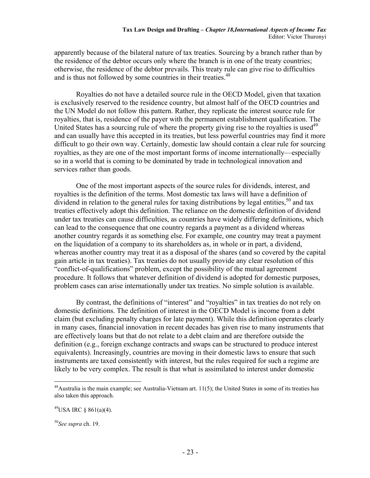apparently because of the bilateral nature of tax treaties. Sourcing by a branch rather than by the residence of the debtor occurs only where the branch is in one of the treaty countries; otherwise, the residence of the debtor prevails. This treaty rule can give rise to difficulties and is thus not followed by some countries in their treaties.<sup>48</sup>

 Royalties do not have a detailed source rule in the OECD Model, given that taxation is exclusively reserved to the residence country, but almost half of the OECD countries and the UN Model do not follow this pattern. Rather, they replicate the interest source rule for royalties, that is, residence of the payer with the permanent establishment qualification. The United States has a sourcing rule of where the property giving rise to the royalties is used<sup> $49$ </sup> and can usually have this accepted in its treaties, but less powerful countries may find it more difficult to go their own way. Certainly, domestic law should contain a clear rule for sourcing royalties, as they are one of the most important forms of income internationally—especially so in a world that is coming to be dominated by trade in technological innovation and services rather than goods.

 One of the most important aspects of the source rules for dividends, interest, and royalties is the definition of the terms. Most domestic tax laws will have a definition of dividend in relation to the general rules for taxing distributions by legal entities,<sup>50</sup> and tax treaties effectively adopt this definition. The reliance on the domestic definition of dividend under tax treaties can cause difficulties, as countries have widely differing definitions, which can lead to the consequence that one country regards a payment as a dividend whereas another country regards it as something else. For example, one country may treat a payment on the liquidation of a company to its shareholders as, in whole or in part, a dividend, whereas another country may treat it as a disposal of the shares (and so covered by the capital gain article in tax treaties). Tax treaties do not usually provide any clear resolution of this "conflict-of-qualifications" problem, except the possibility of the mutual agreement procedure. It follows that whatever definition of dividend is adopted for domestic purposes, problem cases can arise internationally under tax treaties. No simple solution is available.

By contrast, the definitions of "interest" and "royalties" in tax treaties do not rely on domestic definitions. The definition of interest in the OECD Model is income from a debt claim (but excluding penalty charges for late payment). While this definition operates clearly in many cases, financial innovation in recent decades has given rise to many instruments that are effectively loans but that do not relate to a debt claim and are therefore outside the definition (e.g., foreign exchange contracts and swaps can be structured to produce interest equivalents). Increasingly, countries are moving in their domestic laws to ensure that such instruments are taxed consistently with interest, but the rules required for such a regime are likely to be very complex. The result is that what is assimilated to interest under domestic

<u>.</u>

 $^{48}$ Australia is the main example; see Australia-Vietnam art. 11(5); the United States in some of its treaties has also taken this approach.

 $^{49}$ USA IRC § 861(a)(4).

<sup>50</sup>*See supra* ch. 19.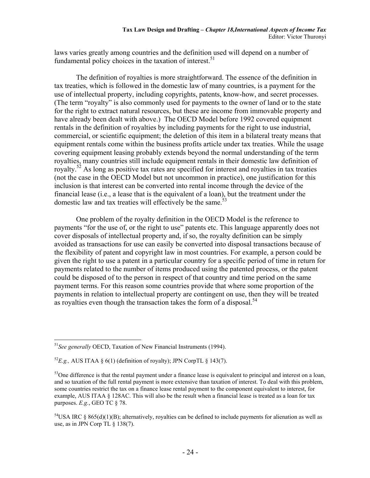laws varies greatly among countries and the definition used will depend on a number of fundamental policy choices in the taxation of interest. $51$ 

 The definition of royalties is more straightforward. The essence of the definition in tax treaties, which is followed in the domestic law of many countries, is a payment for the use of intellectual property, including copyrights, patents, know-how, and secret processes. (The term "royalty" is also commonly used for payments to the owner of land or to the state for the right to extract natural resources, but these are income from immovable property and have already been dealt with above.) The OECD Model before 1992 covered equipment rentals in the definition of royalties by including payments for the right to use industrial, commercial, or scientific equipment; the deletion of this item in a bilateral treaty means that equipment rentals come within the business profits article under tax treaties. While the usage covering equipment leasing probably extends beyond the normal understanding of the term royalties, many countries still include equipment rentals in their domestic law definition of royalty.52 As long as positive tax rates are specified for interest and royalties in tax treaties (not the case in the OECD Model but not uncommon in practice), one justification for this inclusion is that interest can be converted into rental income through the device of the financial lease (i.e., a lease that is the equivalent of a loan), but the treatment under the domestic law and tax treaties will effectively be the same.<sup>53</sup>

 One problem of the royalty definition in the OECD Model is the reference to payments "for the use of, or the right to use" patents etc. This language apparently does not cover disposals of intellectual property and, if so, the royalty definition can be simply avoided as transactions for use can easily be converted into disposal transactions because of the flexibility of patent and copyright law in most countries. For example, a person could be given the right to use a patent in a particular country for a specific period of time in return for payments related to the number of items produced using the patented process, or the patent could be disposed of to the person in respect of that country and time period on the same payment terms. For this reason some countries provide that where some proportion of the payments in relation to intellectual property are contingent on use, then they will be treated as royalties even though the transaction takes the form of a disposal.<sup>54</sup>

<sup>51</sup>*See generally* OECD, Taxation of New Financial Instruments (1994).

 ${}^{52}E.g.,$  AUS ITAA § 6(1) (definition of royalty); JPN CorpTL § 143(7).

 $53$ One difference is that the rental payment under a finance lease is equivalent to principal and interest on a loan, and so taxation of the full rental payment is more extensive than taxation of interest. To deal with this problem, some countries restrict the tax on a finance lease rental payment to the component equivalent to interest, for example, AUS ITAA § 128AC. This will also be the result when a financial lease is treated as a loan for tax purposes. *E.g.*, GEO TC § 78.

<sup>&</sup>lt;sup>54</sup>USA IRC § 865(d)(1)(B); alternatively, royalties can be defined to include payments for alienation as well as use, as in JPN Corp TL § 138(7).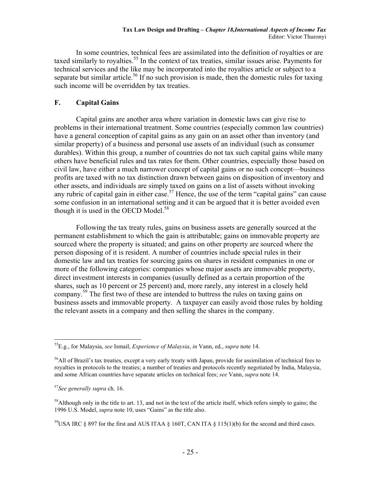In some countries, technical fees are assimilated into the definition of royalties or are taxed similarly to royalties.<sup>55</sup> In the context of tax treaties, similar issues arise. Payments for technical services and the like may be incorporated into the royalties article or subject to a separate but similar article.<sup>56</sup> If no such provision is made, then the domestic rules for taxing such income will be overridden by tax treaties.

#### **F. Capital Gains**

 Capital gains are another area where variation in domestic laws can give rise to problems in their international treatment. Some countries (especially common law countries) have a general conception of capital gains as any gain on an asset other than inventory (and similar property) of a business and personal use assets of an individual (such as consumer durables). Within this group, a number of countries do not tax such capital gains while many others have beneficial rules and tax rates for them. Other countries, especially those based on civil law, have either a much narrower concept of capital gains or no such concept—business profits are taxed with no tax distinction drawn between gains on disposition of inventory and other assets, and individuals are simply taxed on gains on a list of assets without invoking any rubric of capital gain in either case.<sup>57</sup> Hence, the use of the term "capital gains" can cause some confusion in an international setting and it can be argued that it is better avoided even though it is used in the OECD Model. $58$ 

 Following the tax treaty rules, gains on business assets are generally sourced at the permanent establishment to which the gain is attributable; gains on immovable property are sourced where the property is situated; and gains on other property are sourced where the person disposing of it is resident. A number of countries include special rules in their domestic law and tax treaties for sourcing gains on shares in resident companies in one or more of the following categories: companies whose major assets are immovable property, direct investment interests in companies (usually defined as a certain proportion of the shares, such as 10 percent or 25 percent) and, more rarely, any interest in a closely held company.<sup>59</sup> The first two of these are intended to buttress the rules on taxing gains on business assets and immovable property. A taxpayer can easily avoid those rules by holding the relevant assets in a company and then selling the shares in the company.

<sup>55</sup>E.g., for Malaysia, *see* Ismail, *Experience of Malaysia*, *in* Vann, ed., *supra* note 14.

<sup>&</sup>lt;sup>56</sup>All of Brazil's tax treaties, except a very early treaty with Japan, provide for assimilation of technical fees to royalties in protocols to the treaties; a number of treaties and protocols recently negotiated by India, Malaysia, and some African countries have separate articles on technical fees; *see* Vann, *supra* note 14.

<sup>57</sup>*See generally supra* ch. 16.

 $58$ Although only in the title to art. 13, and not in the text of the article itself, which refers simply to gains; the 1996 U.S. Model, *supra* note 10, uses "Gains" as the title also.

<sup>&</sup>lt;sup>59</sup>USA IRC § 897 for the first and AUS ITAA § 160T, CAN ITA § 115(1)(b) for the second and third cases.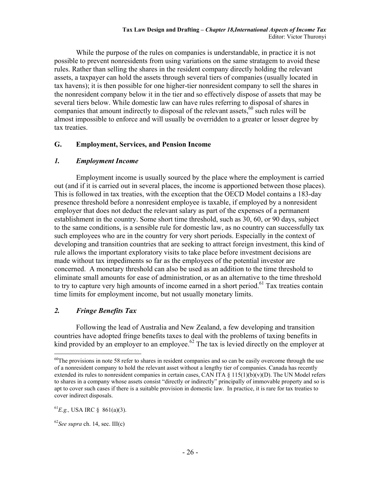While the purpose of the rules on companies is understandable, in practice it is not possible to prevent nonresidents from using variations on the same stratagem to avoid these rules. Rather than selling the shares in the resident company directly holding the relevant assets, a taxpayer can hold the assets through several tiers of companies (usually located in tax havens); it is then possible for one higher-tier nonresident company to sell the shares in the nonresident company below it in the tier and so effectively dispose of assets that may be several tiers below. While domestic law can have rules referring to disposal of shares in companies that amount indirectly to disposal of the relevant assets,  $60$  such rules will be almost impossible to enforce and will usually be overridden to a greater or lesser degree by tax treaties.

#### **G. Employment, Services, and Pension Income**

#### *1. Employment Income*

 Employment income is usually sourced by the place where the employment is carried out (and if it is carried out in several places, the income is apportioned between those places). This is followed in tax treaties, with the exception that the OECD Model contains a 183-day presence threshold before a nonresident employee is taxable, if employed by a nonresident employer that does not deduct the relevant salary as part of the expenses of a permanent establishment in the country. Some short time threshold, such as 30, 60, or 90 days, subject to the same conditions, is a sensible rule for domestic law, as no country can successfully tax such employees who are in the country for very short periods. Especially in the context of developing and transition countries that are seeking to attract foreign investment, this kind of rule allows the important exploratory visits to take place before investment decisions are made without tax impediments so far as the employees of the potential investor are concerned. A monetary threshold can also be used as an addition to the time threshold to eliminate small amounts for ease of administration, or as an alternative to the time threshold to try to capture very high amounts of income earned in a short period.<sup>61</sup> Tax treaties contain time limits for employment income, but not usually monetary limits.

### *2. Fringe Benefits Tax*

 Following the lead of Australia and New Zealand, a few developing and transition countries have adopted fringe benefits taxes to deal with the problems of taxing benefits in kind provided by an employer to an employee.<sup>62</sup> The tax is levied directly on the employer at

<sup>&</sup>lt;sup>60</sup>The provisions in note 58 refer to shares in resident companies and so can be easily overcome through the use of a nonresident company to hold the relevant asset without a lengthy tier of companies. Canada has recently extended its rules to nonresident companies in certain cases, CAN ITA  $\S$  115(1)(b)(v)(D). The UN Model refers to shares in a company whose assets consist "directly or indirectly" principally of immovable property and so is apt to cover such cases if there is a suitable provision in domestic law. In practice, it is rare for tax treaties to cover indirect disposals.

 $^{61}E.g.,$  USA IRC § 861(a)(3).

 $^{62}$ *See supra* ch. 14, sec. III(c)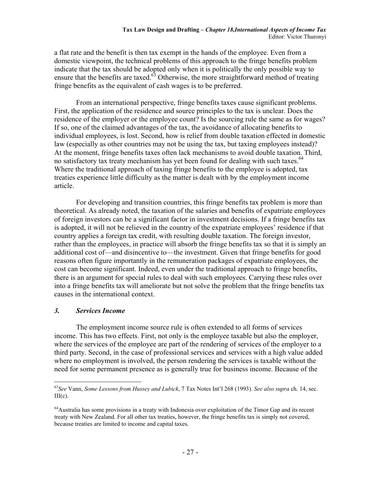a flat rate and the benefit is then tax exempt in the hands of the employee. Even from a domestic viewpoint, the technical problems of this approach to the fringe benefits problem indicate that the tax should be adopted only when it is politically the only possible way to ensure that the benefits are taxed.<sup>63</sup> Otherwise, the more straightforward method of treating fringe benefits as the equivalent of cash wages is to be preferred.

 From an international perspective, fringe benefits taxes cause significant problems. First, the application of the residence and source principles to the tax is unclear. Does the residence of the employer or the employee count? Is the sourcing rule the same as for wages? If so, one of the claimed advantages of the tax, the avoidance of allocating benefits to individual employees, is lost. Second, how is relief from double taxation effected in domestic law (especially as other countries may not be using the tax, but taxing employees instead)? At the moment, fringe benefits taxes often lack mechanisms to avoid double taxation. Third, no satisfactory tax treaty mechanism has yet been found for dealing with such taxes.<sup>64</sup> Where the traditional approach of taxing fringe benefits to the employee is adopted, tax treaties experience little difficulty as the matter is dealt with by the employment income article.

 For developing and transition countries, this fringe benefits tax problem is more than theoretical. As already noted, the taxation of the salaries and benefits of expatriate employees of foreign investors can be a significant factor in investment decisions. If a fringe benefits tax is adopted, it will not be relieved in the country of the expatriate employees' residence if that country applies a foreign tax credit, with resulting double taxation. The foreign investor, rather than the employees, in practice will absorb the fringe benefits tax so that it is simply an additional cost of—and disincentive to—the investment. Given that fringe benefits for good reasons often figure importantly in the remuneration packages of expatriate employees, the cost can become significant. Indeed, even under the traditional approach to fringe benefits, there is an argument for special rules to deal with such employees. Carrying these rules over into a fringe benefits tax will ameliorate but not solve the problem that the fringe benefits tax causes in the international context.

#### *3. Services Income*

1

 The employment income source rule is often extended to all forms of services income. This has two effects. First, not only is the employee taxable but also the employer, where the services of the employee are part of the rendering of services of the employer to a third party. Second, in the case of professional services and services with a high value added where no employment is involved, the person rendering the services is taxable without the need for some permanent presence as is generally true for business income. Because of the

<sup>63</sup>*See* Vann, *Some Lessons from Hussey and Lubick*, 7 Tax Notes Int'l 268 (1993). *See also supra* ch. 14, sec.  $III(c)$ .

<sup>&</sup>lt;sup>64</sup>Australia has some provisions in a treaty with Indonesia over exploitation of the Timor Gap and its recent treaty with New Zealand. For all other tax treaties, however, the fringe benefits tax is simply not covered, because treaties are limited to income and capital taxes.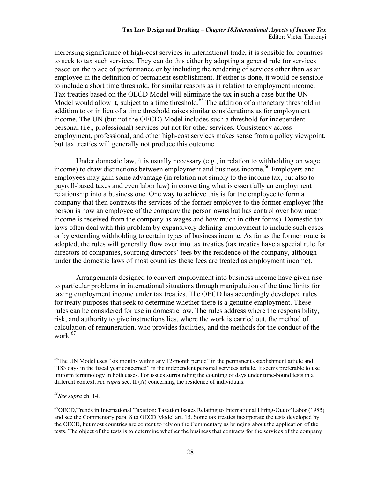increasing significance of high-cost services in international trade, it is sensible for countries to seek to tax such services. They can do this either by adopting a general rule for services based on the place of performance or by including the rendering of services other than as an employee in the definition of permanent establishment. If either is done, it would be sensible to include a short time threshold, for similar reasons as in relation to employment income. Tax treaties based on the OECD Model will eliminate the tax in such a case but the UN Model would allow it, subject to a time threshold.<sup>65</sup> The addition of a monetary threshold in addition to or in lieu of a time threshold raises similar considerations as for employment income. The UN (but not the OECD) Model includes such a threshold for independent personal (i.e., professional) services but not for other services. Consistency across employment, professional, and other high-cost services makes sense from a policy viewpoint, but tax treaties will generally not produce this outcome.

Under domestic law, it is usually necessary  $(e.g., in relation to with holding on wage)$ income) to draw distinctions between employment and business income.<sup>66</sup> Employers and employees may gain some advantage (in relation not simply to the income tax, but also to payroll-based taxes and even labor law) in converting what is essentially an employment relationship into a business one. One way to achieve this is for the employee to form a company that then contracts the services of the former employee to the former employer (the person is now an employee of the company the person owns but has control over how much income is received from the company as wages and how much in other forms). Domestic tax laws often deal with this problem by expansively defining employment to include such cases or by extending withholding to certain types of business income. As far as the former route is adopted, the rules will generally flow over into tax treaties (tax treaties have a special rule for directors of companies, sourcing directors' fees by the residence of the company, although under the domestic laws of most countries these fees are treated as employment income).

 Arrangements designed to convert employment into business income have given rise to particular problems in international situations through manipulation of the time limits for taxing employment income under tax treaties. The OECD has accordingly developed rules for treaty purposes that seek to determine whether there is a genuine employment. These rules can be considered for use in domestic law. The rules address where the responsibility, risk, and authority to give instructions lies, where the work is carried out, the method of calculation of remuneration, who provides facilities, and the methods for the conduct of the work.<sup>67</sup>

 $65$ The UN Model uses "six months within any 12-month period" in the permanent establishment article and "183 days in the fiscal year concerned" in the independent personal services article. It seems preferable to use uniform terminology in both cases. For issues surrounding the counting of days under time-bound tests in a different context, *see supra* sec. II (A) concerning the residence of individuals.

<sup>66</sup>*See supra* ch. 14.

<sup>67</sup>OECD,Trends in International Taxation: Taxation Issues Relating to International Hiring-Out of Labor (1985) and see the Commentary para. 8 to OECD Model art. 15. Some tax treaties incorporate the tests developed by the OECD, but most countries are content to rely on the Commentary as bringing about the application of the tests. The object of the tests is to determine whether the business that contracts for the services of the company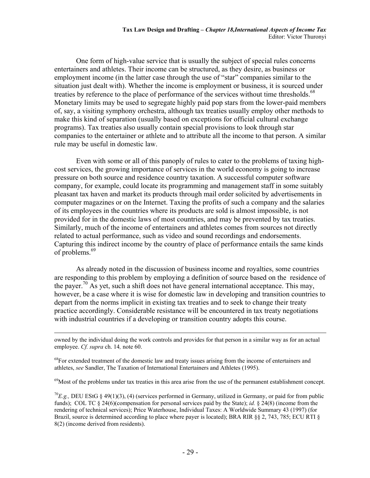One form of high-value service that is usually the subject of special rules concerns entertainers and athletes. Their income can be structured, as they desire, as business or employment income (in the latter case through the use of "star" companies similar to the situation just dealt with). Whether the income is employment or business, it is sourced under treaties by reference to the place of performance of the services without time thresholds.<sup>68</sup> Monetary limits may be used to segregate highly paid pop stars from the lower-paid members of, say, a visiting symphony orchestra, although tax treaties usually employ other methods to make this kind of separation (usually based on exceptions for official cultural exchange programs). Tax treaties also usually contain special provisions to look through star companies to the entertainer or athlete and to attribute all the income to that person. A similar rule may be useful in domestic law.

 Even with some or all of this panoply of rules to cater to the problems of taxing highcost services, the growing importance of services in the world economy is going to increase pressure on both source and residence country taxation. A successful computer software company, for example, could locate its programming and management staff in some suitably pleasant tax haven and market its products through mail order solicited by advertisements in computer magazines or on the Internet. Taxing the profits of such a company and the salaries of its employees in the countries where its products are sold is almost impossible, is not provided for in the domestic laws of most countries, and may be prevented by tax treaties. Similarly, much of the income of entertainers and athletes comes from sources not directly related to actual performance, such as video and sound recordings and endorsements. Capturing this indirect income by the country of place of performance entails the same kinds of problems.<sup>69</sup>

 As already noted in the discussion of business income and royalties, some countries are responding to this problem by employing a definition of source based on the residence of the payer.<sup>70</sup> As yet, such a shift does not have general international acceptance. This may, however, be a case where it is wise for domestic law in developing and transition countries to depart from the norms implicit in existing tax treaties and to seek to change their treaty practice accordingly. Considerable resistance will be encountered in tax treaty negotiations with industrial countries if a developing or transition country adopts this course.

 $69$ Most of the problems under tax treaties in this area arise from the use of the permanent establishment concept.

<sup>70</sup>*E.g.*, DEU EStG § 49(1)(3), (4) (services performed in Germany, utilized in Germany, or paid for from public funds); COL TC § 24(6)(compensation for personal services paid by the State); *id.* § 24(8) (income from the rendering of technical services); Price Waterhouse, Individual Taxes: A Worldwide Summary 43 (1997) (for Brazil, source is determined according to place where payer is located); BRA RIR §§ 2, 743, 785; ECU RTI § 8(2) (income derived from residents).

owned by the individual doing the work controls and provides for that person in a similar way as for an actual employee. *Cf. supra* ch. 14*,* note 60.

 $68$ For extended treatment of the domestic law and treaty issues arising from the income of entertainers and athletes, *see* Sandler, The Taxation of International Entertainers and Athletes (1995).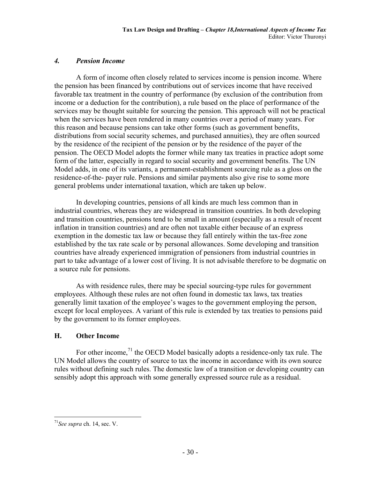#### *4. Pension Income*

 A form of income often closely related to services income is pension income. Where the pension has been financed by contributions out of services income that have received favorable tax treatment in the country of performance (by exclusion of the contribution from income or a deduction for the contribution), a rule based on the place of performance of the services may be thought suitable for sourcing the pension. This approach will not be practical when the services have been rendered in many countries over a period of many years. For this reason and because pensions can take other forms (such as government benefits, distributions from social security schemes, and purchased annuities), they are often sourced by the residence of the recipient of the pension or by the residence of the payer of the pension. The OECD Model adopts the former while many tax treaties in practice adopt some form of the latter, especially in regard to social security and government benefits. The UN Model adds, in one of its variants, a permanent-establishment sourcing rule as a gloss on the residence-of-the- payer rule. Pensions and similar payments also give rise to some more general problems under international taxation, which are taken up below.

 In developing countries, pensions of all kinds are much less common than in industrial countries, whereas they are widespread in transition countries. In both developing and transition countries, pensions tend to be small in amount (especially as a result of recent inflation in transition countries) and are often not taxable either because of an express exemption in the domestic tax law or because they fall entirely within the tax-free zone established by the tax rate scale or by personal allowances. Some developing and transition countries have already experienced immigration of pensioners from industrial countries in part to take advantage of a lower cost of living. It is not advisable therefore to be dogmatic on a source rule for pensions.

 As with residence rules, there may be special sourcing-type rules for government employees. Although these rules are not often found in domestic tax laws, tax treaties generally limit taxation of the employee's wages to the government employing the person, except for local employees. A variant of this rule is extended by tax treaties to pensions paid by the government to its former employees.

#### **H. Other Income**

For other income, $<sup>71</sup>$  the OECD Model basically adopts a residence-only tax rule. The</sup> UN Model allows the country of source to tax the income in accordance with its own source rules without defining such rules. The domestic law of a transition or developing country can sensibly adopt this approach with some generally expressed source rule as a residual.

<u>.</u>

<sup>71</sup>*See supra* ch. 14, sec. V.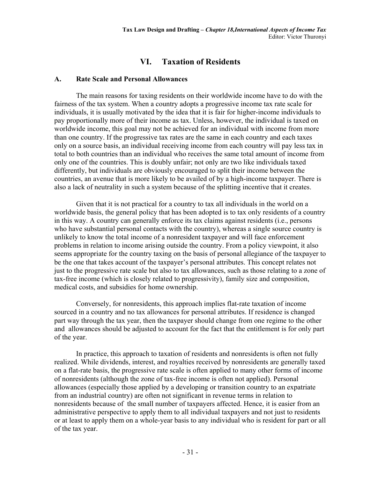# **VI. Taxation of Residents**

#### **A. Rate Scale and Personal Allowances**

 The main reasons for taxing residents on their worldwide income have to do with the fairness of the tax system. When a country adopts a progressive income tax rate scale for individuals, it is usually motivated by the idea that it is fair for higher-income individuals to pay proportionally more of their income as tax. Unless, however, the individual is taxed on worldwide income, this goal may not be achieved for an individual with income from more than one country. If the progressive tax rates are the same in each country and each taxes only on a source basis, an individual receiving income from each country will pay less tax in total to both countries than an individual who receives the same total amount of income from only one of the countries. This is doubly unfair; not only are two like individuals taxed differently, but individuals are obviously encouraged to split their income between the countries, an avenue that is more likely to be availed of by a high-income taxpayer. There is also a lack of neutrality in such a system because of the splitting incentive that it creates.

 Given that it is not practical for a country to tax all individuals in the world on a worldwide basis, the general policy that has been adopted is to tax only residents of a country in this way. A country can generally enforce its tax claims against residents (i.e., persons who have substantial personal contacts with the country), whereas a single source country is unlikely to know the total income of a nonresident taxpayer and will face enforcement problems in relation to income arising outside the country. From a policy viewpoint, it also seems appropriate for the country taxing on the basis of personal allegiance of the taxpayer to be the one that takes account of the taxpayer's personal attributes. This concept relates not just to the progressive rate scale but also to tax allowances, such as those relating to a zone of tax-free income (which is closely related to progressivity), family size and composition, medical costs, and subsidies for home ownership.

 Conversely, for nonresidents, this approach implies flat-rate taxation of income sourced in a country and no tax allowances for personal attributes. If residence is changed part way through the tax year, then the taxpayer should change from one regime to the other and allowances should be adjusted to account for the fact that the entitlement is for only part of the year.

 In practice, this approach to taxation of residents and nonresidents is often not fully realized. While dividends, interest, and royalties received by nonresidents are generally taxed on a flat-rate basis, the progressive rate scale is often applied to many other forms of income of nonresidents (although the zone of tax-free income is often not applied). Personal allowances (especially those applied by a developing or transition country to an expatriate from an industrial country) are often not significant in revenue terms in relation to nonresidents because of the small number of taxpayers affected. Hence, it is easier from an administrative perspective to apply them to all individual taxpayers and not just to residents or at least to apply them on a whole-year basis to any individual who is resident for part or all of the tax year.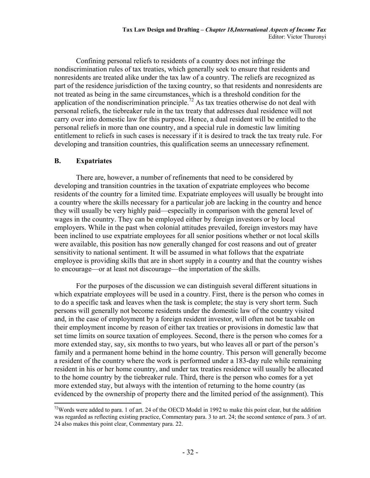Confining personal reliefs to residents of a country does not infringe the nondiscrimination rules of tax treaties, which generally seek to ensure that residents and nonresidents are treated alike under the tax law of a country. The reliefs are recognized as part of the residence jurisdiction of the taxing country, so that residents and nonresidents are not treated as being in the same circumstances, which is a threshold condition for the application of the nondiscrimination principle.<sup>72</sup> As tax treaties otherwise do not deal with personal reliefs, the tiebreaker rule in the tax treaty that addresses dual residence will not carry over into domestic law for this purpose. Hence, a dual resident will be entitled to the personal reliefs in more than one country, and a special rule in domestic law limiting entitlement to reliefs in such cases is necessary if it is desired to track the tax treaty rule. For developing and transition countries, this qualification seems an unnecessary refinement.

#### **B. Expatriates**

1

 There are, however, a number of refinements that need to be considered by developing and transition countries in the taxation of expatriate employees who become residents of the country for a limited time. Expatriate employees will usually be brought into a country where the skills necessary for a particular job are lacking in the country and hence they will usually be very highly paid—especially in comparison with the general level of wages in the country. They can be employed either by foreign investors or by local employers. While in the past when colonial attitudes prevailed, foreign investors may have been inclined to use expatriate employees for all senior positions whether or not local skills were available, this position has now generally changed for cost reasons and out of greater sensitivity to national sentiment. It will be assumed in what follows that the expatriate employee is providing skills that are in short supply in a country and that the country wishes to encourage—or at least not discourage—the importation of the skills.

 For the purposes of the discussion we can distinguish several different situations in which expatriate employees will be used in a country. First, there is the person who comes in to do a specific task and leaves when the task is complete; the stay is very short term. Such persons will generally not become residents under the domestic law of the country visited and, in the case of employment by a foreign resident investor, will often not be taxable on their employment income by reason of either tax treaties or provisions in domestic law that set time limits on source taxation of employees. Second, there is the person who comes for a more extended stay, say, six months to two years, but who leaves all or part of the person's family and a permanent home behind in the home country. This person will generally become a resident of the country where the work is performed under a 183-day rule while remaining resident in his or her home country, and under tax treaties residence will usually be allocated to the home country by the tiebreaker rule. Third, there is the person who comes for a yet more extended stay, but always with the intention of returning to the home country (as evidenced by the ownership of property there and the limited period of the assignment). This

<sup>&</sup>lt;sup>72</sup>Words were added to para. 1 of art. 24 of the OECD Model in 1992 to make this point clear, but the addition was regarded as reflecting existing practice, Commentary para. 3 to art. 24; the second sentence of para. 3 of art. 24 also makes this point clear, Commentary para. 22.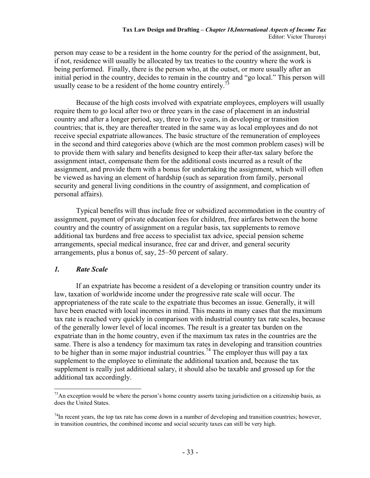person may cease to be a resident in the home country for the period of the assignment, but, if not, residence will usually be allocated by tax treaties to the country where the work is being performed. Finally, there is the person who, at the outset, or more usually after an initial period in the country, decides to remain in the country and "go local." This person will usually cease to be a resident of the home country entirely.<sup>73</sup>

 Because of the high costs involved with expatriate employees, employers will usually require them to go local after two or three years in the case of placement in an industrial country and after a longer period, say, three to five years, in developing or transition countries; that is, they are thereafter treated in the same way as local employees and do not receive special expatriate allowances. The basic structure of the remuneration of employees in the second and third categories above (which are the most common problem cases) will be to provide them with salary and benefits designed to keep their after-tax salary before the assignment intact, compensate them for the additional costs incurred as a result of the assignment, and provide them with a bonus for undertaking the assignment, which will often be viewed as having an element of hardship (such as separation from family, personal security and general living conditions in the country of assignment, and complication of personal affairs).

 Typical benefits will thus include free or subsidized accommodation in the country of assignment, payment of private education fees for children, free airfares between the home country and the country of assignment on a regular basis, tax supplements to remove additional tax burdens and free access to specialist tax advice, special pension scheme arrangements, special medical insurance, free car and driver, and general security arrangements, plus a bonus of, say, 25–50 percent of salary.

#### *1. Rate Scale*

<u>.</u>

 If an expatriate has become a resident of a developing or transition country under its law, taxation of worldwide income under the progressive rate scale will occur. The appropriateness of the rate scale to the expatriate thus becomes an issue. Generally, it will have been enacted with local incomes in mind. This means in many cases that the maximum tax rate is reached very quickly in comparison with industrial country tax rate scales, because of the generally lower level of local incomes. The result is a greater tax burden on the expatriate than in the home country, even if the maximum tax rates in the countries are the same. There is also a tendency for maximum tax rates in developing and transition countries to be higher than in some major industrial countries.<sup>74</sup> The employer thus will pay a tax supplement to the employee to eliminate the additional taxation and, because the tax supplement is really just additional salary, it should also be taxable and grossed up for the additional tax accordingly.

<sup>&</sup>lt;sup>73</sup>An exception would be where the person's home country asserts taxing jurisdiction on a citizenship basis, as does the United States.

 $74$ In recent years, the top tax rate has come down in a number of developing and transition countries; however, in transition countries, the combined income and social security taxes can still be very high.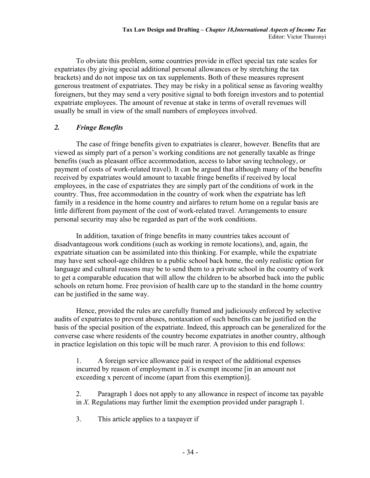To obviate this problem, some countries provide in effect special tax rate scales for expatriates (by giving special additional personal allowances or by stretching the tax brackets) and do not impose tax on tax supplements. Both of these measures represent generous treatment of expatriates. They may be risky in a political sense as favoring wealthy foreigners, but they may send a very positive signal to both foreign investors and to potential expatriate employees. The amount of revenue at stake in terms of overall revenues will usually be small in view of the small numbers of employees involved.

### *2. Fringe Benefits*

 The case of fringe benefits given to expatriates is clearer, however. Benefits that are viewed as simply part of a person's working conditions are not generally taxable as fringe benefits (such as pleasant office accommodation, access to labor saving technology, or payment of costs of work-related travel). It can be argued that although many of the benefits received by expatriates would amount to taxable fringe benefits if received by local employees, in the case of expatriates they are simply part of the conditions of work in the country. Thus, free accommodation in the country of work when the expatriate has left family in a residence in the home country and airfares to return home on a regular basis are little different from payment of the cost of work-related travel. Arrangements to ensure personal security may also be regarded as part of the work conditions.

 In addition, taxation of fringe benefits in many countries takes account of disadvantageous work conditions (such as working in remote locations), and, again, the expatriate situation can be assimilated into this thinking. For example, while the expatriate may have sent school-age children to a public school back home, the only realistic option for language and cultural reasons may be to send them to a private school in the country of work to get a comparable education that will allow the children to be absorbed back into the public schools on return home. Free provision of health care up to the standard in the home country can be justified in the same way.

 Hence, provided the rules are carefully framed and judiciously enforced by selective audits of expatriates to prevent abuses, nontaxation of such benefits can be justified on the basis of the special position of the expatriate. Indeed, this approach can be generalized for the converse case where residents of the country become expatriates in another country, although in practice legislation on this topic will be much rarer. A provision to this end follows:

 1. A foreign service allowance paid in respect of the additional expenses incurred by reason of employment in *X* is exempt income [in an amount not exceeding x percent of income (apart from this exemption)].

 2. Paragraph 1 does not apply to any allowance in respect of income tax payable in *X*. Regulations may further limit the exemption provided under paragraph 1.

3. This article applies to a taxpayer if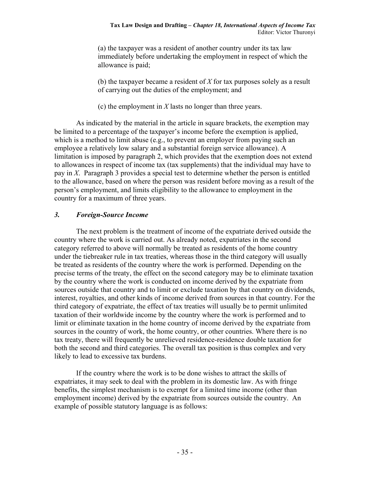(a) the taxpayer was a resident of another country under its tax law immediately before undertaking the employment in respect of which the allowance is paid;

 (b) the taxpayer became a resident of *X* for tax purposes solely as a result of carrying out the duties of the employment; and

(c) the employment in *X* lasts no longer than three years.

 As indicated by the material in the article in square brackets, the exemption may be limited to a percentage of the taxpayer's income before the exemption is applied, which is a method to limit abuse (e.g., to prevent an employer from paying such an employee a relatively low salary and a substantial foreign service allowance). A limitation is imposed by paragraph 2, which provides that the exemption does not extend to allowances in respect of income tax (tax supplements) that the individual may have to pay in *X*. Paragraph 3 provides a special test to determine whether the person is entitled to the allowance, based on where the person was resident before moving as a result of the person's employment, and limits eligibility to the allowance to employment in the country for a maximum of three years.

### *3. Foreign-Source Income*

 The next problem is the treatment of income of the expatriate derived outside the country where the work is carried out. As already noted, expatriates in the second category referred to above will normally be treated as residents of the home country under the tiebreaker rule in tax treaties, whereas those in the third category will usually be treated as residents of the country where the work is performed. Depending on the precise terms of the treaty, the effect on the second category may be to eliminate taxation by the country where the work is conducted on income derived by the expatriate from sources outside that country and to limit or exclude taxation by that country on dividends, interest, royalties, and other kinds of income derived from sources in that country. For the third category of expatriate, the effect of tax treaties will usually be to permit unlimited taxation of their worldwide income by the country where the work is performed and to limit or eliminate taxation in the home country of income derived by the expatriate from sources in the country of work, the home country, or other countries. Where there is no tax treaty, there will frequently be unrelieved residence-residence double taxation for both the second and third categories. The overall tax position is thus complex and very likely to lead to excessive tax burdens.

 If the country where the work is to be done wishes to attract the skills of expatriates, it may seek to deal with the problem in its domestic law. As with fringe benefits, the simplest mechanism is to exempt for a limited time income (other than employment income) derived by the expatriate from sources outside the country. An example of possible statutory language is as follows: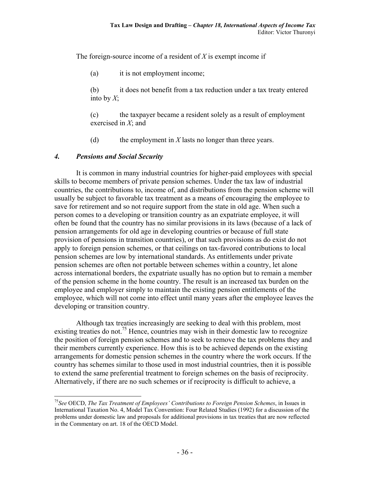The foreign-source income of a resident of *X* is exempt income if

(a) it is not employment income;

 (b) it does not benefit from a tax reduction under a tax treaty entered into by *X*;

 (c) the taxpayer became a resident solely as a result of employment exercised in *X*; and

(d) the employment in *X* lasts no longer than three years.

### *4. Pensions and Social Security*

 $\overline{a}$ 

 It is common in many industrial countries for higher-paid employees with special skills to become members of private pension schemes. Under the tax law of industrial countries, the contributions to, income of, and distributions from the pension scheme will usually be subject to favorable tax treatment as a means of encouraging the employee to save for retirement and so not require support from the state in old age. When such a person comes to a developing or transition country as an expatriate employee, it will often be found that the country has no similar provisions in its laws (because of a lack of pension arrangements for old age in developing countries or because of full state provision of pensions in transition countries), or that such provisions as do exist do not apply to foreign pension schemes, or that ceilings on tax-favored contributions to local pension schemes are low by international standards. As entitlements under private pension schemes are often not portable between schemes within a country, let alone across international borders, the expatriate usually has no option but to remain a member of the pension scheme in the home country. The result is an increased tax burden on the employee and employer simply to maintain the existing pension entitlements of the employee, which will not come into effect until many years after the employee leaves the developing or transition country.

 Although tax treaties increasingly are seeking to deal with this problem, most existing treaties do not.<sup>75</sup> Hence, countries may wish in their domestic law to recognize the position of foreign pension schemes and to seek to remove the tax problems they and their members currently experience. How this is to be achieved depends on the existing arrangements for domestic pension schemes in the country where the work occurs. If the country has schemes similar to those used in most industrial countries, then it is possible to extend the same preferential treatment to foreign schemes on the basis of reciprocity. Alternatively, if there are no such schemes or if reciprocity is difficult to achieve, a

<sup>75</sup>*See* OECD, *The Tax Treatment of Employees' Contributions to Foreign Pension Schemes*, in Issues in International Taxation No. 4, Model Tax Convention: Four Related Studies (1992) for a discussion of the problems under domestic law and proposals for additional provisions in tax treaties that are now reflected in the Commentary on art. 18 of the OECD Model.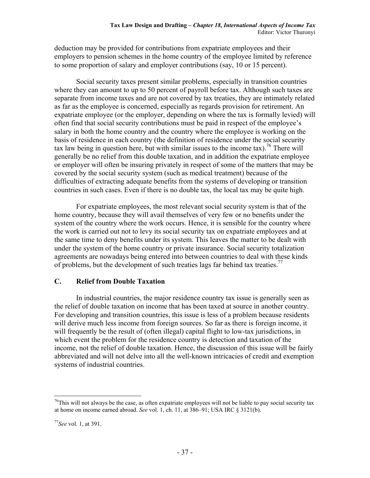deduction may be provided for contributions from expatriate employees and their employers to pension schemes in the home country of the employee limited by reference to some proportion of salary and employer contributions (say, 10 or 15 percent).

 Social security taxes present similar problems, especially in transition countries where they can amount to up to 50 percent of payroll before tax. Although such taxes are separate from income taxes and are not covered by tax treaties, they are intimately related as far as the employee is concerned, especially as regards provision for retirement. An expatriate employee (or the employer, depending on where the tax is formally levied) will often find that social security contributions must be paid in respect of the employee's salary in both the home country and the country where the employee is working on the basis of residence in each country (the definition of residence under the social security tax law being in question here, but with similar issues to the income tax).<sup>76</sup> There will generally be no relief from this double taxation, and in addition the expatriate employee or employer will often be insuring privately in respect of some of the matters that may be covered by the social security system (such as medical treatment) because of the difficulties of extracting adequate benefits from the systems of developing or transition countries in such cases. Even if there is no double tax, the local tax may be quite high.

 For expatriate employees, the most relevant social security system is that of the home country, because they will avail themselves of very few or no benefits under the system of the country where the work occurs. Hence, it is sensible for the country where the work is carried out not to levy its social security tax on expatriate employees and at the same time to deny benefits under its system. This leaves the matter to be dealt with under the system of the home country or private insurance. Social security totalization agreements are nowadays being entered into between countries to deal with these kinds of problems, but the development of such treaties lags far behind tax treaties.<sup>77</sup>

### **C. Relief from Double Taxation**

 In industrial countries, the major residence country tax issue is generally seen as the relief of double taxation on income that has been taxed at source in another country. For developing and transition countries, this issue is less of a problem because residents will derive much less income from foreign sources. So far as there is foreign income, it will frequently be the result of (often illegal) capital flight to low-tax jurisdictions, in which event the problem for the residence country is detection and taxation of the income, not the relief of double taxation. Hence, the discussion of this issue will be fairly abbreviated and will not delve into all the well-known intricacies of credit and exemption systems of industrial countries.

 $\overline{a}$  $76$ This will not always be the case, as often expatriate employees will not be liable to pay social security tax at home on income earned abroad. *See* vol. 1, ch. 11, at 386–91; USA IRC § 3121(b).

<sup>77</sup>*See* vol. 1, at 391.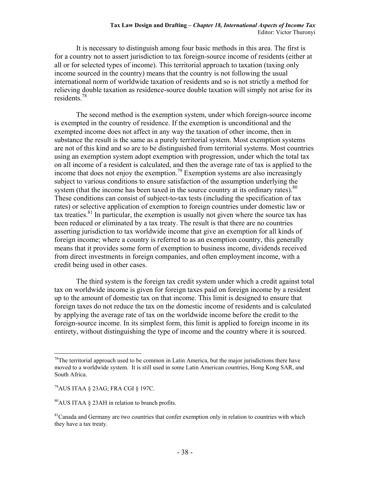It is necessary to distinguish among four basic methods in this area. The first is for a country not to assert jurisdiction to tax foreign-source income of residents (either at all or for selected types of income). This territorial approach to taxation (taxing only income sourced in the country) means that the country is not following the usual international norm of worldwide taxation of residents and so is not strictly a method for relieving double taxation as residence-source double taxation will simply not arise for its residents<sup>78</sup>

 The second method is the exemption system, under which foreign-source income is exempted in the country of residence. If the exemption is unconditional and the exempted income does not affect in any way the taxation of other income, then in substance the result is the same as a purely territorial system. Most exemption systems are not of this kind and so are to be distinguished from territorial systems. Most countries using an exemption system adopt exemption with progression, under which the total tax on all income of a resident is calculated, and then the average rate of tax is applied to the income that does not enjoy the exemption.<sup>79</sup> Exemption systems are also increasingly subject to various conditions to ensure satisfaction of the assumption underlying the system (that the income has been taxed in the source country at its ordinary rates).<sup>80</sup> These conditions can consist of subject-to-tax tests (including the specification of tax rates) or selective application of exemption to foreign countries under domestic law or tax treaties.<sup>81</sup> In particular, the exemption is usually not given where the source tax has been reduced or eliminated by a tax treaty. The result is that there are no countries asserting jurisdiction to tax worldwide income that give an exemption for all kinds of foreign income; where a country is referred to as an exemption country, this generally means that it provides some form of exemption to business income, dividends received from direct investments in foreign companies, and often employment income, with a credit being used in other cases.

 The third system is the foreign tax credit system under which a credit against total tax on worldwide income is given for foreign taxes paid on foreign income by a resident up to the amount of domestic tax on that income. This limit is designed to ensure that foreign taxes do not reduce the tax on the domestic income of residents and is calculated by applying the average rate of tax on the worldwide income before the credit to the foreign-source income. In its simplest form, this limit is applied to foreign income in its entirety, without distinguishing the type of income and the country where it is sourced.

<u>.</u>

 $78$ The territorial approach used to be common in Latin America, but the major jurisdictions there have moved to a worldwide system. It is still used in some Latin American countries, Hong Kong SAR, and South Africa.

<sup>79</sup>AUS ITAA § 23AG; FRA CGI § 197C.

<sup>80</sup>AUS ITAA § 23AH in relation to branch profits.

 $81$ Canada and Germany are two countries that confer exemption only in relation to countries with which they have a tax treaty.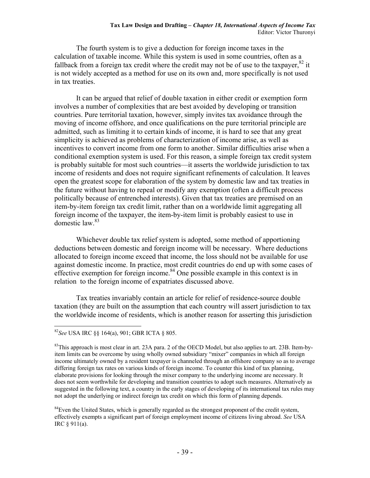The fourth system is to give a deduction for foreign income taxes in the calculation of taxable income. While this system is used in some countries, often as a fallback from a foreign tax credit where the credit may not be of use to the taxpayer,  $82$  it is not widely accepted as a method for use on its own and, more specifically is not used in tax treaties.

 It can be argued that relief of double taxation in either credit or exemption form involves a number of complexities that are best avoided by developing or transition countries. Pure territorial taxation, however, simply invites tax avoidance through the moving of income offshore, and once qualifications on the pure territorial principle are admitted, such as limiting it to certain kinds of income, it is hard to see that any great simplicity is achieved as problems of characterization of income arise, as well as incentives to convert income from one form to another. Similar difficulties arise when a conditional exemption system is used. For this reason, a simple foreign tax credit system is probably suitable for most such countries—it asserts the worldwide jurisdiction to tax income of residents and does not require significant refinements of calculation. It leaves open the greatest scope for elaboration of the system by domestic law and tax treaties in the future without having to repeal or modify any exemption (often a difficult process politically because of entrenched interests). Given that tax treaties are premised on an item-by-item foreign tax credit limit, rather than on a worldwide limit aggregating all foreign income of the taxpayer, the item-by-item limit is probably easiest to use in domestic law.83

Whichever double tax relief system is adopted, some method of apportioning deductions between domestic and foreign income will be necessary. Where deductions allocated to foreign income exceed that income, the loss should not be available for use against domestic income. In practice, most credit countries do end up with some cases of effective exemption for foreign income. $84$  One possible example in this context is in relation to the foreign income of expatriates discussed above.

 Tax treaties invariably contain an article for relief of residence-source double taxation (they are built on the assumption that each country will assert jurisdiction to tax the worldwide income of residents, which is another reason for asserting this jurisdiction

 $\overline{a}$ 

<sup>84</sup>Even the United States, which is generally regarded as the strongest proponent of the credit system, effectively exempts a significant part of foreign employment income of citizens living abroad. *See* USA IRC § 911(a).

<sup>82</sup>*See* USA IRC §§ 164(a), 901; GBR ICTA § 805.

 $83$ This approach is most clear in art. 23A para. 2 of the OECD Model, but also applies to art. 23B. Item-byitem limits can be overcome by using wholly owned subsidiary "mixer" companies in which all foreign income ultimately owned by a resident taxpayer is channeled through an offshore company so as to average differing foreign tax rates on various kinds of foreign income. To counter this kind of tax planning, elaborate provisions for looking through the mixer company to the underlying income are necessary. It does not seem worthwhile for developing and transition countries to adopt such measures. Alternatively as suggested in the following text, a country in the early stages of developing of its international tax rules may not adopt the underlying or indirect foreign tax credit on which this form of planning depends.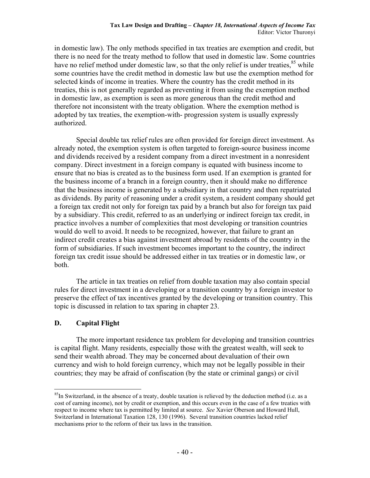in domestic law). The only methods specified in tax treaties are exemption and credit, but there is no need for the treaty method to follow that used in domestic law. Some countries have no relief method under domestic law, so that the only relief is under treaties,  $85$  while some countries have the credit method in domestic law but use the exemption method for selected kinds of income in treaties. Where the country has the credit method in its treaties, this is not generally regarded as preventing it from using the exemption method in domestic law, as exemption is seen as more generous than the credit method and therefore not inconsistent with the treaty obligation. Where the exemption method is adopted by tax treaties, the exemption-with- progression system is usually expressly authorized.

 Special double tax relief rules are often provided for foreign direct investment. As already noted, the exemption system is often targeted to foreign-source business income and dividends received by a resident company from a direct investment in a nonresident company. Direct investment in a foreign company is equated with business income to ensure that no bias is created as to the business form used. If an exemption is granted for the business income of a branch in a foreign country, then it should make no difference that the business income is generated by a subsidiary in that country and then repatriated as dividends. By parity of reasoning under a credit system, a resident company should get a foreign tax credit not only for foreign tax paid by a branch but also for foreign tax paid by a subsidiary. This credit, referred to as an underlying or indirect foreign tax credit, in practice involves a number of complexities that most developing or transition countries would do well to avoid. It needs to be recognized, however, that failure to grant an indirect credit creates a bias against investment abroad by residents of the country in the form of subsidiaries. If such investment becomes important to the country, the indirect foreign tax credit issue should be addressed either in tax treaties or in domestic law, or both.

 The article in tax treaties on relief from double taxation may also contain special rules for direct investment in a developing or a transition country by a foreign investor to preserve the effect of tax incentives granted by the developing or transition country. This topic is discussed in relation to tax sparing in chapter 23.

### **D. Capital Flight**

 $\overline{a}$ 

 The more important residence tax problem for developing and transition countries is capital flight. Many residents, especially those with the greatest wealth, will seek to send their wealth abroad. They may be concerned about devaluation of their own currency and wish to hold foreign currency, which may not be legally possible in their countries; they may be afraid of confiscation (by the state or criminal gangs) or civil

<sup>&</sup>lt;sup>85</sup>In Switzerland, in the absence of a treaty, double taxation is relieved by the deduction method (i.e. as a cost of earning income), not by credit or exemption, and this occurs even in the case of a few treaties with respect to income where tax is permitted by limited at source. *See* Xavier Oberson and Howard Hull, Switzerland in International Taxation 128, 130 (1996). Several transition countries lacked relief mechanisms prior to the reform of their tax laws in the transition.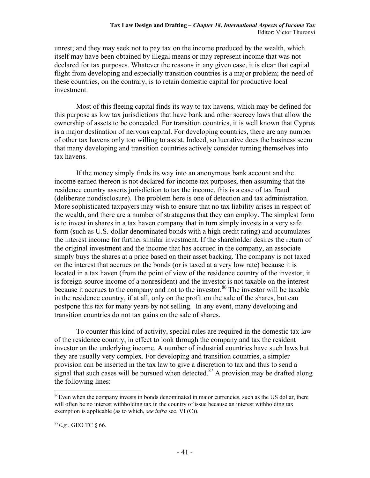unrest; and they may seek not to pay tax on the income produced by the wealth, which itself may have been obtained by illegal means or may represent income that was not declared for tax purposes. Whatever the reasons in any given case, it is clear that capital flight from developing and especially transition countries is a major problem; the need of these countries, on the contrary, is to retain domestic capital for productive local investment.

 Most of this fleeing capital finds its way to tax havens, which may be defined for this purpose as low tax jurisdictions that have bank and other secrecy laws that allow the ownership of assets to be concealed. For transition countries, it is well known that Cyprus is a major destination of nervous capital. For developing countries, there are any number of other tax havens only too willing to assist. Indeed, so lucrative does the business seem that many developing and transition countries actively consider turning themselves into tax havens.

 If the money simply finds its way into an anonymous bank account and the income earned thereon is not declared for income tax purposes, then assuming that the residence country asserts jurisdiction to tax the income, this is a case of tax fraud (deliberate nondisclosure). The problem here is one of detection and tax administration. More sophisticated taxpayers may wish to ensure that no tax liability arises in respect of the wealth, and there are a number of stratagems that they can employ. The simplest form is to invest in shares in a tax haven company that in turn simply invests in a very safe form (such as U.S.-dollar denominated bonds with a high credit rating) and accumulates the interest income for further similar investment. If the shareholder desires the return of the original investment and the income that has accrued in the company, an associate simply buys the shares at a price based on their asset backing. The company is not taxed on the interest that accrues on the bonds (or is taxed at a very low rate) because it is located in a tax haven (from the point of view of the residence country of the investor, it is foreign-source income of a nonresident) and the investor is not taxable on the interest because it accrues to the company and not to the investor.<sup>86</sup> The investor will be taxable in the residence country, if at all, only on the profit on the sale of the shares, but can postpone this tax for many years by not selling. In any event, many developing and transition countries do not tax gains on the sale of shares.

 To counter this kind of activity, special rules are required in the domestic tax law of the residence country, in effect to look through the company and tax the resident investor on the underlying income. A number of industrial countries have such laws but they are usually very complex. For developing and transition countries, a simpler provision can be inserted in the tax law to give a discretion to tax and thus to send a signal that such cases will be pursued when detected.<sup>87</sup> A provision may be drafted along the following lines:

<sup>&</sup>lt;sup>86</sup>Even when the company invests in bonds denominated in major currencies, such as the US dollar, there will often be no interest withholding tax in the country of issue because an interest withholding tax exemption is applicable (as to which, *see infra* sec. VI (C)).

 ${}^{87}E.g.,$  GEO TC  $\S$  66.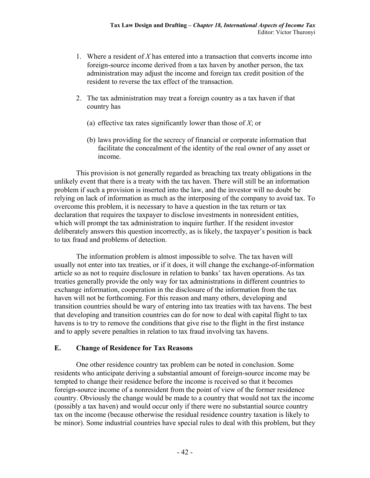- 1. Where a resident of *X* has entered into a transaction that converts income into foreign-source income derived from a tax haven by another person, the tax administration may adjust the income and foreign tax credit position of the resident to reverse the tax effect of the transaction.
- 2. The tax administration may treat a foreign country as a tax haven if that country has
	- (a) effective tax rates significantly lower than those of *X*; or
	- (b) laws providing for the secrecy of financial or corporate information that facilitate the concealment of the identity of the real owner of any asset or income.

 This provision is not generally regarded as breaching tax treaty obligations in the unlikely event that there is a treaty with the tax haven. There will still be an information problem if such a provision is inserted into the law, and the investor will no doubt be relying on lack of information as much as the interposing of the company to avoid tax. To overcome this problem, it is necessary to have a question in the tax return or tax declaration that requires the taxpayer to disclose investments in nonresident entities, which will prompt the tax administration to inquire further. If the resident investor deliberately answers this question incorrectly, as is likely, the taxpayer's position is back to tax fraud and problems of detection.

 The information problem is almost impossible to solve. The tax haven will usually not enter into tax treaties, or if it does, it will change the exchange-of-information article so as not to require disclosure in relation to banks' tax haven operations. As tax treaties generally provide the only way for tax administrations in different countries to exchange information, cooperation in the disclosure of the information from the tax haven will not be forthcoming. For this reason and many others, developing and transition countries should be wary of entering into tax treaties with tax havens. The best that developing and transition countries can do for now to deal with capital flight to tax havens is to try to remove the conditions that give rise to the flight in the first instance and to apply severe penalties in relation to tax fraud involving tax havens.

### **E. Change of Residence for Tax Reasons**

 One other residence country tax problem can be noted in conclusion. Some residents who anticipate deriving a substantial amount of foreign-source income may be tempted to change their residence before the income is received so that it becomes foreign-source income of a nonresident from the point of view of the former residence country. Obviously the change would be made to a country that would not tax the income (possibly a tax haven) and would occur only if there were no substantial source country tax on the income (because otherwise the residual residence country taxation is likely to be minor). Some industrial countries have special rules to deal with this problem, but they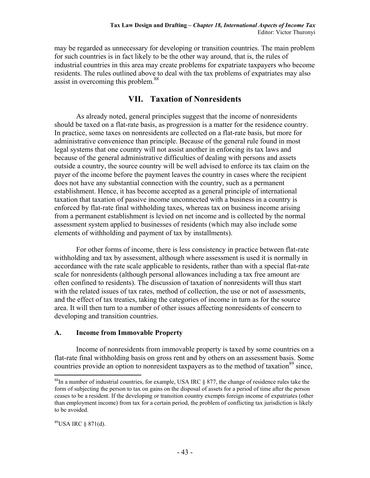may be regarded as unnecessary for developing or transition countries. The main problem for such countries is in fact likely to be the other way around, that is, the rules of industrial countries in this area may create problems for expatriate taxpayers who become residents. The rules outlined above to deal with the tax problems of expatriates may also assist in overcoming this problem.<sup>88</sup>

# **VII. Taxation of Nonresidents**

 As already noted, general principles suggest that the income of nonresidents should be taxed on a flat-rate basis, as progression is a matter for the residence country. In practice, some taxes on nonresidents are collected on a flat-rate basis, but more for administrative convenience than principle. Because of the general rule found in most legal systems that one country will not assist another in enforcing its tax laws and because of the general administrative difficulties of dealing with persons and assets outside a country, the source country will be well advised to enforce its tax claim on the payer of the income before the payment leaves the country in cases where the recipient does not have any substantial connection with the country, such as a permanent establishment. Hence, it has become accepted as a general principle of international taxation that taxation of passive income unconnected with a business in a country is enforced by flat-rate final withholding taxes, whereas tax on business income arising from a permanent establishment is levied on net income and is collected by the normal assessment system applied to businesses of residents (which may also include some elements of withholding and payment of tax by installments).

 For other forms of income, there is less consistency in practice between flat-rate withholding and tax by assessment, although where assessment is used it is normally in accordance with the rate scale applicable to residents, rather than with a special flat-rate scale for nonresidents (although personal allowances including a tax free amount are often confined to residents). The discussion of taxation of nonresidents will thus start with the related issues of tax rates, method of collection, the use or not of assessments, and the effect of tax treaties, taking the categories of income in turn as for the source area. It will then turn to a number of other issues affecting nonresidents of concern to developing and transition countries.

### **A. Income from Immovable Property**

 Income of nonresidents from immovable property is taxed by some countries on a flat-rate final withholding basis on gross rent and by others on an assessment basis. Some countries provide an option to nonresident taxpayers as to the method of taxation<sup>89</sup> since,

 $88$ In a number of industrial countries, for example, USA IRC  $\S$  877, the change of residence rules take the form of subjecting the person to tax on gains on the disposal of assets for a period of time after the person ceases to be a resident. If the developing or transition country exempts foreign income of expatriates (other than employment income) from tax for a certain period, the problem of conflicting tax jurisdiction is likely to be avoided.

 ${}^{89}$ USA IRC § 871(d).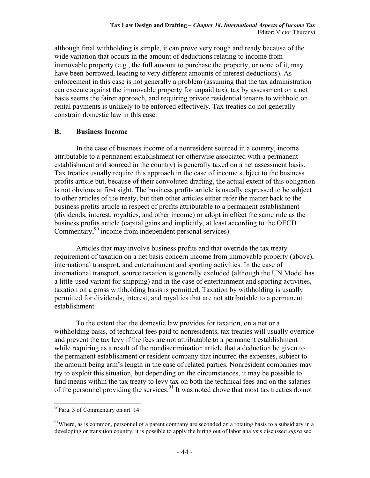although final withholding is simple, it can prove very rough and ready because of the wide variation that occurs in the amount of deductions relating to income from immovable property (e.g., the full amount to purchase the property, or none of it, may have been borrowed, leading to very different amounts of interest deductions). As enforcement in this case is not generally a problem (assuming that the tax administration can execute against the immovable property for unpaid tax), tax by assessment on a net basis seems the fairer approach, and requiring private residential tenants to withhold on rental payments is unlikely to be enforced effectively. Tax treaties do not generally constrain domestic law in this case.

#### **B. Business Income**

 In the case of business income of a nonresident sourced in a country, income attributable to a permanent establishment (or otherwise associated with a permanent establishment and sourced in the country) is generally taxed on a net assessment basis. Tax treaties usually require this approach in the case of income subject to the business profits article but, because of their convoluted drafting, the actual extent of this obligation is not obvious at first sight. The business profits article is usually expressed to be subject to other articles of the treaty, but then other articles either refer the matter back to the business profits article in respect of profits attributable to a permanent establishment (dividends, interest, royalties, and other income) or adopt in effect the same rule as the business profits article (capital gains and implicitly, at least according to the OECD Commentary,<sup>90</sup> income from independent personal services).

 Articles that may involve business profits and that override the tax treaty requirement of taxation on a net basis concern income from immovable property (above), international transport, and entertainment and sporting activities. In the case of international transport, source taxation is generally excluded (although the UN Model has a little-used variant for shipping) and in the case of entertainment and sporting activities, taxation on a gross withholding basis is permitted. Taxation by withholding is usually permitted for dividends, interest, and royalties that are not attributable to a permanent establishment.

 To the extent that the domestic law provides for taxation, on a net or a withholding basis, of technical fees paid to nonresidents, tax treaties will usually override and prevent the tax levy if the fees are not attributable to a permanent establishment while requiring as a result of the nondiscrimination article that a deduction be given to the permanent establishment or resident company that incurred the expenses, subject to the amount being arm's length in the case of related parties. Nonresident companies may try to exploit this situation, but depending on the circumstances, it may be possible to find means within the tax treaty to levy tax on both the technical fees and on the salaries of the personnel providing the services.<sup>91</sup> It was noted above that most tax treaties do not

 $\overline{a}$ <sup>90</sup>Para. 3 of Commentary on art. 14.

<sup>&</sup>lt;sup>91</sup>Where, as is common, personnel of a parent company are seconded on a rotating basis to a subsidiary in a developing or transition country, it is possible to apply the hiring out of labor analysis discussed *supra* sec.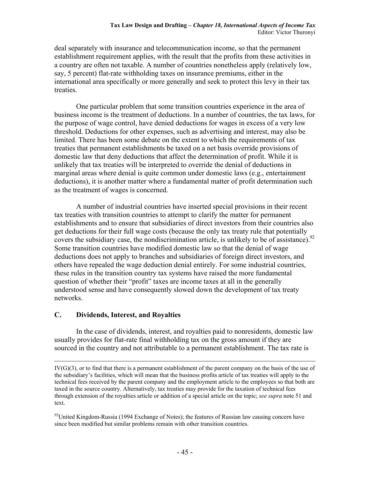deal separately with insurance and telecommunication income, so that the permanent establishment requirement applies, with the result that the profits from these activities in a country are often not taxable. A number of countries nonetheless apply (relatively low, say, 5 percent) flat-rate withholding taxes on insurance premiums, either in the international area specifically or more generally and seek to protect this levy in their tax treaties.

 One particular problem that some transition countries experience in the area of business income is the treatment of deductions. In a number of countries, the tax laws, for the purpose of wage control, have denied deductions for wages in excess of a very low threshold. Deductions for other expenses, such as advertising and interest, may also be limited. There has been some debate on the extent to which the requirements of tax treaties that permanent establishments be taxed on a net basis override provisions of domestic law that deny deductions that affect the determination of profit. While it is unlikely that tax treaties will be interpreted to override the denial of deductions in marginal areas where denial is quite common under domestic laws (e.g., entertainment deductions), it is another matter where a fundamental matter of profit determination such as the treatment of wages is concerned.

 A number of industrial countries have inserted special provisions in their recent tax treaties with transition countries to attempt to clarify the matter for permanent establishments and to ensure that subsidiaries of direct investors from their countries also get deductions for their full wage costs (because the only tax treaty rule that potentially covers the subsidiary case, the nondiscrimination article, is unlikely to be of assistance).<sup>92</sup> Some transition countries have modified domestic law so that the denial of wage deductions does not apply to branches and subsidiaries of foreign direct investors, and others have repealed the wage deduction denial entirely. For some industrial countries, these rules in the transition country tax systems have raised the more fundamental question of whether their "profit" taxes are income taxes at all in the generally understood sense and have consequently slowed down the development of tax treaty networks.

#### **C. Dividends, Interest, and Royalties**

 In the case of dividends, interest, and royalties paid to nonresidents, domestic law usually provides for flat-rate final withholding tax on the gross amount if they are sourced in the country and not attributable to a permanent establishment. The tax rate is

IV(G)(3), or to find that there is a permanent establishment of the parent company on the basis of the use of the subsidiary's facilities, which will mean that the business profits article of tax treaties will apply to the technical fees received by the parent company and the employment article to the employees so that both are taxed in the source country. Alternatively, tax treaties may provide for the taxation of technical fees through extension of the royalties article or addition of a special article on the topic; *see supra* note 51 and text.

 $92$ United Kingdom-Russia (1994 Exchange of Notes); the features of Russian law causing concern have since been modified but similar problems remain with other transition countries.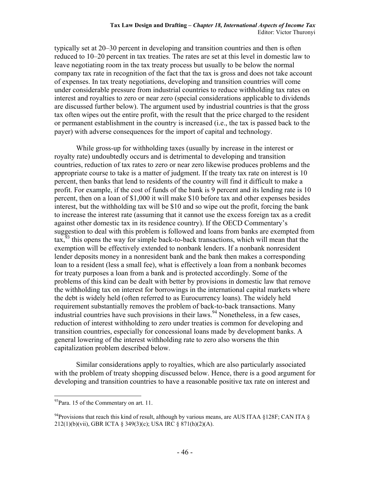typically set at 20–30 percent in developing and transition countries and then is often reduced to 10–20 percent in tax treaties. The rates are set at this level in domestic law to leave negotiating room in the tax treaty process but usually to be below the normal company tax rate in recognition of the fact that the tax is gross and does not take account of expenses. In tax treaty negotiations, developing and transition countries will come under considerable pressure from industrial countries to reduce withholding tax rates on interest and royalties to zero or near zero (special considerations applicable to dividends are discussed further below). The argument used by industrial countries is that the gross tax often wipes out the entire profit, with the result that the price charged to the resident or permanent establishment in the country is increased (i.e., the tax is passed back to the payer) with adverse consequences for the import of capital and technology.

 While gross-up for withholding taxes (usually by increase in the interest or royalty rate) undoubtedly occurs and is detrimental to developing and transition countries, reduction of tax rates to zero or near zero likewise produces problems and the appropriate course to take is a matter of judgment. If the treaty tax rate on interest is 10 percent, then banks that lend to residents of the country will find it difficult to make a profit. For example, if the cost of funds of the bank is 9 percent and its lending rate is 10 percent, then on a loan of \$1,000 it will make \$10 before tax and other expenses besides interest, but the withholding tax will be \$10 and so wipe out the profit, forcing the bank to increase the interest rate (assuming that it cannot use the excess foreign tax as a credit against other domestic tax in its residence country). If the OECD Commentary's suggestion to deal with this problem is followed and loans from banks are exempted from  $\text{tax}_2^{93}$  this opens the way for simple back-to-back transactions, which will mean that the exemption will be effectively extended to nonbank lenders. If a nonbank nonresident lender deposits money in a nonresident bank and the bank then makes a corresponding loan to a resident (less a small fee), what is effectively a loan from a nonbank becomes for treaty purposes a loan from a bank and is protected accordingly. Some of the problems of this kind can be dealt with better by provisions in domestic law that remove the withholding tax on interest for borrowings in the international capital markets where the debt is widely held (often referred to as Eurocurrency loans). The widely held requirement substantially removes the problem of back-to-back transactions. Many industrial countries have such provisions in their laws.94 Nonetheless, in a few cases, reduction of interest withholding to zero under treaties is common for developing and transition countries, especially for concessional loans made by development banks. A general lowering of the interest withholding rate to zero also worsens the thin capitalization problem described below.

 Similar considerations apply to royalties, which are also particularly associated with the problem of treaty shopping discussed below. Hence, there is a good argument for developing and transition countries to have a reasonable positive tax rate on interest and

 $93$ Para. 15 of the Commentary on art. 11.

<sup>&</sup>lt;sup>94</sup>Provisions that reach this kind of result, although by various means, are AUS ITAA §128F; CAN ITA § 212(1)(b)(vii), GBR ICTA § 349(3)(c); USA IRC § 871(h)(2)(A).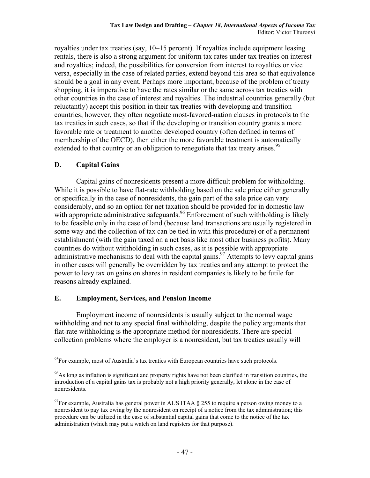royalties under tax treaties (say, 10–15 percent). If royalties include equipment leasing rentals, there is also a strong argument for uniform tax rates under tax treaties on interest and royalties; indeed, the possibilities for conversion from interest to royalties or vice versa, especially in the case of related parties, extend beyond this area so that equivalence should be a goal in any event. Perhaps more important, because of the problem of treaty shopping, it is imperative to have the rates similar or the same across tax treaties with other countries in the case of interest and royalties. The industrial countries generally (but reluctantly) accept this position in their tax treaties with developing and transition countries; however, they often negotiate most-favored-nation clauses in protocols to the tax treaties in such cases, so that if the developing or transition country grants a more favorable rate or treatment to another developed country (often defined in terms of membership of the OECD), then either the more favorable treatment is automatically extended to that country or an obligation to renegotiate that tax treaty arises.<sup>95</sup>

### **D. Capital Gains**

 $\overline{a}$ 

 Capital gains of nonresidents present a more difficult problem for withholding. While it is possible to have flat-rate withholding based on the sale price either generally or specifically in the case of nonresidents, the gain part of the sale price can vary considerably, and so an option for net taxation should be provided for in domestic law with appropriate administrative safeguards.<sup>96</sup> Enforcement of such withholding is likely to be feasible only in the case of land (because land transactions are usually registered in some way and the collection of tax can be tied in with this procedure) or of a permanent establishment (with the gain taxed on a net basis like most other business profits). Many countries do without withholding in such cases, as it is possible with appropriate administrative mechanisms to deal with the capital gains.<sup>97</sup> Attempts to levy capital gains in other cases will generally be overridden by tax treaties and any attempt to protect the power to levy tax on gains on shares in resident companies is likely to be futile for reasons already explained.

## **E. Employment, Services, and Pension Income**

 Employment income of nonresidents is usually subject to the normal wage withholding and not to any special final withholding, despite the policy arguments that flat-rate withholding is the appropriate method for nonresidents. There are special collection problems where the employer is a nonresident, but tax treaties usually will

 $<sup>95</sup>$  For example, most of Australia's tax treaties with European countries have such protocols.</sup>

<sup>&</sup>lt;sup>96</sup>As long as inflation is significant and property rights have not been clarified in transition countries, the introduction of a capital gains tax is probably not a high priority generally, let alone in the case of nonresidents.

 $97$ For example, Australia has general power in AUS ITAA § 255 to require a person owing money to a nonresident to pay tax owing by the nonresident on receipt of a notice from the tax administration; this procedure can be utilized in the case of substantial capital gains that come to the notice of the tax administration (which may put a watch on land registers for that purpose).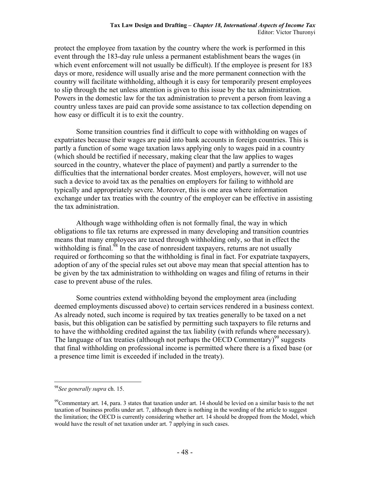protect the employee from taxation by the country where the work is performed in this event through the 183-day rule unless a permanent establishment bears the wages (in which event enforcement will not usually be difficult). If the employee is present for 183 days or more, residence will usually arise and the more permanent connection with the country will facilitate withholding, although it is easy for temporarily present employees to slip through the net unless attention is given to this issue by the tax administration. Powers in the domestic law for the tax administration to prevent a person from leaving a country unless taxes are paid can provide some assistance to tax collection depending on how easy or difficult it is to exit the country.

 Some transition countries find it difficult to cope with withholding on wages of expatriates because their wages are paid into bank accounts in foreign countries. This is partly a function of some wage taxation laws applying only to wages paid in a country (which should be rectified if necessary, making clear that the law applies to wages sourced in the country, whatever the place of payment) and partly a surrender to the difficulties that the international border creates. Most employers, however, will not use such a device to avoid tax as the penalties on employers for failing to withhold are typically and appropriately severe. Moreover, this is one area where information exchange under tax treaties with the country of the employer can be effective in assisting the tax administration.

 Although wage withholding often is not formally final, the way in which obligations to file tax returns are expressed in many developing and transition countries means that many employees are taxed through withholding only, so that in effect the withholding is final.<sup>98</sup> In the case of nonresident taxpayers, returns are not usually required or forthcoming so that the withholding is final in fact. For expatriate taxpayers, adoption of any of the special rules set out above may mean that special attention has to be given by the tax administration to withholding on wages and filing of returns in their case to prevent abuse of the rules.

 Some countries extend withholding beyond the employment area (including deemed employments discussed above) to certain services rendered in a business context. As already noted, such income is required by tax treaties generally to be taxed on a net basis, but this obligation can be satisfied by permitting such taxpayers to file returns and to have the withholding credited against the tax liability (with refunds where necessary). The language of tax treaties (although not perhaps the OECD Commentary)<sup>99</sup> suggests that final withholding on professional income is permitted where there is a fixed base (or a presence time limit is exceeded if included in the treaty).

<sup>98</sup>*See generally supra* ch. 15.

<sup>&</sup>lt;sup>99</sup>Commentary art. 14, para. 3 states that taxation under art. 14 should be levied on a similar basis to the net taxation of business profits under art. 7, although there is nothing in the wording of the article to suggest the limitation; the OECD is currently considering whether art. 14 should be dropped from the Model, which would have the result of net taxation under art. 7 applying in such cases.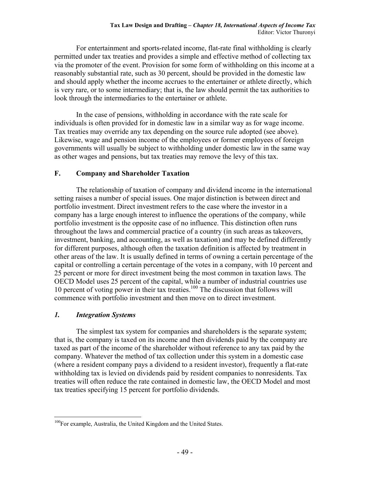For entertainment and sports-related income, flat-rate final withholding is clearly permitted under tax treaties and provides a simple and effective method of collecting tax via the promoter of the event. Provision for some form of withholding on this income at a reasonably substantial rate, such as 30 percent, should be provided in the domestic law and should apply whether the income accrues to the entertainer or athlete directly, which is very rare, or to some intermediary; that is, the law should permit the tax authorities to look through the intermediaries to the entertainer or athlete.

 In the case of pensions, withholding in accordance with the rate scale for individuals is often provided for in domestic law in a similar way as for wage income. Tax treaties may override any tax depending on the source rule adopted (see above). Likewise, wage and pension income of the employees or former employees of foreign governments will usually be subject to withholding under domestic law in the same way as other wages and pensions, but tax treaties may remove the levy of this tax.

### **F. Company and Shareholder Taxation**

 The relationship of taxation of company and dividend income in the international setting raises a number of special issues. One major distinction is between direct and portfolio investment. Direct investment refers to the case where the investor in a company has a large enough interest to influence the operations of the company, while portfolio investment is the opposite case of no influence. This distinction often runs throughout the laws and commercial practice of a country (in such areas as takeovers, investment, banking, and accounting, as well as taxation) and may be defined differently for different purposes, although often the taxation definition is affected by treatment in other areas of the law. It is usually defined in terms of owning a certain percentage of the capital or controlling a certain percentage of the votes in a company, with 10 percent and 25 percent or more for direct investment being the most common in taxation laws. The OECD Model uses 25 percent of the capital, while a number of industrial countries use 10 percent of voting power in their tax treaties.<sup>100</sup> The discussion that follows will commence with portfolio investment and then move on to direct investment.

## *1. Integration Systems*

 The simplest tax system for companies and shareholders is the separate system; that is, the company is taxed on its income and then dividends paid by the company are taxed as part of the income of the shareholder without reference to any tax paid by the company. Whatever the method of tax collection under this system in a domestic case (where a resident company pays a dividend to a resident investor), frequently a flat-rate withholding tax is levied on dividends paid by resident companies to nonresidents. Tax treaties will often reduce the rate contained in domestic law, the OECD Model and most tax treaties specifying 15 percent for portfolio dividends.

 $\overline{a}$ <sup>100</sup>For example, Australia, the United Kingdom and the United States.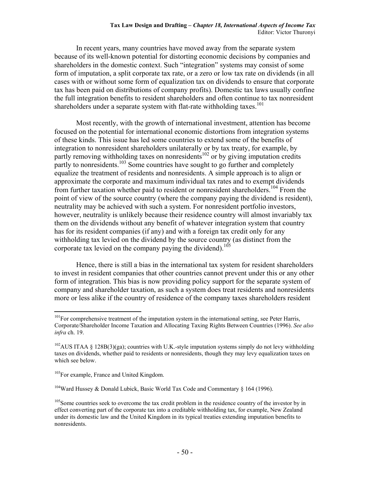In recent years, many countries have moved away from the separate system because of its well-known potential for distorting economic decisions by companies and shareholders in the domestic context. Such "integration" systems may consist of some form of imputation, a split corporate tax rate, or a zero or low tax rate on dividends (in all cases with or without some form of equalization tax on dividends to ensure that corporate tax has been paid on distributions of company profits). Domestic tax laws usually confine the full integration benefits to resident shareholders and often continue to tax nonresident shareholders under a separate system with flat-rate withholding taxes.<sup>101</sup>

 Most recently, with the growth of international investment, attention has become focused on the potential for international economic distortions from integration systems of these kinds. This issue has led some countries to extend some of the benefits of integration to nonresident shareholders unilaterally or by tax treaty, for example, by partly removing withholding taxes on nonresidents<sup>102</sup> or by giving imputation credits partly to nonresidents.<sup>103</sup> Some countries have sought to go further and completely equalize the treatment of residents and nonresidents. A simple approach is to align or approximate the corporate and maximum individual tax rates and to exempt dividends from further taxation whether paid to resident or nonresident shareholders.<sup>104</sup> From the point of view of the source country (where the company paying the dividend is resident), neutrality may be achieved with such a system. For nonresident portfolio investors, however, neutrality is unlikely because their residence country will almost invariably tax them on the dividends without any benefit of whatever integration system that country has for its resident companies (if any) and with a foreign tax credit only for any withholding tax levied on the dividend by the source country (as distinct from the corporate tax levied on the company paying the dividend).<sup>105</sup>

 Hence, there is still a bias in the international tax system for resident shareholders to invest in resident companies that other countries cannot prevent under this or any other form of integration. This bias is now providing policy support for the separate system of company and shareholder taxation, as such a system does treat residents and nonresidents more or less alike if the country of residence of the company taxes shareholders resident

<sup>&</sup>lt;sup>101</sup>For comprehensive treatment of the imputation system in the international setting, see Peter Harris, Corporate/Shareholder Income Taxation and Allocating Taxing Rights Between Countries (1996). *See also infra* ch. 19.

 $102$ AUS ITAA § 128B(3)(ga); countries with U.K.-style imputation systems simply do not levy withholding taxes on dividends, whether paid to residents or nonresidents, though they may levy equalization taxes on which see below.

<sup>&</sup>lt;sup>103</sup>For example, France and United Kingdom.

<sup>&</sup>lt;sup>104</sup>Ward Hussey & Donald Lubick, Basic World Tax Code and Commentary § 164 (1996).

<sup>&</sup>lt;sup>105</sup>Some countries seek to overcome the tax credit problem in the residence country of the investor by in effect converting part of the corporate tax into a creditable withholding tax, for example, New Zealand under its domestic law and the United Kingdom in its typical treaties extending imputation benefits to nonresidents.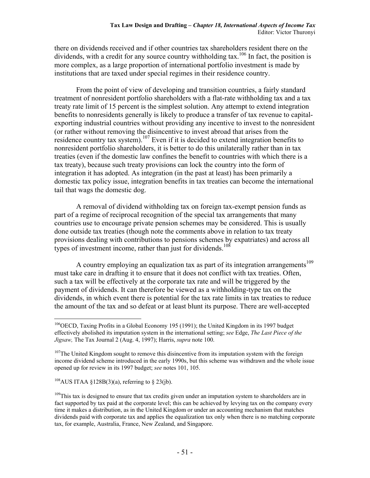there on dividends received and if other countries tax shareholders resident there on the dividends, with a credit for any source country withholding tax.<sup>106</sup> In fact, the position is more complex, as a large proportion of international portfolio investment is made by institutions that are taxed under special regimes in their residence country.

 From the point of view of developing and transition countries, a fairly standard treatment of nonresident portfolio shareholders with a flat-rate withholding tax and a tax treaty rate limit of 15 percent is the simplest solution. Any attempt to extend integration benefits to nonresidents generally is likely to produce a transfer of tax revenue to capitalexporting industrial countries without providing any incentive to invest to the nonresident (or rather without removing the disincentive to invest abroad that arises from the residence country tax system).<sup>107</sup> Even if it is decided to extend integration benefits to nonresident portfolio shareholders, it is better to do this unilaterally rather than in tax treaties (even if the domestic law confines the benefit to countries with which there is a tax treaty), because such treaty provisions can lock the country into the form of integration it has adopted. As integration (in the past at least) has been primarily a domestic tax policy issue, integration benefits in tax treaties can become the international tail that wags the domestic dog.

 A removal of dividend withholding tax on foreign tax-exempt pension funds as part of a regime of reciprocal recognition of the special tax arrangements that many countries use to encourage private pension schemes may be considered. This is usually done outside tax treaties (though note the comments above in relation to tax treaty provisions dealing with contributions to pensions schemes by expatriates) and across all types of investment income, rather than just for dividends.<sup>108</sup>

A country employing an equalization tax as part of its integration arrangements<sup>109</sup> must take care in drafting it to ensure that it does not conflict with tax treaties. Often, such a tax will be effectively at the corporate tax rate and will be triggered by the payment of dividends. It can therefore be viewed as a withholding-type tax on the dividends, in which event there is potential for the tax rate limits in tax treaties to reduce the amount of the tax and so defeat or at least blunt its purpose. There are well-accepted

<sup>108</sup>AUS ITAA §128B(3)(a), referring to § 23(jb).

1

<sup>&</sup>lt;sup>106</sup>OECD, Taxing Profits in a Global Economy 195 (1991); the United Kingdom in its 1997 budget effectively abolished its imputation system in the international setting; *see* Edge, *The Last Piece of the Jigsaw,* The Tax Journal 2 (Aug. 4, 1997); Harris, *supra* note 100.

 $107$ The United Kingdom sought to remove this disincentive from its imputation system with the foreign income dividend scheme introduced in the early 1990s, but this scheme was withdrawn and the whole issue opened up for review in its 1997 budget; *see* notes 101, 105.

<sup>&</sup>lt;sup>109</sup>This tax is designed to ensure that tax credits given under an imputation system to shareholders are in fact supported by tax paid at the corporate level; this can be achieved by levying tax on the company every time it makes a distribution, as in the United Kingdom or under an accounting mechanism that matches dividends paid with corporate tax and applies the equalization tax only when there is no matching corporate tax, for example, Australia, France, New Zealand, and Singapore.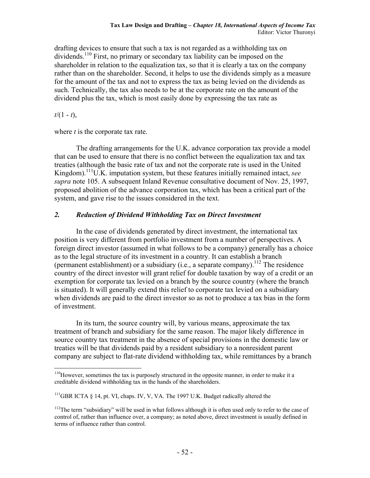drafting devices to ensure that such a tax is not regarded as a withholding tax on dividends.<sup>110</sup> First, no primary or secondary tax liability can be imposed on the shareholder in relation to the equalization tax, so that it is clearly a tax on the company rather than on the shareholder. Second, it helps to use the dividends simply as a measure for the amount of the tax and not to express the tax as being levied on the dividends as such. Technically, the tax also needs to be at the corporate rate on the amount of the dividend plus the tax, which is most easily done by expressing the tax rate as

 $t/(1 - t)$ ,

 $\overline{a}$ 

where *t* is the corporate tax rate.

 The drafting arrangements for the U.K. advance corporation tax provide a model that can be used to ensure that there is no conflict between the equalization tax and tax treaties (although the basic rate of tax and not the corporate rate is used in the United Kingdom).111U.K. imputation system, but these features initially remained intact, *see supra* note 105. A subsequent Inland Revenue consultative document of Nov. 25, 1997, proposed abolition of the advance corporation tax, which has been a critical part of the system, and gave rise to the issues considered in the text.

### *2. Reduction of Dividend Withholding Tax on Direct Investment*

 In the case of dividends generated by direct investment, the international tax position is very different from portfolio investment from a number of perspectives. A foreign direct investor (assumed in what follows to be a company) generally has a choice as to the legal structure of its investment in a country. It can establish a branch (permanent establishment) or a subsidiary (i.e., a separate company).<sup>112</sup> The residence country of the direct investor will grant relief for double taxation by way of a credit or an exemption for corporate tax levied on a branch by the source country (where the branch is situated). It will generally extend this relief to corporate tax levied on a subsidiary when dividends are paid to the direct investor so as not to produce a tax bias in the form of investment.

 In its turn, the source country will, by various means, approximate the tax treatment of branch and subsidiary for the same reason. The major likely difference in source country tax treatment in the absence of special provisions in the domestic law or treaties will be that dividends paid by a resident subsidiary to a nonresident parent company are subject to flat-rate dividend withholding tax, while remittances by a branch

<sup>&</sup>lt;sup>110</sup>However, sometimes the tax is purposely structured in the opposite manner, in order to make it a creditable dividend withholding tax in the hands of the shareholders.

 $111$ GBR ICTA § 14, pt. VI, chaps. IV, V, VA. The 1997 U.K. Budget radically altered the

<sup>&</sup>lt;sup>112</sup>The term "subsidiary" will be used in what follows although it is often used only to refer to the case of control of, rather than influence over, a company; as noted above, direct investment is usually defined in terms of influence rather than control.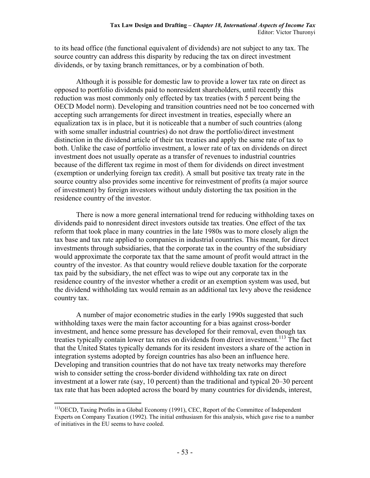to its head office (the functional equivalent of dividends) are not subject to any tax. The source country can address this disparity by reducing the tax on direct investment dividends, or by taxing branch remittances, or by a combination of both.

 Although it is possible for domestic law to provide a lower tax rate on direct as opposed to portfolio dividends paid to nonresident shareholders, until recently this reduction was most commonly only effected by tax treaties (with 5 percent being the OECD Model norm). Developing and transition countries need not be too concerned with accepting such arrangements for direct investment in treaties, especially where an equalization tax is in place, but it is noticeable that a number of such countries (along with some smaller industrial countries) do not draw the portfolio/direct investment distinction in the dividend article of their tax treaties and apply the same rate of tax to both. Unlike the case of portfolio investment, a lower rate of tax on dividends on direct investment does not usually operate as a transfer of revenues to industrial countries because of the different tax regime in most of them for dividends on direct investment (exemption or underlying foreign tax credit). A small but positive tax treaty rate in the source country also provides some incentive for reinvestment of profits (a major source of investment) by foreign investors without unduly distorting the tax position in the residence country of the investor.

 There is now a more general international trend for reducing withholding taxes on dividends paid to nonresident direct investors outside tax treaties. One effect of the tax reform that took place in many countries in the late 1980s was to more closely align the tax base and tax rate applied to companies in industrial countries. This meant, for direct investments through subsidiaries, that the corporate tax in the country of the subsidiary would approximate the corporate tax that the same amount of profit would attract in the country of the investor. As that country would relieve double taxation for the corporate tax paid by the subsidiary, the net effect was to wipe out any corporate tax in the residence country of the investor whether a credit or an exemption system was used, but the dividend withholding tax would remain as an additional tax levy above the residence country tax.

 A number of major econometric studies in the early 1990s suggested that such withholding taxes were the main factor accounting for a bias against cross-border investment, and hence some pressure has developed for their removal, even though tax treaties typically contain lower tax rates on dividends from direct investment.<sup>113</sup> The fact that the United States typically demands for its resident investors a share of the action in integration systems adopted by foreign countries has also been an influence here. Developing and transition countries that do not have tax treaty networks may therefore wish to consider setting the cross-border dividend withholding tax rate on direct investment at a lower rate (say, 10 percent) than the traditional and typical 20–30 percent tax rate that has been adopted across the board by many countries for dividends, interest,

 $\overline{a}$ <sup>113</sup>OECD, Taxing Profits in a Global Economy (1991), CEC, Report of the Committee of Independent Experts on Company Taxation (1992). The initial enthusiasm for this analysis, which gave rise to a number of initiatives in the EU seems to have cooled.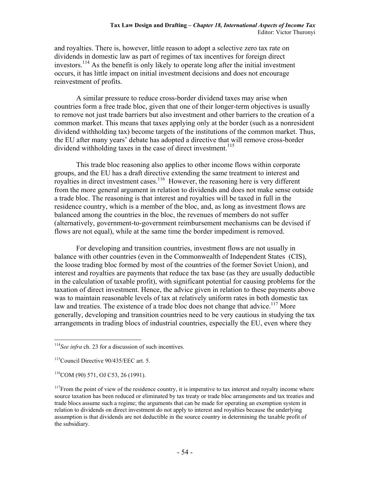and royalties. There is, however, little reason to adopt a selective zero tax rate on dividends in domestic law as part of regimes of tax incentives for foreign direct investors.<sup>114</sup> As the benefit is only likely to operate long after the initial investment occurs, it has little impact on initial investment decisions and does not encourage reinvestment of profits.

 A similar pressure to reduce cross-border dividend taxes may arise when countries form a free trade bloc, given that one of their longer-term objectives is usually to remove not just trade barriers but also investment and other barriers to the creation of a common market. This means that taxes applying only at the border (such as a nonresident dividend withholding tax) become targets of the institutions of the common market. Thus, the EU after many years' debate has adopted a directive that will remove cross-border dividend withholding taxes in the case of direct investment.<sup>115</sup>

 This trade bloc reasoning also applies to other income flows within corporate groups, and the EU has a draft directive extending the same treatment to interest and royalties in direct investment cases.<sup>116</sup> However, the reasoning here is very different from the more general argument in relation to dividends and does not make sense outside a trade bloc. The reasoning is that interest and royalties will be taxed in full in the residence country, which is a member of the bloc, and, as long as investment flows are balanced among the countries in the bloc, the revenues of members do not suffer (alternatively, government-to-government reimbursement mechanisms can be devised if flows are not equal), while at the same time the border impediment is removed.

 For developing and transition countries, investment flows are not usually in balance with other countries (even in the Commonwealth of Independent States (CIS), the loose trading bloc formed by most of the countries of the former Soviet Union), and interest and royalties are payments that reduce the tax base (as they are usually deductible in the calculation of taxable profit), with significant potential for causing problems for the taxation of direct investment. Hence, the advice given in relation to these payments above was to maintain reasonable levels of tax at relatively uniform rates in both domestic tax law and treaties. The existence of a trade bloc does not change that advice.<sup>117</sup> More generally, developing and transition countries need to be very cautious in studying the tax arrangements in trading blocs of industrial countries, especially the EU, even where they

 $\overline{a}$ 

 $116$ COM (90) 571, OJ C53, 26 (1991).

<sup>&</sup>lt;sup>114</sup>See infra ch. 23 for a discussion of such incentives.

<sup>&</sup>lt;sup>115</sup>Council Directive 90/435/EEC art. 5.

 $117$ From the point of view of the residence country, it is imperative to tax interest and royalty income where source taxation has been reduced or eliminated by tax treaty or trade bloc arrangements and tax treaties and trade blocs assume such a regime; the arguments that can be made for operating an exemption system in relation to dividends on direct investment do not apply to interest and royalties because the underlying assumption is that dividends are not deductible in the source country in determining the taxable profit of the subsidiary.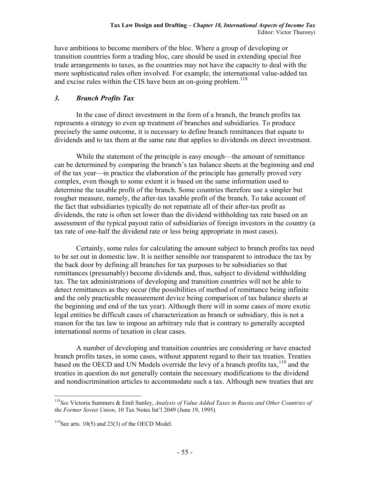have ambitions to become members of the bloc. Where a group of developing or transition countries form a trading bloc, care should be used in extending special free trade arrangements to taxes, as the countries may not have the capacity to deal with the more sophisticated rules often involved. For example, the international value-added tax and excise rules within the CIS have been an on-going problem.<sup>118</sup>

### *3. Branch Profits Tax*

 In the case of direct investment in the form of a branch, the branch profits tax represents a strategy to even up treatment of branches and subsidiaries. To produce precisely the same outcome, it is necessary to define branch remittances that equate to dividends and to tax them at the same rate that applies to dividends on direct investment.

While the statement of the principle is easy enough—the amount of remittance can be determined by comparing the branch's tax balance sheets at the beginning and end of the tax year—in practice the elaboration of the principle has generally proved very complex, even though to some extent it is based on the same information used to determine the taxable profit of the branch. Some countries therefore use a simpler but rougher measure, namely, the after-tax taxable profit of the branch. To take account of the fact that subsidiaries typically do not repatriate all of their after-tax profit as dividends, the rate is often set lower than the dividend withholding tax rate based on an assessment of the typical payout ratio of subsidiaries of foreign investors in the country (a tax rate of one-half the dividend rate or less being appropriate in most cases).

 Certainly, some rules for calculating the amount subject to branch profits tax need to be set out in domestic law. It is neither sensible nor transparent to introduce the tax by the back door by defining all branches for tax purposes to be subsidiaries so that remittances (presumably) become dividends and, thus, subject to dividend withholding tax. The tax administrations of developing and transition countries will not be able to detect remittances as they occur (the possibilities of method of remittance being infinite and the only practicable measurement device being comparison of tax balance sheets at the beginning and end of the tax year). Although there will in some cases of more exotic legal entities be difficult cases of characterization as branch or subsidiary, this is not a reason for the tax law to impose an arbitrary rule that is contrary to generally accepted international norms of taxation in clear cases.

 A number of developing and transition countries are considering or have enacted branch profits taxes, in some cases, without apparent regard to their tax treaties. Treaties based on the OECD and UN Models override the levy of a branch profits tax,<sup>119</sup> and the treaties in question do not generally contain the necessary modifications to the dividend and nondiscrimination articles to accommodate such a tax. Although new treaties that are

 $\overline{a}$ <sup>118</sup>*See* Victoria Summers & Emil Sunley, *Analysis of Value Added Taxes in Russia and Other Countries of the Former Soviet Union*, 10 Tax Notes Int'l 2049 (June 19, 1995).

 $119$ See arts. 10(5) and 23(3) of the OECD Model.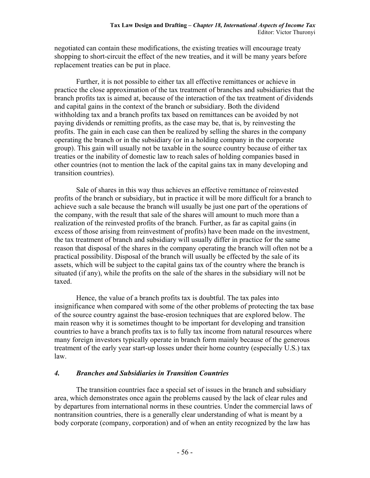negotiated can contain these modifications, the existing treaties will encourage treaty shopping to short-circuit the effect of the new treaties, and it will be many years before replacement treaties can be put in place.

 Further, it is not possible to either tax all effective remittances or achieve in practice the close approximation of the tax treatment of branches and subsidiaries that the branch profits tax is aimed at, because of the interaction of the tax treatment of dividends and capital gains in the context of the branch or subsidiary. Both the dividend withholding tax and a branch profits tax based on remittances can be avoided by not paying dividends or remitting profits, as the case may be, that is, by reinvesting the profits. The gain in each case can then be realized by selling the shares in the company operating the branch or in the subsidiary (or in a holding company in the corporate group). This gain will usually not be taxable in the source country because of either tax treaties or the inability of domestic law to reach sales of holding companies based in other countries (not to mention the lack of the capital gains tax in many developing and transition countries).

 Sale of shares in this way thus achieves an effective remittance of reinvested profits of the branch or subsidiary, but in practice it will be more difficult for a branch to achieve such a sale because the branch will usually be just one part of the operations of the company, with the result that sale of the shares will amount to much more than a realization of the reinvested profits of the branch. Further, as far as capital gains (in excess of those arising from reinvestment of profits) have been made on the investment, the tax treatment of branch and subsidiary will usually differ in practice for the same reason that disposal of the shares in the company operating the branch will often not be a practical possibility. Disposal of the branch will usually be effected by the sale of its assets, which will be subject to the capital gains tax of the country where the branch is situated (if any), while the profits on the sale of the shares in the subsidiary will not be taxed.

 Hence, the value of a branch profits tax is doubtful. The tax pales into insignificance when compared with some of the other problems of protecting the tax base of the source country against the base-erosion techniques that are explored below. The main reason why it is sometimes thought to be important for developing and transition countries to have a branch profits tax is to fully tax income from natural resources where many foreign investors typically operate in branch form mainly because of the generous treatment of the early year start-up losses under their home country (especially U.S.) tax law.

#### *4. Branches and Subsidiaries in Transition Countries*

 The transition countries face a special set of issues in the branch and subsidiary area, which demonstrates once again the problems caused by the lack of clear rules and by departures from international norms in these countries. Under the commercial laws of nontransition countries, there is a generally clear understanding of what is meant by a body corporate (company, corporation) and of when an entity recognized by the law has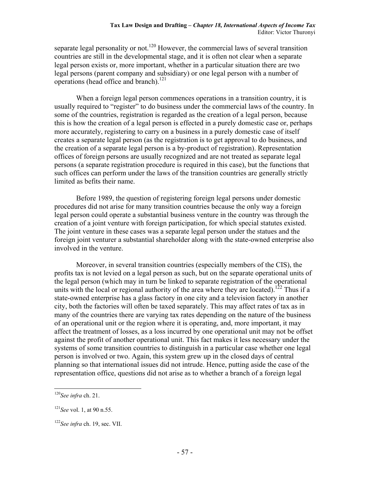separate legal personality or not.<sup>120</sup> However, the commercial laws of several transition countries are still in the developmental stage, and it is often not clear when a separate legal person exists or, more important, whether in a particular situation there are two legal persons (parent company and subsidiary) or one legal person with a number of operations (head office and branch).<sup>121</sup>

 When a foreign legal person commences operations in a transition country, it is usually required to "register" to do business under the commercial laws of the country. In some of the countries, registration is regarded as the creation of a legal person, because this is how the creation of a legal person is effected in a purely domestic case or, perhaps more accurately, registering to carry on a business in a purely domestic case of itself creates a separate legal person (as the registration is to get approval to do business, and the creation of a separate legal person is a by-product of registration). Representation offices of foreign persons are usually recognized and are not treated as separate legal persons (a separate registration procedure is required in this case), but the functions that such offices can perform under the laws of the transition countries are generally strictly limited as befits their name.

 Before 1989, the question of registering foreign legal persons under domestic procedures did not arise for many transition countries because the only way a foreign legal person could operate a substantial business venture in the country was through the creation of a joint venture with foreign participation, for which special statutes existed. The joint venture in these cases was a separate legal person under the statues and the foreign joint venturer a substantial shareholder along with the state-owned enterprise also involved in the venture.

 Moreover, in several transition countries (especially members of the CIS), the profits tax is not levied on a legal person as such, but on the separate operational units of the legal person (which may in turn be linked to separate registration of the operational units with the local or regional authority of the area where they are located).<sup>122</sup> Thus if a state-owned enterprise has a glass factory in one city and a television factory in another city, both the factories will often be taxed separately. This may affect rates of tax as in many of the countries there are varying tax rates depending on the nature of the business of an operational unit or the region where it is operating, and, more important, it may affect the treatment of losses, as a loss incurred by one operational unit may not be offset against the profit of another operational unit. This fact makes it less necessary under the systems of some transition countries to distinguish in a particular case whether one legal person is involved or two. Again, this system grew up in the closed days of central planning so that international issues did not intrude. Hence, putting aside the case of the representation office, questions did not arise as to whether a branch of a foreign legal

1

<sup>120</sup>*See infra* ch. 21.

<sup>121</sup>*See* vol. 1, at 90 n.55.

<sup>122</sup>*See infra* ch. 19, sec. VII.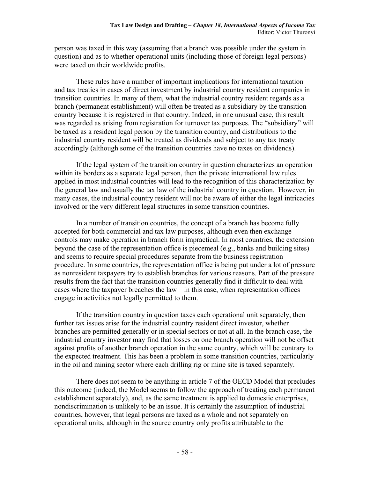person was taxed in this way (assuming that a branch was possible under the system in question) and as to whether operational units (including those of foreign legal persons) were taxed on their worldwide profits.

 These rules have a number of important implications for international taxation and tax treaties in cases of direct investment by industrial country resident companies in transition countries. In many of them, what the industrial country resident regards as a branch (permanent establishment) will often be treated as a subsidiary by the transition country because it is registered in that country. Indeed, in one unusual case, this result was regarded as arising from registration for turnover tax purposes. The "subsidiary" will be taxed as a resident legal person by the transition country, and distributions to the industrial country resident will be treated as dividends and subject to any tax treaty accordingly (although some of the transition countries have no taxes on dividends).

 If the legal system of the transition country in question characterizes an operation within its borders as a separate legal person, then the private international law rules applied in most industrial countries will lead to the recognition of this characterization by the general law and usually the tax law of the industrial country in question. However, in many cases, the industrial country resident will not be aware of either the legal intricacies involved or the very different legal structures in some transition countries.

 In a number of transition countries, the concept of a branch has become fully accepted for both commercial and tax law purposes, although even then exchange controls may make operation in branch form impractical. In most countries, the extension beyond the case of the representation office is piecemeal (e.g., banks and building sites) and seems to require special procedures separate from the business registration procedure. In some countries, the representation office is being put under a lot of pressure as nonresident taxpayers try to establish branches for various reasons. Part of the pressure results from the fact that the transition countries generally find it difficult to deal with cases where the taxpayer breaches the law—in this case, when representation offices engage in activities not legally permitted to them.

 If the transition country in question taxes each operational unit separately, then further tax issues arise for the industrial country resident direct investor, whether branches are permitted generally or in special sectors or not at all. In the branch case, the industrial country investor may find that losses on one branch operation will not be offset against profits of another branch operation in the same country, which will be contrary to the expected treatment. This has been a problem in some transition countries, particularly in the oil and mining sector where each drilling rig or mine site is taxed separately.

 There does not seem to be anything in article 7 of the OECD Model that precludes this outcome (indeed, the Model seems to follow the approach of treating each permanent establishment separately), and, as the same treatment is applied to domestic enterprises, nondiscrimination is unlikely to be an issue. It is certainly the assumption of industrial countries, however, that legal persons are taxed as a whole and not separately on operational units, although in the source country only profits attributable to the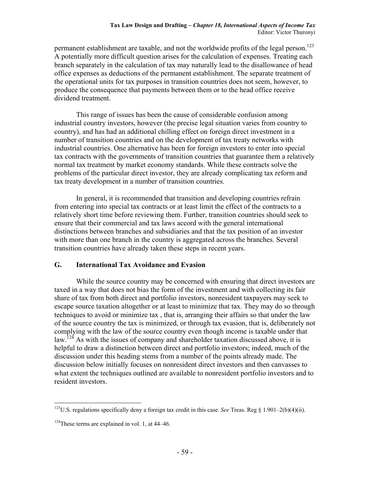permanent establishment are taxable, and not the worldwide profits of the legal person.<sup>123</sup> A potentially more difficult question arises for the calculation of expenses. Treating each branch separately in the calculation of tax may naturally lead to the disallowance of head office expenses as deductions of the permanent establishment. The separate treatment of the operational units for tax purposes in transition countries does not seem, however, to produce the consequence that payments between them or to the head office receive dividend treatment.

 This range of issues has been the cause of considerable confusion among industrial country investors, however (the precise legal situation varies from country to country), and has had an additional chilling effect on foreign direct investment in a number of transition countries and on the development of tax treaty networks with industrial countries. One alternative has been for foreign investors to enter into special tax contracts with the governments of transition countries that guarantee them a relatively normal tax treatment by market economy standards. While these contracts solve the problems of the particular direct investor, they are already complicating tax reform and tax treaty development in a number of transition countries.

 In general, it is recommended that transition and developing countries refrain from entering into special tax contracts or at least limit the effect of the contracts to a relatively short time before reviewing them. Further, transition countries should seek to ensure that their commercial and tax laws accord with the general international distinctions between branches and subsidiaries and that the tax position of an investor with more than one branch in the country is aggregated across the branches. Several transition countries have already taken these steps in recent years.

### **G. International Tax Avoidance and Evasion**

 While the source country may be concerned with ensuring that direct investors are taxed in a way that does not bias the form of the investment and with collecting its fair share of tax from both direct and portfolio investors, nonresident taxpayers may seek to escape source taxation altogether or at least to minimize that tax. They may do so through techniques to avoid or minimize tax , that is, arranging their affairs so that under the law of the source country the tax is minimized, or through tax evasion, that is, deliberately not complying with the law of the source country even though income is taxable under that law.<sup>124</sup> As with the issues of company and shareholder taxation discussed above, it is helpful to draw a distinction between direct and portfolio investors; indeed, much of the discussion under this heading stems from a number of the points already made. The discussion below initially focuses on nonresident direct investors and then canvasses to what extent the techniques outlined are available to nonresident portfolio investors and to resident investors.

1

<sup>123</sup>U.S. regulations specifically deny a foreign tax credit in this case. *See* Treas. Reg § 1.901–2(b)(4)(ii).

<sup>&</sup>lt;sup>124</sup>These terms are explained in vol. 1, at 44–46.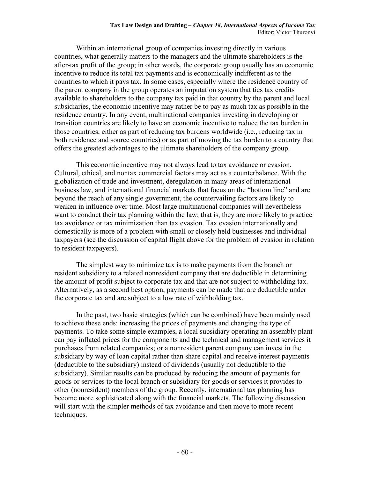#### **Tax Law Design and Drafting –** *Chapter 18, International Aspects of Income Tax*  Editor: Victor Thuronyi

 Within an international group of companies investing directly in various countries, what generally matters to the managers and the ultimate shareholders is the after-tax profit of the group; in other words, the corporate group usually has an economic incentive to reduce its total tax payments and is economically indifferent as to the countries to which it pays tax. In some cases, especially where the residence country of the parent company in the group operates an imputation system that ties tax credits available to shareholders to the company tax paid in that country by the parent and local subsidiaries, the economic incentive may rather be to pay as much tax as possible in the residence country. In any event, multinational companies investing in developing or transition countries are likely to have an economic incentive to reduce the tax burden in those countries, either as part of reducing tax burdens worldwide (i.e., reducing tax in both residence and source countries) or as part of moving the tax burden to a country that offers the greatest advantages to the ultimate shareholders of the company group.

 This economic incentive may not always lead to tax avoidance or evasion. Cultural, ethical, and nontax commercial factors may act as a counterbalance. With the globalization of trade and investment, deregulation in many areas of international business law, and international financial markets that focus on the "bottom line" and are beyond the reach of any single government, the countervailing factors are likely to weaken in influence over time. Most large multinational companies will nevertheless want to conduct their tax planning within the law; that is, they are more likely to practice tax avoidance or tax minimization than tax evasion. Tax evasion internationally and domestically is more of a problem with small or closely held businesses and individual taxpayers (see the discussion of capital flight above for the problem of evasion in relation to resident taxpayers).

 The simplest way to minimize tax is to make payments from the branch or resident subsidiary to a related nonresident company that are deductible in determining the amount of profit subject to corporate tax and that are not subject to withholding tax. Alternatively, as a second best option, payments can be made that are deductible under the corporate tax and are subject to a low rate of withholding tax.

 In the past, two basic strategies (which can be combined) have been mainly used to achieve these ends: increasing the prices of payments and changing the type of payments. To take some simple examples, a local subsidiary operating an assembly plant can pay inflated prices for the components and the technical and management services it purchases from related companies; or a nonresident parent company can invest in the subsidiary by way of loan capital rather than share capital and receive interest payments (deductible to the subsidiary) instead of dividends (usually not deductible to the subsidiary). Similar results can be produced by reducing the amount of payments for goods or services to the local branch or subsidiary for goods or services it provides to other (nonresident) members of the group. Recently, international tax planning has become more sophisticated along with the financial markets. The following discussion will start with the simpler methods of tax avoidance and then move to more recent techniques.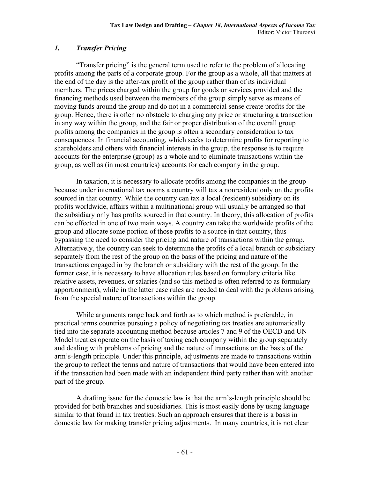### *1. Transfer Pricing*

 "Transfer pricing" is the general term used to refer to the problem of allocating profits among the parts of a corporate group. For the group as a whole, all that matters at the end of the day is the after-tax profit of the group rather than of its individual members. The prices charged within the group for goods or services provided and the financing methods used between the members of the group simply serve as means of moving funds around the group and do not in a commercial sense create profits for the group. Hence, there is often no obstacle to charging any price or structuring a transaction in any way within the group, and the fair or proper distribution of the overall group profits among the companies in the group is often a secondary consideration to tax consequences. In financial accounting, which seeks to determine profits for reporting to shareholders and others with financial interests in the group, the response is to require accounts for the enterprise (group) as a whole and to eliminate transactions within the group, as well as (in most countries) accounts for each company in the group.

 In taxation, it is necessary to allocate profits among the companies in the group because under international tax norms a country will tax a nonresident only on the profits sourced in that country. While the country can tax a local (resident) subsidiary on its profits worldwide, affairs within a multinational group will usually be arranged so that the subsidiary only has profits sourced in that country. In theory, this allocation of profits can be effected in one of two main ways. A country can take the worldwide profits of the group and allocate some portion of those profits to a source in that country, thus bypassing the need to consider the pricing and nature of transactions within the group. Alternatively, the country can seek to determine the profits of a local branch or subsidiary separately from the rest of the group on the basis of the pricing and nature of the transactions engaged in by the branch or subsidiary with the rest of the group. In the former case, it is necessary to have allocation rules based on formulary criteria like relative assets, revenues, or salaries (and so this method is often referred to as formulary apportionment), while in the latter case rules are needed to deal with the problems arising from the special nature of transactions within the group.

 While arguments range back and forth as to which method is preferable, in practical terms countries pursuing a policy of negotiating tax treaties are automatically tied into the separate accounting method because articles 7 and 9 of the OECD and UN Model treaties operate on the basis of taxing each company within the group separately and dealing with problems of pricing and the nature of transactions on the basis of the arm's-length principle. Under this principle, adjustments are made to transactions within the group to reflect the terms and nature of transactions that would have been entered into if the transaction had been made with an independent third party rather than with another part of the group.

 A drafting issue for the domestic law is that the arm's-length principle should be provided for both branches and subsidiaries. This is most easily done by using language similar to that found in tax treaties. Such an approach ensures that there is a basis in domestic law for making transfer pricing adjustments. In many countries, it is not clear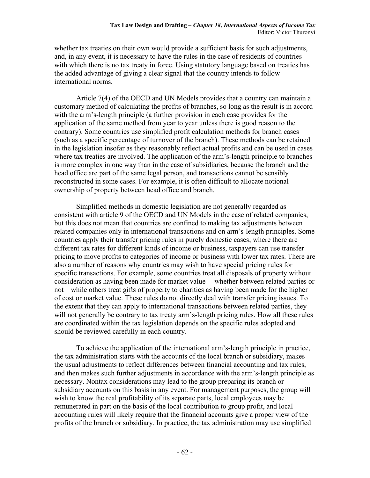whether tax treaties on their own would provide a sufficient basis for such adjustments, and, in any event, it is necessary to have the rules in the case of residents of countries with which there is no tax treaty in force. Using statutory language based on treaties has the added advantage of giving a clear signal that the country intends to follow international norms.

 Article 7(4) of the OECD and UN Models provides that a country can maintain a customary method of calculating the profits of branches, so long as the result is in accord with the arm's-length principle (a further provision in each case provides for the application of the same method from year to year unless there is good reason to the contrary). Some countries use simplified profit calculation methods for branch cases (such as a specific percentage of turnover of the branch). These methods can be retained in the legislation insofar as they reasonably reflect actual profits and can be used in cases where tax treaties are involved. The application of the arm's-length principle to branches is more complex in one way than in the case of subsidiaries, because the branch and the head office are part of the same legal person, and transactions cannot be sensibly reconstructed in some cases. For example, it is often difficult to allocate notional ownership of property between head office and branch.

 Simplified methods in domestic legislation are not generally regarded as consistent with article 9 of the OECD and UN Models in the case of related companies, but this does not mean that countries are confined to making tax adjustments between related companies only in international transactions and on arm's-length principles. Some countries apply their transfer pricing rules in purely domestic cases; where there are different tax rates for different kinds of income or business, taxpayers can use transfer pricing to move profits to categories of income or business with lower tax rates. There are also a number of reasons why countries may wish to have special pricing rules for specific transactions. For example, some countries treat all disposals of property without consideration as having been made for market value— whether between related parties or not—while others treat gifts of property to charities as having been made for the higher of cost or market value. These rules do not directly deal with transfer pricing issues. To the extent that they can apply to international transactions between related parties, they will not generally be contrary to tax treaty arm's-length pricing rules. How all these rules are coordinated within the tax legislation depends on the specific rules adopted and should be reviewed carefully in each country.

 To achieve the application of the international arm's-length principle in practice, the tax administration starts with the accounts of the local branch or subsidiary, makes the usual adjustments to reflect differences between financial accounting and tax rules, and then makes such further adjustments in accordance with the arm's-length principle as necessary. Nontax considerations may lead to the group preparing its branch or subsidiary accounts on this basis in any event. For management purposes, the group will wish to know the real profitability of its separate parts, local employees may be remunerated in part on the basis of the local contribution to group profit, and local accounting rules will likely require that the financial accounts give a proper view of the profits of the branch or subsidiary. In practice, the tax administration may use simplified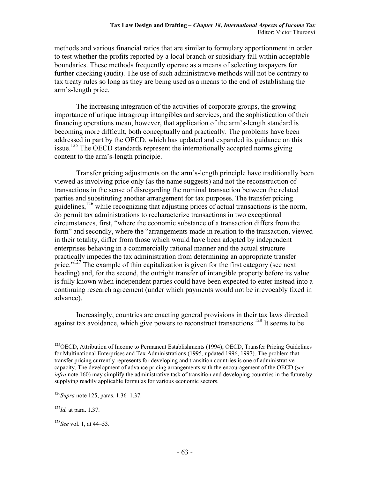methods and various financial ratios that are similar to formulary apportionment in order to test whether the profits reported by a local branch or subsidiary fall within acceptable boundaries. These methods frequently operate as a means of selecting taxpayers for further checking (audit). The use of such administrative methods will not be contrary to tax treaty rules so long as they are being used as a means to the end of establishing the arm's-length price.

 The increasing integration of the activities of corporate groups, the growing importance of unique intragroup intangibles and services, and the sophistication of their financing operations mean, however, that application of the arm's-length standard is becoming more difficult, both conceptually and practically. The problems have been addressed in part by the OECD, which has updated and expanded its guidance on this issue.125 The OECD standards represent the internationally accepted norms giving content to the arm's-length principle.

 Transfer pricing adjustments on the arm's-length principle have traditionally been viewed as involving price only (as the name suggests) and not the reconstruction of transactions in the sense of disregarding the nominal transaction between the related parties and substituting another arrangement for tax purposes. The transfer pricing guidelines,  $126$  while recognizing that adjusting prices of actual transactions is the norm, do permit tax administrations to recharacterize transactions in two exceptional circumstances, first, "where the economic substance of a transaction differs from the form" and secondly, where the "arrangements made in relation to the transaction, viewed in their totality, differ from those which would have been adopted by independent enterprises behaving in a commercially rational manner and the actual structure practically impedes the tax administration from determining an appropriate transfer price." $127$  The example of thin capitalization is given for the first category (see next heading) and, for the second, the outright transfer of intangible property before its value is fully known when independent parties could have been expected to enter instead into a continuing research agreement (under which payments would not be irrevocably fixed in advance).

 Increasingly, countries are enacting general provisions in their tax laws directed against tax avoidance, which give powers to reconstruct transactions.<sup>128</sup> It seems to be

<sup>&</sup>lt;sup>125</sup>OECD, Attribution of Income to Permanent Establishments (1994); OECD, Transfer Pricing Guidelines for Multinational Enterprises and Tax Administrations (1995, updated 1996, 1997). The problem that transfer pricing currently represents for developing and transition countries is one of administrative capacity. The development of advance pricing arrangements with the encouragement of the OECD (*see infra* note 160) may simplify the administrative task of transition and developing countries in the future by supplying readily applicable formulas for various economic sectors.

<sup>126</sup>*Supra* note 125, paras. 1.36–1.37.

<sup>127</sup>*Id.* at para. 1.37.

<sup>128</sup>*See* vol. 1, at 44–53.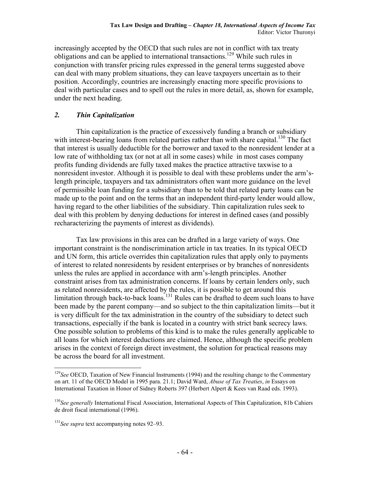increasingly accepted by the OECD that such rules are not in conflict with tax treaty obligations and can be applied to international transactions.129 While such rules in conjunction with transfer pricing rules expressed in the general terms suggested above can deal with many problem situations, they can leave taxpayers uncertain as to their position. Accordingly, countries are increasingly enacting more specific provisions to deal with particular cases and to spell out the rules in more detail, as, shown for example, under the next heading.

### *2. Thin Capitalization*

 Thin capitalization is the practice of excessively funding a branch or subsidiary with interest-bearing loans from related parties rather than with share capital.<sup>130</sup> The fact that interest is usually deductible for the borrower and taxed to the nonresident lender at a low rate of withholding tax (or not at all in some cases) while in most cases company profits funding dividends are fully taxed makes the practice attractive taxwise to a nonresident investor. Although it is possible to deal with these problems under the arm'slength principle, taxpayers and tax administrators often want more guidance on the level of permissible loan funding for a subsidiary than to be told that related party loans can be made up to the point and on the terms that an independent third-party lender would allow, having regard to the other liabilities of the subsidiary. Thin capitalization rules seek to deal with this problem by denying deductions for interest in defined cases (and possibly recharacterizing the payments of interest as dividends).

 Tax law provisions in this area can be drafted in a large variety of ways. One important constraint is the nondiscrimination article in tax treaties. In its typical OECD and UN form, this article overrides thin capitalization rules that apply only to payments of interest to related nonresidents by resident enterprises or by branches of nonresidents unless the rules are applied in accordance with arm's-length principles. Another constraint arises from tax administration concerns. If loans by certain lenders only, such as related nonresidents, are affected by the rules, it is possible to get around this limitation through back-to-back loans.<sup>131</sup> Rules can be drafted to deem such loans to have been made by the parent company—and so subject to the thin capitalization limits—but it is very difficult for the tax administration in the country of the subsidiary to detect such transactions, especially if the bank is located in a country with strict bank secrecy laws. One possible solution to problems of this kind is to make the rules generally applicable to all loans for which interest deductions are claimed. Hence, although the specific problem arises in the context of foreign direct investment, the solution for practical reasons may be across the board for all investment.

 $\overline{a}$ <sup>129</sup>*See* OECD, Taxation of New Financial Instruments (1994) and the resulting change to the Commentary on art. 11 of the OECD Model in 1995 para. 21.1; David Ward, *Abuse of Tax Treaties*, *in* Essays on International Taxation in Honor of Sidney Roberts 397 (Herbert Alpert & Kees van Raad eds. 1993).

<sup>&</sup>lt;sup>130</sup>See generally International Fiscal Association, International Aspects of Thin Capitalization, 81b Cahiers de droit fiscal international (1996).

<sup>&</sup>lt;sup>131</sup>See supra text accompanying notes 92–93.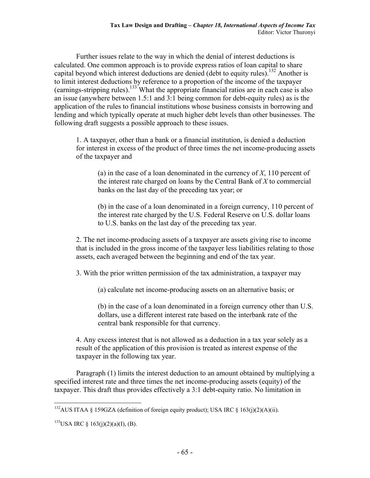Further issues relate to the way in which the denial of interest deductions is calculated. One common approach is to provide express ratios of loan capital to share capital beyond which interest deductions are denied (debt to equity rules).<sup>132</sup> Another is to limit interest deductions by reference to a proportion of the income of the taxpayer (earnings-stripping rules).<sup>133</sup> What the appropriate financial ratios are in each case is also an issue (anywhere between 1.5:1 and 3:1 being common for debt-equity rules) as is the application of the rules to financial institutions whose business consists in borrowing and lending and which typically operate at much higher debt levels than other businesses. The following draft suggests a possible approach to these issues.

1. A taxpayer, other than a bank or a financial institution, is denied a deduction for interest in excess of the product of three times the net income-producing assets of the taxpayer and

(a) in the case of a loan denominated in the currency of *X*, 110 percent of the interest rate charged on loans by the Central Bank of *X* to commercial banks on the last day of the preceding tax year; or

(b) in the case of a loan denominated in a foreign currency, 110 percent of the interest rate charged by the U.S. Federal Reserve on U.S. dollar loans to U.S. banks on the last day of the preceding tax year.

2. The net income-producing assets of a taxpayer are assets giving rise to income that is included in the gross income of the taxpayer less liabilities relating to those assets, each averaged between the beginning and end of the tax year.

3. With the prior written permission of the tax administration, a taxpayer may

(a) calculate net income-producing assets on an alternative basis; or

(b) in the case of a loan denominated in a foreign currency other than U.S. dollars, use a different interest rate based on the interbank rate of the central bank responsible for that currency.

4. Any excess interest that is not allowed as a deduction in a tax year solely as a result of the application of this provision is treated as interest expense of the taxpayer in the following tax year.

 Paragraph (1) limits the interest deduction to an amount obtained by multiplying a specified interest rate and three times the net income-producing assets (equity) of the taxpayer. This draft thus provides effectively a 3:1 debt-equity ratio. No limitation in

<sup>&</sup>lt;sup>132</sup>AUS ITAA § 159GZA (definition of foreign equity product); USA IRC § 163(j)(2)(A)(ii).

<sup>&</sup>lt;sup>133</sup>USA IRC § 163(j)(2)(a)(I), (B).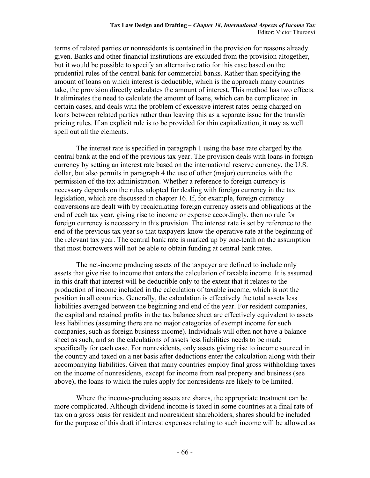terms of related parties or nonresidents is contained in the provision for reasons already given. Banks and other financial institutions are excluded from the provision altogether, but it would be possible to specify an alternative ratio for this case based on the prudential rules of the central bank for commercial banks. Rather than specifying the amount of loans on which interest is deductible, which is the approach many countries take, the provision directly calculates the amount of interest. This method has two effects. It eliminates the need to calculate the amount of loans, which can be complicated in certain cases, and deals with the problem of excessive interest rates being charged on loans between related parties rather than leaving this as a separate issue for the transfer pricing rules. If an explicit rule is to be provided for thin capitalization, it may as well spell out all the elements.

 The interest rate is specified in paragraph 1 using the base rate charged by the central bank at the end of the previous tax year. The provision deals with loans in foreign currency by setting an interest rate based on the international reserve currency, the U.S. dollar, but also permits in paragraph 4 the use of other (major) currencies with the permission of the tax administration. Whether a reference to foreign currency is necessary depends on the rules adopted for dealing with foreign currency in the tax legislation, which are discussed in chapter 16. If, for example, foreign currency conversions are dealt with by recalculating foreign currency assets and obligations at the end of each tax year, giving rise to income or expense accordingly, then no rule for foreign currency is necessary in this provision. The interest rate is set by reference to the end of the previous tax year so that taxpayers know the operative rate at the beginning of the relevant tax year. The central bank rate is marked up by one-tenth on the assumption that most borrowers will not be able to obtain funding at central bank rates.

 The net-income producing assets of the taxpayer are defined to include only assets that give rise to income that enters the calculation of taxable income. It is assumed in this draft that interest will be deductible only to the extent that it relates to the production of income included in the calculation of taxable income, which is not the position in all countries. Generally, the calculation is effectively the total assets less liabilities averaged between the beginning and end of the year. For resident companies, the capital and retained profits in the tax balance sheet are effectively equivalent to assets less liabilities (assuming there are no major categories of exempt income for such companies, such as foreign business income). Individuals will often not have a balance sheet as such, and so the calculations of assets less liabilities needs to be made specifically for each case. For nonresidents, only assets giving rise to income sourced in the country and taxed on a net basis after deductions enter the calculation along with their accompanying liabilities. Given that many countries employ final gross withholding taxes on the income of nonresidents, except for income from real property and business (see above), the loans to which the rules apply for nonresidents are likely to be limited.

 Where the income-producing assets are shares, the appropriate treatment can be more complicated. Although dividend income is taxed in some countries at a final rate of tax on a gross basis for resident and nonresident shareholders, shares should be included for the purpose of this draft if interest expenses relating to such income will be allowed as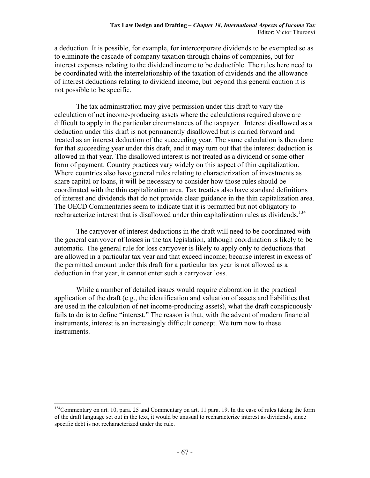a deduction. It is possible, for example, for intercorporate dividends to be exempted so as to eliminate the cascade of company taxation through chains of companies, but for interest expenses relating to the dividend income to be deductible. The rules here need to be coordinated with the interrelationship of the taxation of dividends and the allowance of interest deductions relating to dividend income, but beyond this general caution it is not possible to be specific.

 The tax administration may give permission under this draft to vary the calculation of net income-producing assets where the calculations required above are difficult to apply in the particular circumstances of the taxpayer. Interest disallowed as a deduction under this draft is not permanently disallowed but is carried forward and treated as an interest deduction of the succeeding year. The same calculation is then done for that succeeding year under this draft, and it may turn out that the interest deduction is allowed in that year. The disallowed interest is not treated as a dividend or some other form of payment. Country practices vary widely on this aspect of thin capitalization. Where countries also have general rules relating to characterization of investments as share capital or loans, it will be necessary to consider how those rules should be coordinated with the thin capitalization area. Tax treaties also have standard definitions of interest and dividends that do not provide clear guidance in the thin capitalization area. The OECD Commentaries seem to indicate that it is permitted but not obligatory to recharacterize interest that is disallowed under thin capitalization rules as dividends.<sup>134</sup>

 The carryover of interest deductions in the draft will need to be coordinated with the general carryover of losses in the tax legislation, although coordination is likely to be automatic. The general rule for loss carryover is likely to apply only to deductions that are allowed in a particular tax year and that exceed income; because interest in excess of the permitted amount under this draft for a particular tax year is not allowed as a deduction in that year, it cannot enter such a carryover loss.

 While a number of detailed issues would require elaboration in the practical application of the draft (e.g., the identification and valuation of assets and liabilities that are used in the calculation of net income-producing assets), what the draft conspicuously fails to do is to define "interest." The reason is that, with the advent of modern financial instruments, interest is an increasingly difficult concept. We turn now to these instruments.

 $\overline{a}$ <sup>134</sup>Commentary on art. 10, para. 25 and Commentary on art. 11 para. 19. In the case of rules taking the form of the draft language set out in the text, it would be unusual to recharacterize interest as dividends, since specific debt is not recharacterized under the rule.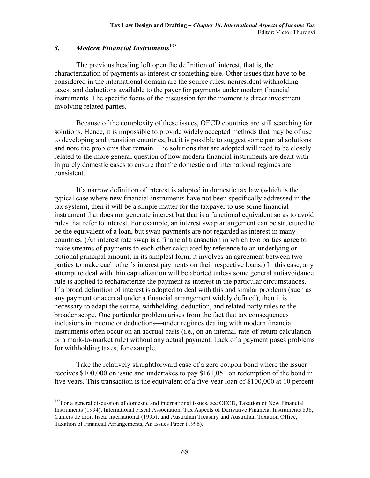## *3. Modern Financial Instruments*<sup>135</sup>

 The previous heading left open the definition of interest, that is, the characterization of payments as interest or something else. Other issues that have to be considered in the international domain are the source rules, nonresident withholding taxes, and deductions available to the payer for payments under modern financial instruments. The specific focus of the discussion for the moment is direct investment involving related parties.

 Because of the complexity of these issues, OECD countries are still searching for solutions. Hence, it is impossible to provide widely accepted methods that may be of use to developing and transition countries, but it is possible to suggest some partial solutions and note the problems that remain. The solutions that are adopted will need to be closely related to the more general question of how modern financial instruments are dealt with in purely domestic cases to ensure that the domestic and international regimes are consistent.

 If a narrow definition of interest is adopted in domestic tax law (which is the typical case where new financial instruments have not been specifically addressed in the tax system), then it will be a simple matter for the taxpayer to use some financial instrument that does not generate interest but that is a functional equivalent so as to avoid rules that refer to interest. For example, an interest swap arrangement can be structured to be the equivalent of a loan, but swap payments are not regarded as interest in many countries. (An interest rate swap is a financial transaction in which two parties agree to make streams of payments to each other calculated by reference to an underlying or notional principal amount; in its simplest form, it involves an agreement between two parties to make each other's interest payments on their respective loans.) In this case, any attempt to deal with thin capitalization will be aborted unless some general antiavoidance rule is applied to recharacterize the payment as interest in the particular circumstances. If a broad definition of interest is adopted to deal with this and similar problems (such as any payment or accrual under a financial arrangement widely defined), then it is necessary to adapt the source, withholding, deduction, and related party rules to the broader scope. One particular problem arises from the fact that tax consequences inclusions in income or deductions—under regimes dealing with modern financial instruments often occur on an accrual basis (i.e., on an internal-rate-of-return calculation or a mark-to-market rule) without any actual payment. Lack of a payment poses problems for withholding taxes, for example.

 Take the relatively straightforward case of a zero coupon bond where the issuer receives \$100,000 on issue and undertakes to pay \$161,051 on redemption of the bond in five years. This transaction is the equivalent of a five-year loan of \$100,000 at 10 percent

 $\overline{a}$ <sup>135</sup>For a general discussion of domestic and international issues, see OECD, Taxation of New Financial Instruments (1994), International Fiscal Association, Tax Aspects of Derivative Financial Instruments 836, Cahiers de droit fiscal international (1995); and Australian Treasury and Australian Taxation Office, Taxation of Financial Arrangements, An Issues Paper (1996).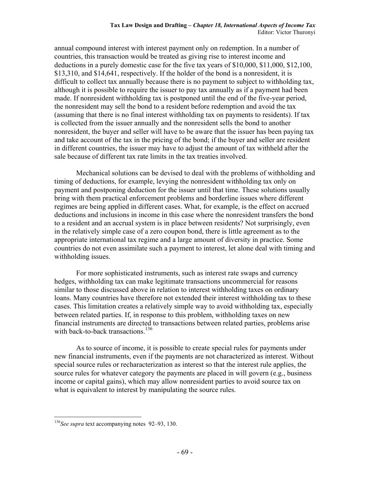annual compound interest with interest payment only on redemption. In a number of countries, this transaction would be treated as giving rise to interest income and deductions in a purely domestic case for the five tax years of \$10,000, \$11,000, \$12,100, \$13,310, and \$14,641, respectively. If the holder of the bond is a nonresident, it is difficult to collect tax annually because there is no payment to subject to withholding tax, although it is possible to require the issuer to pay tax annually as if a payment had been made. If nonresident withholding tax is postponed until the end of the five-year period, the nonresident may sell the bond to a resident before redemption and avoid the tax (assuming that there is no final interest withholding tax on payments to residents). If tax is collected from the issuer annually and the nonresident sells the bond to another nonresident, the buyer and seller will have to be aware that the issuer has been paying tax and take account of the tax in the pricing of the bond; if the buyer and seller are resident in different countries, the issuer may have to adjust the amount of tax withheld after the sale because of different tax rate limits in the tax treaties involved.

 Mechanical solutions can be devised to deal with the problems of withholding and timing of deductions, for example, levying the nonresident withholding tax only on payment and postponing deduction for the issuer until that time. These solutions usually bring with them practical enforcement problems and borderline issues where different regimes are being applied in different cases. What, for example, is the effect on accrued deductions and inclusions in income in this case where the nonresident transfers the bond to a resident and an accrual system is in place between residents? Not surprisingly, even in the relatively simple case of a zero coupon bond, there is little agreement as to the appropriate international tax regime and a large amount of diversity in practice. Some countries do not even assimilate such a payment to interest, let alone deal with timing and withholding issues.

 For more sophisticated instruments, such as interest rate swaps and currency hedges, withholding tax can make legitimate transactions uncommercial for reasons similar to those discussed above in relation to interest withholding taxes on ordinary loans. Many countries have therefore not extended their interest withholding tax to these cases. This limitation creates a relatively simple way to avoid withholding tax, especially between related parties. If, in response to this problem, withholding taxes on new financial instruments are directed to transactions between related parties, problems arise with back-to-back transactions.  $^{136}$ 

 As to source of income, it is possible to create special rules for payments under new financial instruments, even if the payments are not characterized as interest. Without special source rules or recharacterization as interest so that the interest rule applies, the source rules for whatever category the payments are placed in will govern (e.g., business income or capital gains), which may allow nonresident parties to avoid source tax on what is equivalent to interest by manipulating the source rules.

<u>.</u>

<sup>136</sup>*See supra* text accompanying notes 92–93, 130.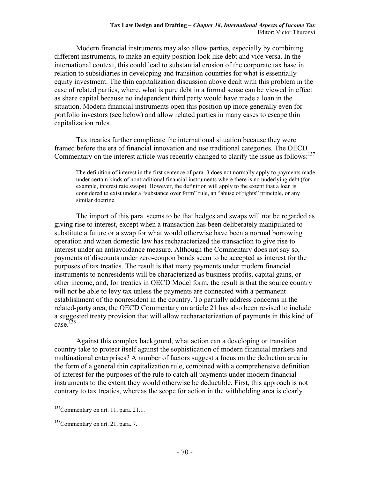Modern financial instruments may also allow parties, especially by combining different instruments, to make an equity position look like debt and vice versa. In the international context, this could lead to substantial erosion of the corporate tax base in relation to subsidiaries in developing and transition countries for what is essentially equity investment. The thin capitalization discussion above dealt with this problem in the case of related parties, where, what is pure debt in a formal sense can be viewed in effect as share capital because no independent third party would have made a loan in the situation. Modern financial instruments open this position up more generally even for portfolio investors (see below) and allow related parties in many cases to escape thin capitalization rules.

 Tax treaties further complicate the international situation because they were framed before the era of financial innovation and use traditional categories. The OECD Commentary on the interest article was recently changed to clarify the issue as follows:<sup>137</sup>

The definition of interest in the first sentence of para. 3 does not normally apply to payments made under certain kinds of nontraditional financial instruments where there is no underlying debt (for example, interest rate swaps). However, the definition will apply to the extent that a loan is considered to exist under a "substance over form" rule, an "abuse of rights" principle, or any similar doctrine.

 The import of this para. seems to be that hedges and swaps will not be regarded as giving rise to interest, except when a transaction has been deliberately manipulated to substitute a future or a swap for what would otherwise have been a normal borrowing operation and when domestic law has recharacterized the transaction to give rise to interest under an antiavoidance measure. Although the Commentary does not say so, payments of discounts under zero-coupon bonds seem to be accepted as interest for the purposes of tax treaties. The result is that many payments under modern financial instruments to nonresidents will be characterized as business profits, capital gains, or other income, and, for treaties in OECD Model form, the result is that the source country will not be able to levy tax unless the payments are connected with a permanent establishment of the nonresident in the country. To partially address concerns in the related-party area, the OECD Commentary on article 21 has also been revised to include a suggested treaty provision that will allow recharacterization of payments in this kind of case.<sup>138</sup>

 Against this complex backgound, what action can a developing or transition country take to protect itself against the sophistication of modern financial markets and multinational enterprises? A number of factors suggest a focus on the deduction area in the form of a general thin capitalization rule, combined with a comprehensive definition of interest for the purposes of the rule to catch all payments under modern financial instruments to the extent they would otherwise be deductible. First, this approach is not contrary to tax treaties, whereas the scope for action in the withholding area is clearly

1

<sup>&</sup>lt;sup>137</sup>Commentary on art. 11, para. 21.1.

<sup>&</sup>lt;sup>138</sup>Commentary on art. 21, para. 7.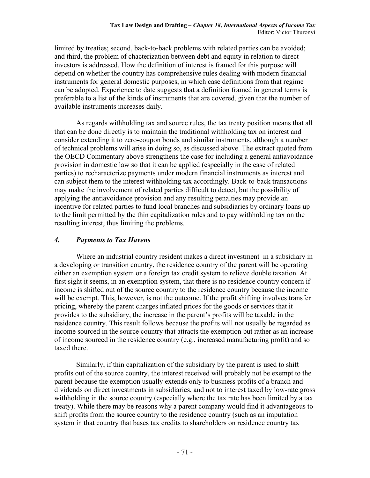limited by treaties; second, back-to-back problems with related parties can be avoided; and third, the problem of chacterization between debt and equity in relation to direct investors is addressed. How the definition of interest is framed for this purpose will depend on whether the country has comprehensive rules dealing with modern financial instruments for general domestic purposes, in which case definitions from that regime can be adopted. Experience to date suggests that a definition framed in general terms is preferable to a list of the kinds of instruments that are covered, given that the number of available instruments increases daily.

 As regards withholding tax and source rules, the tax treaty position means that all that can be done directly is to maintain the traditional withholding tax on interest and consider extending it to zero-coupon bonds and similar instruments, although a number of technical problems will arise in doing so, as discussed above. The extract quoted from the OECD Commentary above strengthens the case for including a general antiavoidance provision in domestic law so that it can be applied (especially in the case of related parties) to recharacterize payments under modern financial instruments as interest and can subject them to the interest withholding tax accordingly. Back-to-back transactions may make the involvement of related parties difficult to detect, but the possibility of applying the antiavoidance provision and any resulting penalties may provide an incentive for related parties to fund local branches and subsidiaries by ordinary loans up to the limit permitted by the thin capitalization rules and to pay withholding tax on the resulting interest, thus limiting the problems.

### *4. Payments to Tax Havens*

 Where an industrial country resident makes a direct investment in a subsidiary in a developing or transition country, the residence country of the parent will be operating either an exemption system or a foreign tax credit system to relieve double taxation. At first sight it seems, in an exemption system, that there is no residence country concern if income is shifted out of the source country to the residence country because the income will be exempt. This, however, is not the outcome. If the profit shifting involves transfer pricing, whereby the parent charges inflated prices for the goods or services that it provides to the subsidiary, the increase in the parent's profits will be taxable in the residence country. This result follows because the profits will not usually be regarded as income sourced in the source country that attracts the exemption but rather as an increase of income sourced in the residence country (e.g., increased manufacturing profit) and so taxed there.

 Similarly, if thin capitalization of the subsidiary by the parent is used to shift profits out of the source country, the interest received will probably not be exempt to the parent because the exemption usually extends only to business profits of a branch and dividends on direct investments in subsidiaries, and not to interest taxed by low-rate gross withholding in the source country (especially where the tax rate has been limited by a tax treaty). While there may be reasons why a parent company would find it advantageous to shift profits from the source country to the residence country (such as an imputation system in that country that bases tax credits to shareholders on residence country tax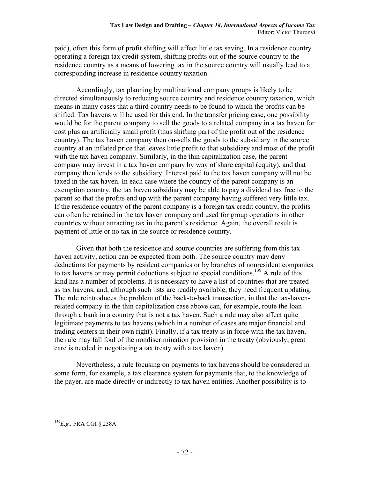paid), often this form of profit shifting will effect little tax saving. In a residence country operating a foreign tax credit system, shifting profits out of the source country to the residence country as a means of lowering tax in the source country will usually lead to a corresponding increase in residence country taxation.

 Accordingly, tax planning by multinational company groups is likely to be directed simultaneously to reducing source country and residence country taxation, which means in many cases that a third country needs to be found to which the profits can be shifted. Tax havens will be used for this end. In the transfer pricing case, one possibility would be for the parent company to sell the goods to a related company in a tax haven for cost plus an artificially small profit (thus shifting part of the profit out of the residence country). The tax haven company then on-sells the goods to the subsidiary in the source country at an inflated price that leaves little profit to that subsidiary and most of the profit with the tax haven company. Similarly, in the thin capitalization case, the parent company may invest in a tax haven company by way of share capital (equity), and that company then lends to the subsidiary. Interest paid to the tax haven company will not be taxed in the tax haven. In each case where the country of the parent company is an exemption country, the tax haven subsidiary may be able to pay a dividend tax free to the parent so that the profits end up with the parent company having suffered very little tax. If the residence country of the parent company is a foreign tax credit country, the profits can often be retained in the tax haven company and used for group operations in other countries without attracting tax in the parent's residence. Again, the overall result is payment of little or no tax in the source or residence country.

 Given that both the residence and source countries are suffering from this tax haven activity, action can be expected from both. The source country may deny deductions for payments by resident companies or by branches of nonresident companies to tax havens or may permit deductions subject to special conditions.<sup>139</sup> A rule of this kind has a number of problems. It is necessary to have a list of countries that are treated as tax havens, and, although such lists are readily available, they need frequent updating. The rule reintroduces the problem of the back-to-back transaction, in that the tax-havenrelated company in the thin capitalization case above can, for example, route the loan through a bank in a country that is not a tax haven. Such a rule may also affect quite legitimate payments to tax havens (which in a number of cases are major financial and trading centers in their own right). Finally, if a tax treaty is in force with the tax haven, the rule may fall foul of the nondiscrimination provision in the treaty (obviously, great care is needed in negotiating a tax treaty with a tax haven).

 Nevertheless, a rule focusing on payments to tax havens should be considered in some form, for example, a tax clearance system for payments that, to the knowledge of the payer, are made directly or indirectly to tax haven entities. Another possibility is to

<sup>139</sup>*E.g.,* FRA CGI § 238A.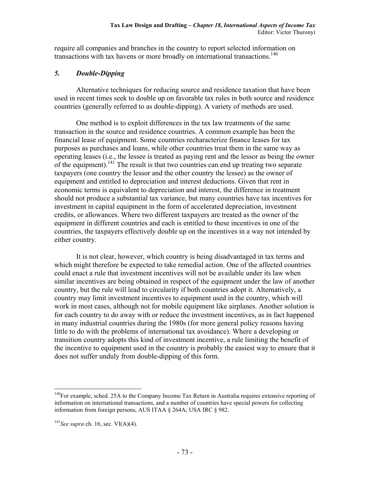require all companies and branches in the country to report selected information on transactions with tax havens or more broadly on international transactions.<sup>140</sup>

### *5. Double-Dipping*

 Alternative techniques for reducing source and residence taxation that have been used in recent times seek to double up on favorable tax rules in both source and residence countries (generally referred to as double-dipping). A variety of methods are used.

 One method is to exploit differences in the tax law treatments of the same transaction in the source and residence countries. A common example has been the financial lease of equipment. Some countries recharacterize finance leases for tax purposes as purchases and loans, while other countries treat them in the same way as operating leases (i.e., the lessee is treated as paying rent and the lessor as being the owner of the equipment).<sup>141</sup> The result is that two countries can end up treating two separate taxpayers (one country the lessor and the other country the lessee) as the owner of equipment and entitled to depreciation and interest deductions. Given that rent in economic terms is equivalent to depreciation and interest, the difference in treatment should not produce a substantial tax variance, but many countries have tax incentives for investment in capital equipment in the form of accelerated depreciation, investment credits, or allowances. Where two different taxpayers are treated as the owner of the equipment in different countries and each is entitled to these incentives in one of the countries, the taxpayers effectively double up on the incentives in a way not intended by either country.

 It is not clear, however, which country is being disadvantaged in tax terms and which might therefore be expected to take remedial action. One of the affected countries could enact a rule that investment incentives will not be available under its law when similar incentives are being obtained in respect of the equipment under the law of another country, but the rule will lead to circularity if both countries adopt it. Alternatively, a country may limit investment incentives to equipment used in the country, which will work in most cases, although not for mobile equipment like airplanes. Another solution is for each country to do away with or reduce the investment incentives, as in fact happened in many industrial countries during the 1980s (for more general policy reasons having little to do with the problems of international tax avoidance). Where a developing or transition country adopts this kind of investment incentive, a rule limiting the benefit of the incentive to equipment used in the country is probably the easiest way to ensure that it does not suffer unduly from double-dipping of this form.

 $\overline{a}$  $140$ For example, sched. 25A to the Company Income Tax Return in Australia requires extensive reporting of information on international transactions, and a number of countries have special powers for collecting information from foreign persons, AUS ITAA § 264A; USA IRC § 982.

<sup>&</sup>lt;sup>141</sup>See supra ch. 16, sec. VI(A)(4).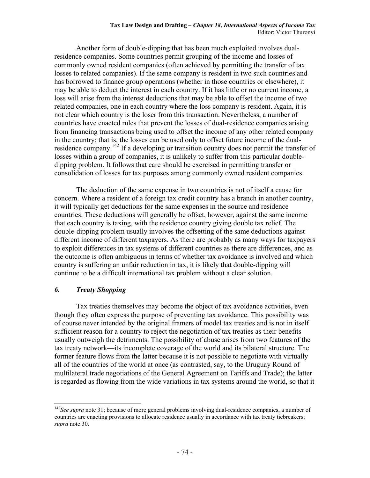Another form of double-dipping that has been much exploited involves dualresidence companies. Some countries permit grouping of the income and losses of commonly owned resident companies (often achieved by permitting the transfer of tax losses to related companies). If the same company is resident in two such countries and has borrowed to finance group operations (whether in those countries or elsewhere), it may be able to deduct the interest in each country. If it has little or no current income, a loss will arise from the interest deductions that may be able to offset the income of two related companies, one in each country where the loss company is resident. Again, it is not clear which country is the loser from this transaction. Nevertheless, a number of countries have enacted rules that prevent the losses of dual-residence companies arising from financing transactions being used to offset the income of any other related company in the country; that is, the losses can be used only to offset future income of the dualresidence company.<sup>142</sup> If a developing or transition country does not permit the transfer of losses within a group of companies, it is unlikely to suffer from this particular doubledipping problem. It follows that care should be exercised in permitting transfer or consolidation of losses for tax purposes among commonly owned resident companies.

 The deduction of the same expense in two countries is not of itself a cause for concern. Where a resident of a foreign tax credit country has a branch in another country, it will typically get deductions for the same expenses in the source and residence countries. These deductions will generally be offset, however, against the same income that each country is taxing, with the residence country giving double tax relief. The double-dipping problem usually involves the offsetting of the same deductions against different income of different taxpayers. As there are probably as many ways for taxpayers to exploit differences in tax systems of different countries as there are differences, and as the outcome is often ambiguous in terms of whether tax avoidance is involved and which country is suffering an unfair reduction in tax, it is likely that double-dipping will continue to be a difficult international tax problem without a clear solution.

### *6. Treaty Shopping*

 Tax treaties themselves may become the object of tax avoidance activities, even though they often express the purpose of preventing tax avoidance. This possibility was of course never intended by the original framers of model tax treaties and is not in itself sufficient reason for a country to reject the negotiation of tax treaties as their benefits usually outweigh the detriments. The possibility of abuse arises from two features of the tax treaty network—its incomplete coverage of the world and its bilateral structure. The former feature flows from the latter because it is not possible to negotiate with virtually all of the countries of the world at once (as contrasted, say, to the Uruguay Round of multilateral trade negotiations of the General Agreement on Tariffs and Trade); the latter is regarded as flowing from the wide variations in tax systems around the world, so that it

 $\overline{a}$ <sup>142</sup>*See supra* note 31; because of more general problems involving dual-residence companies, a number of countries are enacting provisions to allocate residence usually in accordance with tax treaty tiebreakers; *supra* note 30.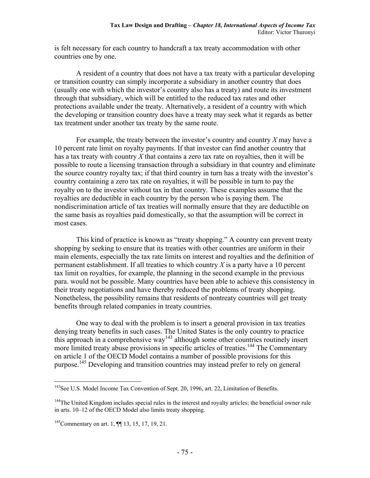is felt necessary for each country to handcraft a tax treaty accommodation with other countries one by one.

 A resident of a country that does not have a tax treaty with a particular developing or transition country can simply incorporate a subsidiary in another country that does (usually one with which the investor's country also has a treaty) and route its investment through that subsidiary, which will be entitled to the reduced tax rates and other protections available under the treaty. Alternatively, a resident of a country with which the developing or transition country does have a treaty may seek what it regards as better tax treatment under another tax treaty by the same route.

 For example, the treaty between the investor's country and country *X* may have a 10 percent rate limit on royalty payments. If that investor can find another country that has a tax treaty with country *X* that contains a zero tax rate on royalties, then it will be possible to route a licensing transaction through a subsidiary in that country and eliminate the source country royalty tax; if that third country in turn has a treaty with the investor's country containing a zero tax rate on royalties, it will be possible in turn to pay the royalty on to the investor without tax in that country. These examples assume that the royalties are deductible in each country by the person who is paying them. The nondiscrimination article of tax treaties will normally ensure that they are deductible on the same basis as royalties paid domestically, so that the assumption will be correct in most cases.

 This kind of practice is known as "treaty shopping." A country can prevent treaty shopping by seeking to ensure that its treaties with other countries are uniform in their main elements, especially the tax rate limits on interest and royalties and the definition of permanent establishment. If all treaties to which country *X* is a party have a 10 percent tax limit on royalties, for example, the planning in the second example in the previous para. would not be possible. Many countries have been able to achieve this consistency in their treaty negotiations and have thereby reduced the problems of treaty shopping. Nonetheless, the possibility remains that residents of nontreaty countries will get treaty benefits through related companies in treaty countries.

 One way to deal with the problem is to insert a general provision in tax treaties denying treaty benefits in such cases. The United States is the only country to practice this approach in a comprehensive way<sup>143</sup> although some other countries routinely insert more limited treaty abuse provisions in specific articles of treaties.<sup>144</sup> The Commentary on article 1 of the OECD Model contains a number of possible provisions for this purpose.<sup>145</sup> Developing and transition countries may instead prefer to rely on general

<sup>&</sup>lt;sup>143</sup>See U.S. Model Income Tax Convention of Sept. 20, 1996, art. 22, Limitation of Benefits.

<sup>&</sup>lt;sup>144</sup>The United Kingdom includes special rules in the interest and royalty articles; the beneficial owner rule in arts. 10–12 of the OECD Model also limits treaty shopping.

<sup>&</sup>lt;sup>145</sup>Commentary on art. 1, **[1]** 13, 15, 17, 19, 21.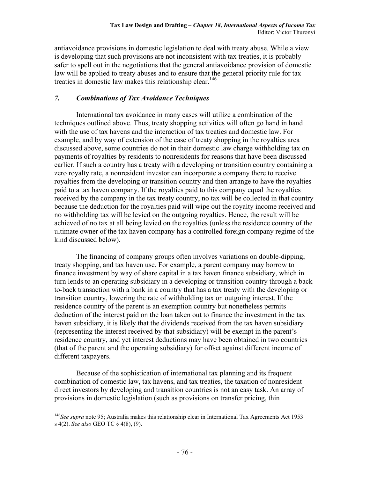antiavoidance provisions in domestic legislation to deal with treaty abuse. While a view is developing that such provisions are not inconsistent with tax treaties, it is probably safer to spell out in the negotiations that the general antiavoidance provision of domestic law will be applied to treaty abuses and to ensure that the general priority rule for tax treaties in domestic law makes this relationship clear.<sup>146</sup>

### *7. Combinations of Tax Avoidance Techniques*

 International tax avoidance in many cases will utilize a combination of the techniques outlined above. Thus, treaty shopping activities will often go hand in hand with the use of tax havens and the interaction of tax treaties and domestic law. For example, and by way of extension of the case of treaty shopping in the royalties area discussed above, some countries do not in their domestic law charge withholding tax on payments of royalties by residents to nonresidents for reasons that have been discussed earlier. If such a country has a treaty with a developing or transition country containing a zero royalty rate, a nonresident investor can incorporate a company there to receive royalties from the developing or transition country and then arrange to have the royalties paid to a tax haven company. If the royalties paid to this company equal the royalties received by the company in the tax treaty country, no tax will be collected in that country because the deduction for the royalties paid will wipe out the royalty income received and no withholding tax will be levied on the outgoing royalties. Hence, the result will be achieved of no tax at all being levied on the royalties (unless the residence country of the ultimate owner of the tax haven company has a controlled foreign company regime of the kind discussed below).

 The financing of company groups often involves variations on double-dipping, treaty shopping, and tax haven use. For example, a parent company may borrow to finance investment by way of share capital in a tax haven finance subsidiary, which in turn lends to an operating subsidiary in a developing or transition country through a backto-back transaction with a bank in a country that has a tax treaty with the developing or transition country, lowering the rate of withholding tax on outgoing interest. If the residence country of the parent is an exemption country but nonetheless permits deduction of the interest paid on the loan taken out to finance the investment in the tax haven subsidiary, it is likely that the dividends received from the tax haven subsidiary (representing the interest received by that subsidiary) will be exempt in the parent's residence country, and yet interest deductions may have been obtained in two countries (that of the parent and the operating subsidiary) for offset against different income of different taxpayers.

 Because of the sophistication of international tax planning and its frequent combination of domestic law, tax havens, and tax treaties, the taxation of nonresident direct investors by developing and transition countries is not an easy task. An array of provisions in domestic legislation (such as provisions on transfer pricing, thin

<sup>&</sup>lt;sup>146</sup>See supra note 95; Australia makes this relationship clear in International Tax Agreements Act 1953 s 4(2). *See also* GEO TC § 4(8), (9).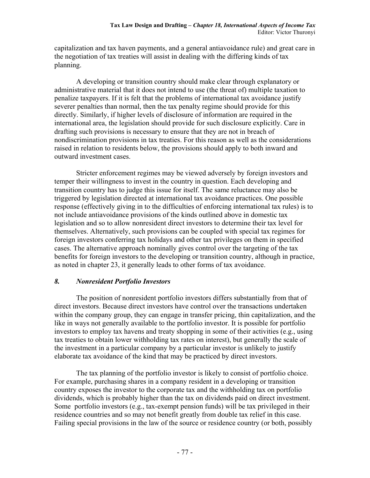capitalization and tax haven payments, and a general antiavoidance rule) and great care in the negotiation of tax treaties will assist in dealing with the differing kinds of tax planning.

 A developing or transition country should make clear through explanatory or administrative material that it does not intend to use (the threat of) multiple taxation to penalize taxpayers. If it is felt that the problems of international tax avoidance justify severer penalties than normal, then the tax penalty regime should provide for this directly. Similarly, if higher levels of disclosure of information are required in the international area, the legislation should provide for such disclosure explicitly. Care in drafting such provisions is necessary to ensure that they are not in breach of nondiscrimination provisions in tax treaties. For this reason as well as the considerations raised in relation to residents below, the provisions should apply to both inward and outward investment cases.

 Stricter enforcement regimes may be viewed adversely by foreign investors and temper their willingness to invest in the country in question. Each developing and transition country has to judge this issue for itself. The same reluctance may also be triggered by legislation directed at international tax avoidance practices. One possible response (effectively giving in to the difficulties of enforcing international tax rules) is to not include antiavoidance provisions of the kinds outlined above in domestic tax legislation and so to allow nonresident direct investors to determine their tax level for themselves. Alternatively, such provisions can be coupled with special tax regimes for foreign investors conferring tax holidays and other tax privileges on them in specified cases. The alternative approach nominally gives control over the targeting of the tax benefits for foreign investors to the developing or transition country, although in practice, as noted in chapter 23, it generally leads to other forms of tax avoidance.

## *8. Nonresident Portfolio Investors*

 The position of nonresident portfolio investors differs substantially from that of direct investors. Because direct investors have control over the transactions undertaken within the company group, they can engage in transfer pricing, thin capitalization, and the like in ways not generally available to the portfolio investor. It is possible for portfolio investors to employ tax havens and treaty shopping in some of their activities (e.g., using tax treaties to obtain lower withholding tax rates on interest), but generally the scale of the investment in a particular company by a particular investor is unlikely to justify elaborate tax avoidance of the kind that may be practiced by direct investors.

 The tax planning of the portfolio investor is likely to consist of portfolio choice. For example, purchasing shares in a company resident in a developing or transition country exposes the investor to the corporate tax and the withholding tax on portfolio dividends, which is probably higher than the tax on dividends paid on direct investment. Some portfolio investors (e.g., tax-exempt pension funds) will be tax privileged in their residence countries and so may not benefit greatly from double tax relief in this case. Failing special provisions in the law of the source or residence country (or both, possibly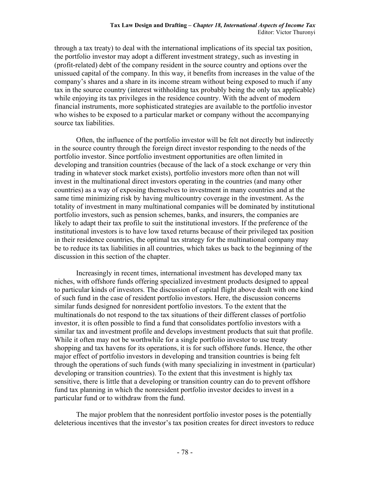through a tax treaty) to deal with the international implications of its special tax position, the portfolio investor may adopt a different investment strategy, such as investing in (profit-related) debt of the company resident in the source country and options over the unissued capital of the company. In this way, it benefits from increases in the value of the company's shares and a share in its income stream without being exposed to much if any tax in the source country (interest withholding tax probably being the only tax applicable) while enjoying its tax privileges in the residence country. With the advent of modern financial instruments, more sophisticated strategies are available to the portfolio investor who wishes to be exposed to a particular market or company without the accompanying source tax liabilities.

 Often, the influence of the portfolio investor will be felt not directly but indirectly in the source country through the foreign direct investor responding to the needs of the portfolio investor. Since portfolio investment opportunities are often limited in developing and transition countries (because of the lack of a stock exchange or very thin trading in whatever stock market exists), portfolio investors more often than not will invest in the multinational direct investors operating in the countries (and many other countries) as a way of exposing themselves to investment in many countries and at the same time minimizing risk by having multicountry coverage in the investment. As the totality of investment in many multinational companies will be dominated by institutional portfolio investors, such as pension schemes, banks, and insurers, the companies are likely to adapt their tax profile to suit the institutional investors. If the preference of the institutional investors is to have low taxed returns because of their privileged tax position in their residence countries, the optimal tax strategy for the multinational company may be to reduce its tax liabilities in all countries, which takes us back to the beginning of the discussion in this section of the chapter.

 Increasingly in recent times, international investment has developed many tax niches, with offshore funds offering specialized investment products designed to appeal to particular kinds of investors. The discussion of capital flight above dealt with one kind of such fund in the case of resident portfolio investors. Here, the discussion concerns similar funds designed for nonresident portfolio investors. To the extent that the multinationals do not respond to the tax situations of their different classes of portfolio investor, it is often possible to find a fund that consolidates portfolio investors with a similar tax and investment profile and develops investment products that suit that profile. While it often may not be worthwhile for a single portfolio investor to use treaty shopping and tax havens for its operations, it is for such offshore funds. Hence, the other major effect of portfolio investors in developing and transition countries is being felt through the operations of such funds (with many specializing in investment in (particular) developing or transition countries). To the extent that this investment is highly tax sensitive, there is little that a developing or transition country can do to prevent offshore fund tax planning in which the nonresident portfolio investor decides to invest in a particular fund or to withdraw from the fund.

 The major problem that the nonresident portfolio investor poses is the potentially deleterious incentives that the investor's tax position creates for direct investors to reduce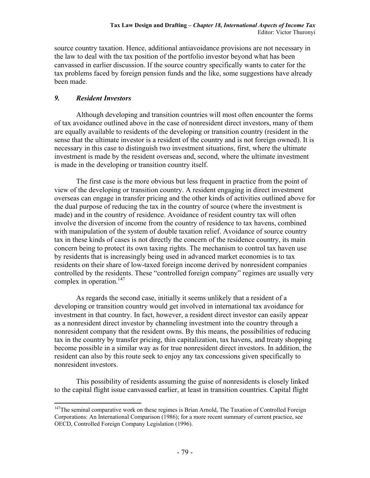source country taxation. Hence, additional antiavoidance provisions are not necessary in the law to deal with the tax position of the portfolio investor beyond what has been canvassed in earlier discussion. If the source country specifically wants to cater for the tax problems faced by foreign pension funds and the like, some suggestions have already been made.

## *9. Resident Investors*

 Although developing and transition countries will most often encounter the forms of tax avoidance outlined above in the case of nonresident direct investors, many of them are equally available to residents of the developing or transition country (resident in the sense that the ultimate investor is a resident of the country and is not foreign owned). It is necessary in this case to distinguish two investment situations, first, where the ultimate investment is made by the resident overseas and, second, where the ultimate investment is made in the developing or transition country itself.

 The first case is the more obvious but less frequent in practice from the point of view of the developing or transition country. A resident engaging in direct investment overseas can engage in transfer pricing and the other kinds of activities outlined above for the dual purpose of reducing the tax in the country of source (where the investment is made) and in the country of residence. Avoidance of resident country tax will often involve the diversion of income from the country of residence to tax havens, combined with manipulation of the system of double taxation relief. Avoidance of source country tax in these kinds of cases is not directly the concern of the residence country, its main concern being to protect its own taxing rights. The mechanism to control tax haven use by residents that is increasingly being used in advanced market economies is to tax residents on their share of low-taxed foreign income derived by nonresident companies controlled by the residents. These "controlled foreign company" regimes are usually very complex in operation. $147$ 

 As regards the second case, initially it seems unlikely that a resident of a developing or transition country would get involved in international tax avoidance for investment in that country. In fact, however, a resident direct investor can easily appear as a nonresident direct investor by channeling investment into the country through a nonresident company that the resident owns. By this means, the possibilities of reducing tax in the country by transfer pricing, thin capitalization, tax havens, and treaty shopping become possible in a similar way as for true nonresident direct investors. In addition, the resident can also by this route seek to enjoy any tax concessions given specifically to nonresident investors.

 This possibility of residents assuming the guise of nonresidents is closely linked to the capital flight issue canvassed earlier, at least in transition countries. Capital flight

 $\overline{a}$  $147$ The seminal comparative work on these regimes is Brian Arnold, The Taxation of Controlled Foreign Corporations: An International Comparison (1986); for a more recent summary of current practice, see OECD, Controlled Foreign Company Legislation (1996).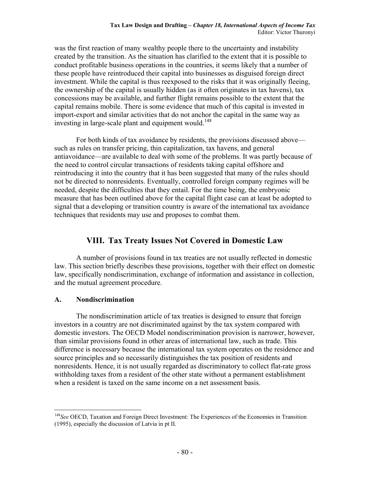was the first reaction of many wealthy people there to the uncertainty and instability created by the transition. As the situation has clarified to the extent that it is possible to conduct profitable business operations in the countries, it seems likely that a number of these people have reintroduced their capital into businesses as disguised foreign direct investment. While the capital is thus reexposed to the risks that it was originally fleeing, the ownership of the capital is usually hidden (as it often originates in tax havens), tax concessions may be available, and further flight remains possible to the extent that the capital remains mobile. There is some evidence that much of this capital is invested in import-export and similar activities that do not anchor the capital in the same way as investing in large-scale plant and equipment would.<sup>148</sup>

 For both kinds of tax avoidance by residents, the provisions discussed above such as rules on transfer pricing, thin capitalization, tax havens, and general antiavoidance—are available to deal with some of the problems. It was partly because of the need to control circular transactions of residents taking capital offshore and reintroducing it into the country that it has been suggested that many of the rules should not be directed to nonresidents. Eventually, controlled foreign company regimes will be needed, despite the difficulties that they entail. For the time being, the embryonic measure that has been outlined above for the capital flight case can at least be adopted to signal that a developing or transition country is aware of the international tax avoidance techniques that residents may use and proposes to combat them.

## **VIII. Tax Treaty Issues Not Covered in Domestic Law**

 A number of provisions found in tax treaties are not usually reflected in domestic law. This section briefly describes these provisions, together with their effect on domestic law, specifically nondiscrimination, exchange of information and assistance in collection, and the mutual agreement procedure.

### **A. Nondiscrimination**

 $\overline{a}$ 

 The nondiscrimination article of tax treaties is designed to ensure that foreign investors in a country are not discriminated against by the tax system compared with domestic investors. The OECD Model nondiscrimination provision is narrower, however, than similar provisions found in other areas of international law, such as trade. This difference is necessary because the international tax system operates on the residence and source principles and so necessarily distinguishes the tax position of residents and nonresidents. Hence, it is not usually regarded as discriminatory to collect flat-rate gross withholding taxes from a resident of the other state without a permanent establishment when a resident is taxed on the same income on a net assessment basis.

<sup>&</sup>lt;sup>148</sup>See OECD, Taxation and Foreign Direct Investment: The Experiences of the Economies in Transition (1995), especially the discussion of Latvia in pt II.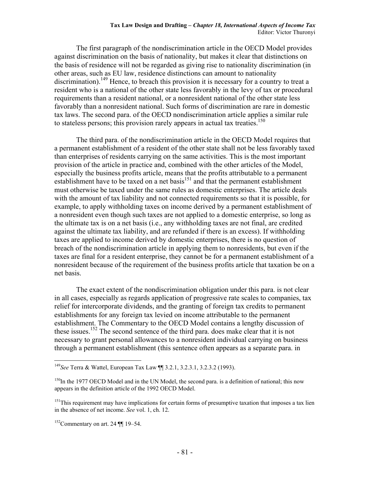The first paragraph of the nondiscrimination article in the OECD Model provides against discrimination on the basis of nationality, but makes it clear that distinctions on the basis of residence will not be regarded as giving rise to nationality discrimination (in other areas, such as EU law, residence distinctions can amount to nationality discrimination).<sup>149</sup> Hence, to breach this provision it is necessary for a country to treat a resident who is a national of the other state less favorably in the levy of tax or procedural requirements than a resident national, or a nonresident national of the other state less favorably than a nonresident national. Such forms of discrimination are rare in domestic tax laws. The second para. of the OECD nondiscrimination article applies a similar rule to stateless persons; this provision rarely appears in actual tax treaties.<sup>150</sup>

 The third para. of the nondiscrimination article in the OECD Model requires that a permanent establishment of a resident of the other state shall not be less favorably taxed than enterprises of residents carrying on the same activities. This is the most important provision of the article in practice and, combined with the other articles of the Model, especially the business profits article, means that the profits attributable to a permanent establishment have to be taxed on a net basis<sup>151</sup> and that the permanent establishment must otherwise be taxed under the same rules as domestic enterprises. The article deals with the amount of tax liability and not connected requirements so that it is possible, for example, to apply withholding taxes on income derived by a permanent establishment of a nonresident even though such taxes are not applied to a domestic enterprise, so long as the ultimate tax is on a net basis (i.e., any withholding taxes are not final, are credited against the ultimate tax liability, and are refunded if there is an excess). If withholding taxes are applied to income derived by domestic enterprises, there is no question of breach of the nondiscrimination article in applying them to nonresidents, but even if the taxes are final for a resident enterprise, they cannot be for a permanent establishment of a nonresident because of the requirement of the business profits article that taxation be on a net basis.

 The exact extent of the nondiscrimination obligation under this para. is not clear in all cases, especially as regards application of progressive rate scales to companies, tax relief for intercorporate dividends, and the granting of foreign tax credits to permanent establishments for any foreign tax levied on income attributable to the permanent establishment. The Commentary to the OECD Model contains a lengthy discussion of these issues.152 The second sentence of the third para. does make clear that it is not necessary to grant personal allowances to a nonresident individual carrying on business through a permanent establishment (this sentence often appears as a separate para. in

<sup>149</sup>*See* Terra & Wattel, European Tax Law ¶¶ 3.2.1, 3.2.3.1, 3.2.3.2 (1993).

<sup>&</sup>lt;sup>150</sup>In the 1977 OECD Model and in the UN Model, the second para. is a definition of national; this now appears in the definition article of the 1992 OECD Model.

<sup>&</sup>lt;sup>151</sup>This requirement may have implications for certain forms of presumptive taxation that imposes a tax lien in the absence of net income. *See* vol. 1, ch. 12.

 $152$ Commentary on art. 24  $\P$  19–54.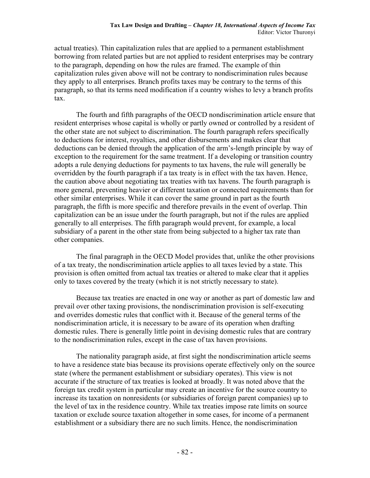actual treaties). Thin capitalization rules that are applied to a permanent establishment borrowing from related parties but are not applied to resident enterprises may be contrary to the paragraph, depending on how the rules are framed. The example of thin capitalization rules given above will not be contrary to nondiscrimination rules because they apply to all enterprises. Branch profits taxes may be contrary to the terms of this paragraph, so that its terms need modification if a country wishes to levy a branch profits tax.

 The fourth and fifth paragraphs of the OECD nondiscrimination article ensure that resident enterprises whose capital is wholly or partly owned or controlled by a resident of the other state are not subject to discrimination. The fourth paragraph refers specifically to deductions for interest, royalties, and other disbursements and makes clear that deductions can be denied through the application of the arm's-length principle by way of exception to the requirement for the same treatment. If a developing or transition country adopts a rule denying deductions for payments to tax havens, the rule will generally be overridden by the fourth paragraph if a tax treaty is in effect with the tax haven. Hence, the caution above about negotiating tax treaties with tax havens. The fourth paragraph is more general, preventing heavier or different taxation or connected requirements than for other similar enterprises. While it can cover the same ground in part as the fourth paragraph, the fifth is more specific and therefore prevails in the event of overlap. Thin capitalization can be an issue under the fourth paragraph, but not if the rules are applied generally to all enterprises. The fifth paragraph would prevent, for example, a local subsidiary of a parent in the other state from being subjected to a higher tax rate than other companies.

 The final paragraph in the OECD Model provides that, unlike the other provisions of a tax treaty, the nondiscrimination article applies to all taxes levied by a state. This provision is often omitted from actual tax treaties or altered to make clear that it applies only to taxes covered by the treaty (which it is not strictly necessary to state).

 Because tax treaties are enacted in one way or another as part of domestic law and prevail over other taxing provisions, the nondiscrimination provision is self-executing and overrides domestic rules that conflict with it. Because of the general terms of the nondiscrimination article, it is necessary to be aware of its operation when drafting domestic rules. There is generally little point in devising domestic rules that are contrary to the nondiscrimination rules, except in the case of tax haven provisions.

 The nationality paragraph aside, at first sight the nondiscrimination article seems to have a residence state bias because its provisions operate effectively only on the source state (where the permanent establishment or subsidiary operates). This view is not accurate if the structure of tax treaties is looked at broadly. It was noted above that the foreign tax credit system in particular may create an incentive for the source country to increase its taxation on nonresidents (or subsidiaries of foreign parent companies) up to the level of tax in the residence country. While tax treaties impose rate limits on source taxation or exclude source taxation altogether in some cases, for income of a permanent establishment or a subsidiary there are no such limits. Hence, the nondiscrimination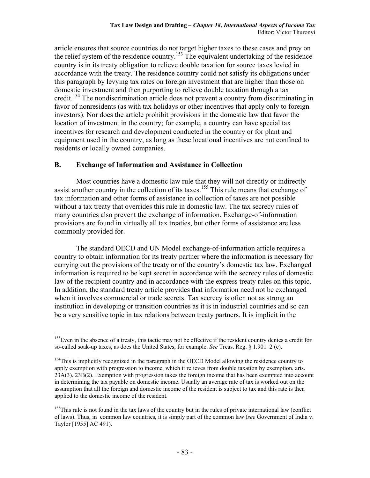article ensures that source countries do not target higher taxes to these cases and prey on the relief system of the residence country.<sup>153</sup> The equivalent undertaking of the residence country is in its treaty obligation to relieve double taxation for source taxes levied in accordance with the treaty. The residence country could not satisfy its obligations under this paragraph by levying tax rates on foreign investment that are higher than those on domestic investment and then purporting to relieve double taxation through a tax credit.<sup>154</sup> The nondiscrimination article does not prevent a country from discriminating in favor of nonresidents (as with tax holidays or other incentives that apply only to foreign investors). Nor does the article prohibit provisions in the domestic law that favor the location of investment in the country; for example, a country can have special tax incentives for research and development conducted in the country or for plant and equipment used in the country, as long as these locational incentives are not confined to residents or locally owned companies.

### **B. Exchange of Information and Assistance in Collection**

 $\overline{a}$ 

 Most countries have a domestic law rule that they will not directly or indirectly assist another country in the collection of its taxes.<sup>155</sup> This rule means that exchange of tax information and other forms of assistance in collection of taxes are not possible without a tax treaty that overrides this rule in domestic law. The tax secrecy rules of many countries also prevent the exchange of information. Exchange-of-information provisions are found in virtually all tax treaties, but other forms of assistance are less commonly provided for.

 The standard OECD and UN Model exchange-of-information article requires a country to obtain information for its treaty partner where the information is necessary for carrying out the provisions of the treaty or of the country's domestic tax law. Exchanged information is required to be kept secret in accordance with the secrecy rules of domestic law of the recipient country and in accordance with the express treaty rules on this topic. In addition, the standard treaty article provides that information need not be exchanged when it involves commercial or trade secrets. Tax secrecy is often not as strong an institution in developing or transition countries as it is in industrial countries and so can be a very sensitive topic in tax relations between treaty partners. It is implicit in the

 $153$  Even in the absence of a treaty, this tactic may not be effective if the resident country denies a credit for so-called soak-up taxes, as does the United States, for example. *See* Treas. Reg. § 1.901–2 (c).

<sup>&</sup>lt;sup>154</sup>This is implicitly recognized in the paragraph in the OECD Model allowing the residence country to apply exemption with progression to income, which it relieves from double taxation by exemption, arts. 23A(3), 23B(2). Exemption with progression takes the foreign income that has been exempted into account in determining the tax payable on domestic income. Usually an average rate of tax is worked out on the assumption that all the foreign and domestic income of the resident is subject to tax and this rate is then applied to the domestic income of the resident.

<sup>&</sup>lt;sup>155</sup>This rule is not found in the tax laws of the country but in the rules of private international law (conflict of laws). Thus, in common law countries, it is simply part of the common law (*see* Government of India v. Taylor [1955] AC 491).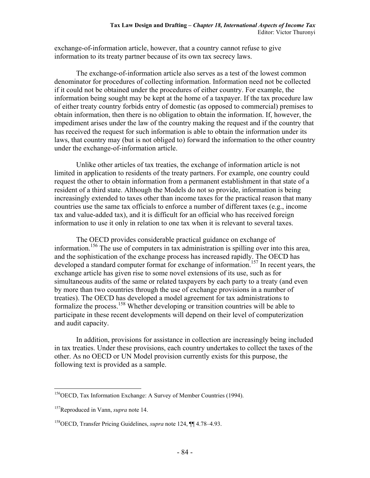exchange-of-information article, however, that a country cannot refuse to give information to its treaty partner because of its own tax secrecy laws.

 The exchange-of-information article also serves as a test of the lowest common denominator for procedures of collecting information. Information need not be collected if it could not be obtained under the procedures of either country. For example, the information being sought may be kept at the home of a taxpayer. If the tax procedure law of either treaty country forbids entry of domestic (as opposed to commercial) premises to obtain information, then there is no obligation to obtain the information. If, however, the impediment arises under the law of the country making the request and if the country that has received the request for such information is able to obtain the information under its laws, that country may (but is not obliged to) forward the information to the other country under the exchange-of-information article.

 Unlike other articles of tax treaties, the exchange of information article is not limited in application to residents of the treaty partners. For example, one country could request the other to obtain information from a permanent establishment in that state of a resident of a third state. Although the Models do not so provide, information is being increasingly extended to taxes other than income taxes for the practical reason that many countries use the same tax officials to enforce a number of different taxes (e.g., income tax and value-added tax), and it is difficult for an official who has received foreign information to use it only in relation to one tax when it is relevant to several taxes.

 The OECD provides considerable practical guidance on exchange of information.<sup>156</sup> The use of computers in tax administration is spilling over into this area, and the sophistication of the exchange process has increased rapidly. The OECD has developed a standard computer format for exchange of information.<sup>157</sup> In recent years, the exchange article has given rise to some novel extensions of its use, such as for simultaneous audits of the same or related taxpayers by each party to a treaty (and even by more than two countries through the use of exchange provisions in a number of treaties). The OECD has developed a model agreement for tax administrations to formalize the process.158 Whether developing or transition countries will be able to participate in these recent developments will depend on their level of computerization and audit capacity.

 In addition, provisions for assistance in collection are increasingly being included in tax treaties. Under these provisions, each country undertakes to collect the taxes of the other. As no OECD or UN Model provision currently exists for this purpose, the following text is provided as a sample.

<sup>&</sup>lt;sup>156</sup>OECD, Tax Information Exchange: A Survey of Member Countries (1994).

<sup>157</sup>Reproduced in Vann, *supra* note 14.

<sup>158</sup>OECD, Transfer Pricing Guidelines, *supra* note 124, ¶¶ 4.78–4.93.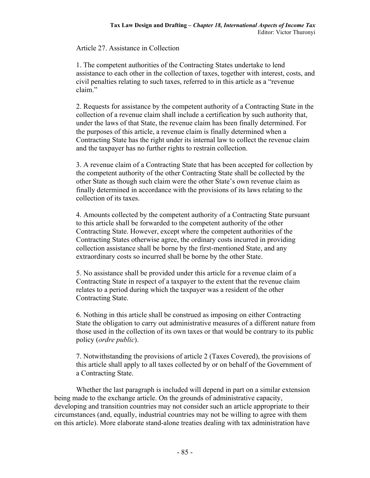Article 27. Assistance in Collection

1. The competent authorities of the Contracting States undertake to lend assistance to each other in the collection of taxes, together with interest, costs, and civil penalties relating to such taxes, referred to in this article as a "revenue claim."

2. Requests for assistance by the competent authority of a Contracting State in the collection of a revenue claim shall include a certification by such authority that, under the laws of that State, the revenue claim has been finally determined. For the purposes of this article, a revenue claim is finally determined when a Contracting State has the right under its internal law to collect the revenue claim and the taxpayer has no further rights to restrain collection.

3. A revenue claim of a Contracting State that has been accepted for collection by the competent authority of the other Contracting State shall be collected by the other State as though such claim were the other State's own revenue claim as finally determined in accordance with the provisions of its laws relating to the collection of its taxes.

4. Amounts collected by the competent authority of a Contracting State pursuant to this article shall be forwarded to the competent authority of the other Contracting State. However, except where the competent authorities of the Contracting States otherwise agree, the ordinary costs incurred in providing collection assistance shall be borne by the first-mentioned State, and any extraordinary costs so incurred shall be borne by the other State.

5. No assistance shall be provided under this article for a revenue claim of a Contracting State in respect of a taxpayer to the extent that the revenue claim relates to a period during which the taxpayer was a resident of the other Contracting State.

6. Nothing in this article shall be construed as imposing on either Contracting State the obligation to carry out administrative measures of a different nature from those used in the collection of its own taxes or that would be contrary to its public policy (*ordre public*).

7. Notwithstanding the provisions of article 2 (Taxes Covered), the provisions of this article shall apply to all taxes collected by or on behalf of the Government of a Contracting State.

 Whether the last paragraph is included will depend in part on a similar extension being made to the exchange article. On the grounds of administrative capacity, developing and transition countries may not consider such an article appropriate to their circumstances (and, equally, industrial countries may not be willing to agree with them on this article). More elaborate stand-alone treaties dealing with tax administration have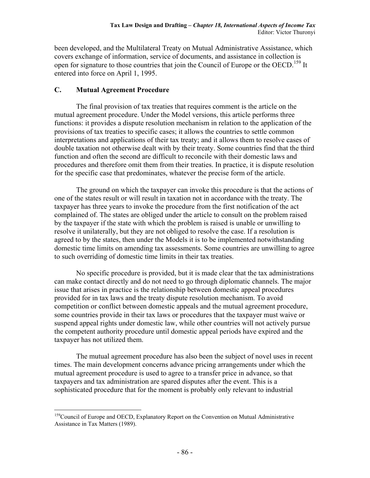been developed, and the Multilateral Treaty on Mutual Administrative Assistance, which covers exchange of information, service of documents, and assistance in collection is open for signature to those countries that join the Council of Europe or the OECD.<sup>159</sup> It entered into force on April 1, 1995.

### **C. Mutual Agreement Procedure**

1

 The final provision of tax treaties that requires comment is the article on the mutual agreement procedure. Under the Model versions, this article performs three functions: it provides a dispute resolution mechanism in relation to the application of the provisions of tax treaties to specific cases; it allows the countries to settle common interpretations and applications of their tax treaty; and it allows them to resolve cases of double taxation not otherwise dealt with by their treaty. Some countries find that the third function and often the second are difficult to reconcile with their domestic laws and procedures and therefore omit them from their treaties. In practice, it is dispute resolution for the specific case that predominates, whatever the precise form of the article.

 The ground on which the taxpayer can invoke this procedure is that the actions of one of the states result or will result in taxation not in accordance with the treaty. The taxpayer has three years to invoke the procedure from the first notification of the act complained of. The states are obliged under the article to consult on the problem raised by the taxpayer if the state with which the problem is raised is unable or unwilling to resolve it unilaterally, but they are not obliged to resolve the case. If a resolution is agreed to by the states, then under the Models it is to be implemented notwithstanding domestic time limits on amending tax assessments. Some countries are unwilling to agree to such overriding of domestic time limits in their tax treaties.

 No specific procedure is provided, but it is made clear that the tax administrations can make contact directly and do not need to go through diplomatic channels. The major issue that arises in practice is the relationship between domestic appeal procedures provided for in tax laws and the treaty dispute resolution mechanism. To avoid competition or conflict between domestic appeals and the mutual agreement procedure, some countries provide in their tax laws or procedures that the taxpayer must waive or suspend appeal rights under domestic law, while other countries will not actively pursue the competent authority procedure until domestic appeal periods have expired and the taxpayer has not utilized them.

 The mutual agreement procedure has also been the subject of novel uses in recent times. The main development concerns advance pricing arrangements under which the mutual agreement procedure is used to agree to a transfer price in advance, so that taxpayers and tax administration are spared disputes after the event. This is a sophisticated procedure that for the moment is probably only relevant to industrial

<sup>&</sup>lt;sup>159</sup>Council of Europe and OECD, Explanatory Report on the Convention on Mutual Administrative Assistance in Tax Matters (1989).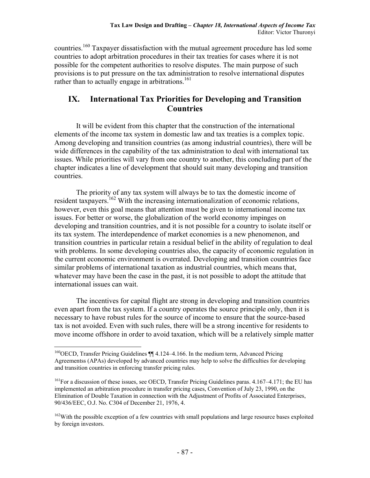countries.<sup>160</sup> Taxpayer dissatisfaction with the mutual agreement procedure has led some countries to adopt arbitration procedures in their tax treaties for cases where it is not possible for the competent authorities to resolve disputes. The main purpose of such provisions is to put pressure on the tax administration to resolve international disputes rather than to actually engage in arbitrations.<sup>161</sup>

# **IX. International Tax Priorities for Developing and Transition Countries**

 It will be evident from this chapter that the construction of the international elements of the income tax system in domestic law and tax treaties is a complex topic. Among developing and transition countries (as among industrial countries), there will be wide differences in the capability of the tax administration to deal with international tax issues. While priorities will vary from one country to another, this concluding part of the chapter indicates a line of development that should suit many developing and transition countries.

 The priority of any tax system will always be to tax the domestic income of resident taxpayers.<sup>162</sup> With the increasing internationalization of economic relations, however, even this goal means that attention must be given to international income tax issues. For better or worse, the globalization of the world economy impinges on developing and transition countries, and it is not possible for a country to isolate itself or its tax system. The interdependence of market economies is a new phenomenon, and transition countries in particular retain a residual belief in the ability of regulation to deal with problems. In some developing countries also, the capacity of economic regulation in the current economic environment is overrated. Developing and transition countries face similar problems of international taxation as industrial countries, which means that, whatever may have been the case in the past, it is not possible to adopt the attitude that international issues can wait.

 The incentives for capital flight are strong in developing and transition countries even apart from the tax system. If a country operates the source principle only, then it is necessary to have robust rules for the source of income to ensure that the source-based tax is not avoided. Even with such rules, there will be a strong incentive for residents to move income offshore in order to avoid taxation, which will be a relatively simple matter

<sup>&</sup>lt;sup>160</sup>OECD, Transfer Pricing Guidelines ¶ 4.124–4.166. In the medium term, Advanced Pricing Agreementss (APAs) developed by advanced countries may help to solve the difficulties for developing and transition countries in enforcing transfer pricing rules.

<sup>&</sup>lt;sup>161</sup>For a discussion of these issues, see OECD, Transfer Pricing Guidelines paras. 4.167–4.171; the EU has implemented an arbitration procedure in transfer pricing cases, Convention of July 23, 1990, on the Elimination of Double Taxation in connection with the Adjustment of Profits of Associated Enterprises, 90/436/EEC, O.J. No. C304 of December 21, 1976, 4.

<sup>&</sup>lt;sup>162</sup>With the possible exception of a few countries with small populations and large resource bases exploited by foreign investors.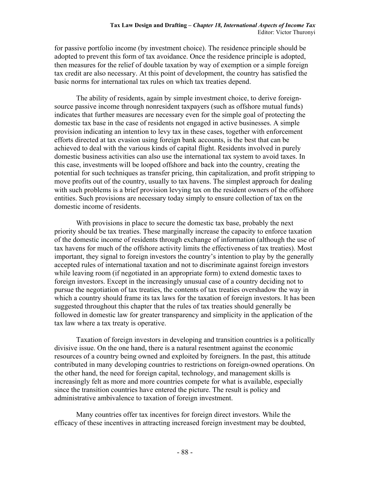for passive portfolio income (by investment choice). The residence principle should be adopted to prevent this form of tax avoidance. Once the residence principle is adopted, then measures for the relief of double taxation by way of exemption or a simple foreign tax credit are also necessary. At this point of development, the country has satisfied the basic norms for international tax rules on which tax treaties depend.

 The ability of residents, again by simple investment choice, to derive foreignsource passive income through nonresident taxpayers (such as offshore mutual funds) indicates that further measures are necessary even for the simple goal of protecting the domestic tax base in the case of residents not engaged in active businesses. A simple provision indicating an intention to levy tax in these cases, together with enforcement efforts directed at tax evasion using foreign bank accounts, is the best that can be achieved to deal with the various kinds of capital flight. Residents involved in purely domestic business activities can also use the international tax system to avoid taxes. In this case, investments will be looped offshore and back into the country, creating the potential for such techniques as transfer pricing, thin capitalization, and profit stripping to move profits out of the country, usually to tax havens. The simplest approach for dealing with such problems is a brief provision levying tax on the resident owners of the offshore entities. Such provisions are necessary today simply to ensure collection of tax on the domestic income of residents.

 With provisions in place to secure the domestic tax base, probably the next priority should be tax treaties. These marginally increase the capacity to enforce taxation of the domestic income of residents through exchange of information (although the use of tax havens for much of the offshore activity limits the effectiveness of tax treaties). Most important, they signal to foreign investors the country's intention to play by the generally accepted rules of international taxation and not to discriminate against foreign investors while leaving room (if negotiated in an appropriate form) to extend domestic taxes to foreign investors. Except in the increasingly unusual case of a country deciding not to pursue the negotiation of tax treaties, the contents of tax treaties overshadow the way in which a country should frame its tax laws for the taxation of foreign investors. It has been suggested throughout this chapter that the rules of tax treaties should generally be followed in domestic law for greater transparency and simplicity in the application of the tax law where a tax treaty is operative.

 Taxation of foreign investors in developing and transition countries is a politically divisive issue. On the one hand, there is a natural resentment against the economic resources of a country being owned and exploited by foreigners. In the past, this attitude contributed in many developing countries to restrictions on foreign-owned operations. On the other hand, the need for foreign capital, technology, and management skills is increasingly felt as more and more countries compete for what is available, especially since the transition countries have entered the picture. The result is policy and administrative ambivalence to taxation of foreign investment.

 Many countries offer tax incentives for foreign direct investors. While the efficacy of these incentives in attracting increased foreign investment may be doubted,